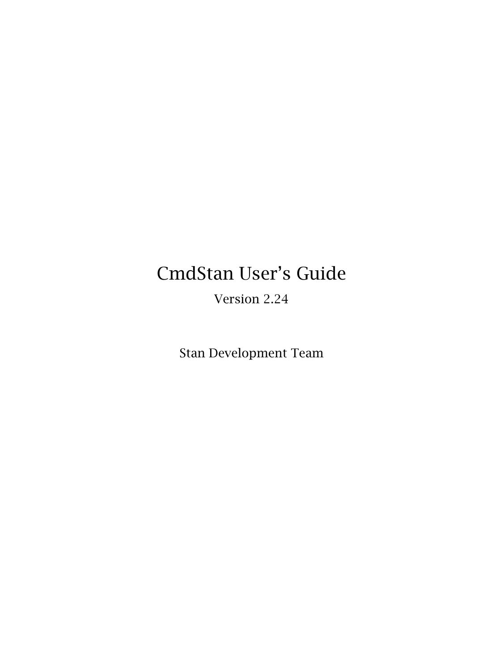# CmdStan User's Guide

Version 2.24

Stan Development Team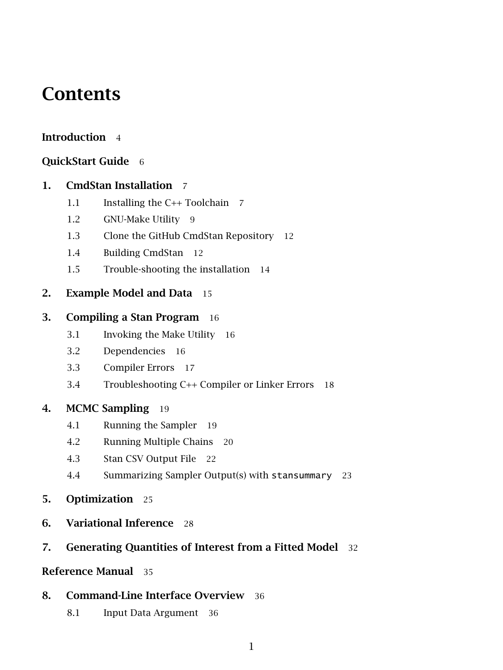## **Contents**

### [Introduction](#page-4-0) 4

### [QuickStart Guide](#page-6-0) 6

### [1. CmdStan Installation](#page-7-0) 7

- [1.1 Installing the C++ Toolchain](#page-7-1) 7
- [1.2 GNU-Make Utility](#page-9-0) 9
- [1.3 Clone the GitHub CmdStan Repository](#page-11-0) 12
- [1.4 Building CmdStan](#page-12-0) 12
- [1.5 Trouble-shooting the installation](#page-13-0) 14

### [2. Example Model and Data](#page-15-0) 15

### [3. Compiling a Stan Program](#page-16-0) 16

- [3.1 Invoking the Make Utility](#page-16-1) 16
- [3.2 Dependencies](#page-16-2) 16
- [3.3 Compiler Errors](#page-17-0) 17
- [3.4 Troubleshooting C++ Compiler or Linker Errors](#page-18-0) 18

### [4. MCMC Sampling](#page-19-0) 19

- [4.1 Running the Sampler](#page-19-1) 19
- [4.2 Running Multiple Chains](#page-20-0) 20
- [4.3 Stan CSV Output File](#page-21-0) 22
- [4.4 Summarizing Sampler Output\(s\) with](#page-23-0) stansummary 23
- [5. Optimization](#page-25-0) 25
- [6. Variational Inference](#page-28-0) 28
- [7. Generating Quantities of Interest from a Fitted Model](#page-32-0) 32

### [Reference Manual](#page-35-0) 35

### [8. Command-Line Interface Overview](#page-36-0) 36

[8.1 Input Data Argument](#page-36-1) 36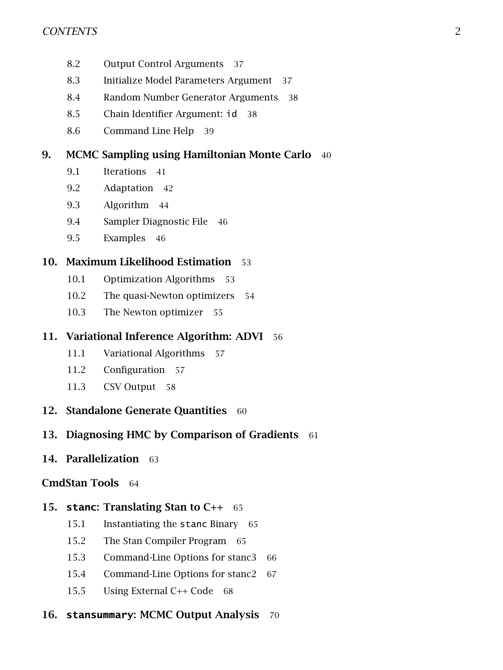- [8.2 Output Control Arguments](#page-37-0) 37
- [8.3 Initialize Model Parameters Argument](#page-37-1) 37
- [8.4 Random Number Generator Arguments](#page-38-0) 38
- [8.5 Chain Identifier Argument:](#page-38-1) id 38
- [8.6 Command Line Help](#page-39-0) 39

### [9. MCMC Sampling using Hamiltonian Monte Carlo](#page-40-0) 40

- [9.1 Iterations](#page-41-0) 41
- [9.2 Adaptation](#page-42-0) 42
- [9.3 Algorithm](#page-44-0) 44
- [9.4 Sampler Diagnostic File](#page-46-0) 46
- [9.5 Examples](#page-46-1) 46

### [10. Maximum Likelihood Estimation](#page-53-0) 53

- [10.1 Optimization Algorithms](#page-53-1) 53
- [10.2 The quasi-Newton optimizers](#page-54-0) 54
- [10.3 The Newton optimizer](#page-55-0) 55

### [11. Variational Inference Algorithm: ADVI](#page-56-0) 56

- [11.1 Variational Algorithms](#page-57-0) 57
- [11.2 Configuration](#page-57-1) 57
- [11.3 CSV Output](#page-57-2) 58
- [12. Standalone Generate Quantities](#page-60-0) 60

### [13. Diagnosing HMC by Comparison of Gradients](#page-61-0) 61

[14. Parallelization](#page-63-0) 63

#### [CmdStan Tools](#page-64-0) 64

#### 15. **stanc**[: Translating Stan to C++](#page-65-0) 65

- [15.1 Instantiating the](#page-65-1) stanc Binary 65
- [15.2 The Stan Compiler Program](#page-65-2) 65
- [15.3 Command-Line Options for stanc3](#page-66-0) 66
- [15.4 Command-Line Options for stanc2](#page-67-0) 67
- [15.5 Using External C++ Code](#page-68-0) 68

### 16. stansummary[: MCMC Output Analysis](#page-70-0) 70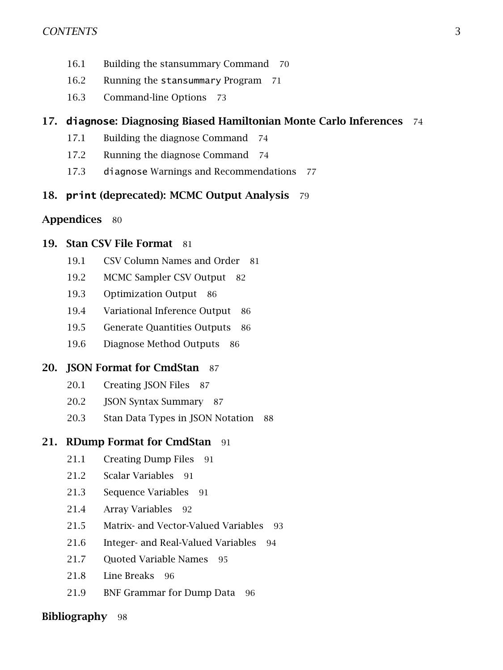- [16.1 Building the stansummary Command](#page-70-1) 70
- [16.2 Running the](#page-70-2) stansummary Program 71
- [16.3 Command-line Options](#page-73-0) 73

### 17. **diagnose**[: Diagnosing Biased Hamiltonian Monte Carlo Inferences](#page-74-0) 74

- [17.1 Building the diagnose Command](#page-74-1) 74
- [17.2 Running the diagnose Command](#page-74-2) 74
- 17.3 diagnose [Warnings and Recommendations](#page-77-0) 77

### 18. **print** [\(deprecated\): MCMC Output Analysis](#page-79-0) 79

#### [Appendices](#page-80-0) 80

### [19. Stan CSV File Format](#page-81-0) 81

- [19.1 CSV Column Names and Order](#page-81-1) 81
- [19.2 MCMC Sampler CSV Output](#page-82-0) 82
- [19.3 Optimization Output](#page-86-0) 86
- [19.4 Variational Inference Output](#page-86-1) 86
- [19.5 Generate Quantities Outputs](#page-86-2) 86
- [19.6 Diagnose Method Outputs](#page-86-3) 86

### 20. ISON Format for CmdStan 87

- [20.1 Creating JSON Files](#page-87-1) 87
- [20.2 JSON Syntax Summary](#page-87-2) 87
- [20.3 Stan Data Types in JSON Notation](#page-88-0) 88

### [21. RDump Format for CmdStan](#page-91-0) 91

- [21.1 Creating Dump Files](#page-91-1) 91
- [21.2 Scalar Variables](#page-91-2) 91
- [21.3 Sequence Variables](#page-91-3) 91
- [21.4 Array Variables](#page-92-0) 92
- [21.5 Matrix- and Vector-Valued Variables](#page-93-0) 93
- [21.6 Integer- and Real-Valued Variables](#page-94-0) 94
- 21.7 Ouoted Variable Names 95
- [21.8 Line Breaks](#page-95-1) 96
- [21.9 BNF Grammar for Dump Data](#page-96-0) 96

#### [Bibliography](#page-98-0) 98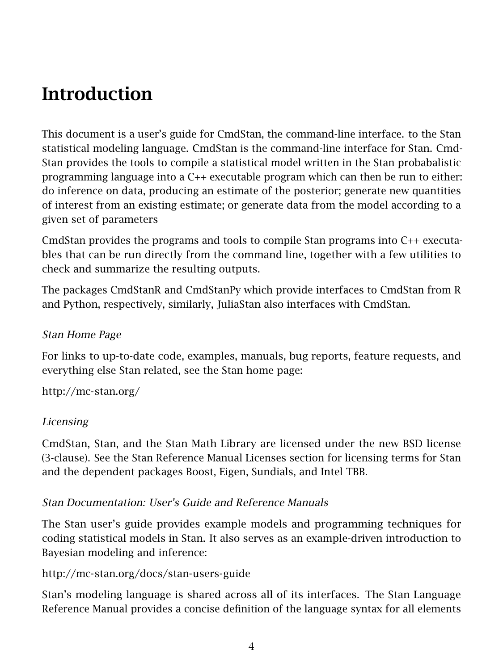## <span id="page-4-0"></span>**Introduction**

This document is a user's guide for CmdStan, the command-line interface. to the Stan statistical modeling language. CmdStan is the command-line interface for Stan. Cmd-Stan provides the tools to compile a statistical model written in the Stan probabalistic programming language into a C++ executable program which can then be run to either: do inference on data, producing an estimate of the posterior; generate new quantities of interest from an existing estimate; or generate data from the model according to a given set of parameters

CmdStan provides the programs and tools to compile Stan programs into C++ executables that can be run directly from the command line, together with a few utilities to check and summarize the resulting outputs.

The packages CmdStanR and CmdStanPy which provide interfaces to CmdStan from R and Python, respectively, similarly, JuliaStan also interfaces with CmdStan.

### Stan Home Page

For links to up-to-date code, examples, manuals, bug reports, feature requests, and everything else Stan related, see the Stan home page:

<http://mc-stan.org/>

### Licensing

CmdStan, Stan, and the Stan Math Library are licensed under the new BSD license (3-clause). See the Stan Reference Manual [Licenses section](https://mc-stan.org/docs/reference-manual/licensing-appendix.html) for licensing terms for Stan and the dependent packages Boost, Eigen, Sundials, and Intel TBB.

### Stan Documentation: User's Guide and Reference Manuals

The Stan user's guide provides example models and programming techniques for coding statistical models in Stan. It also serves as an example-driven introduction to Bayesian modeling and inference:

<http://mc-stan.org/docs/stan-users-guide>

Stan's modeling language is shared across all of its interfaces. The Stan Language Reference Manual provides a concise definition of the language syntax for all elements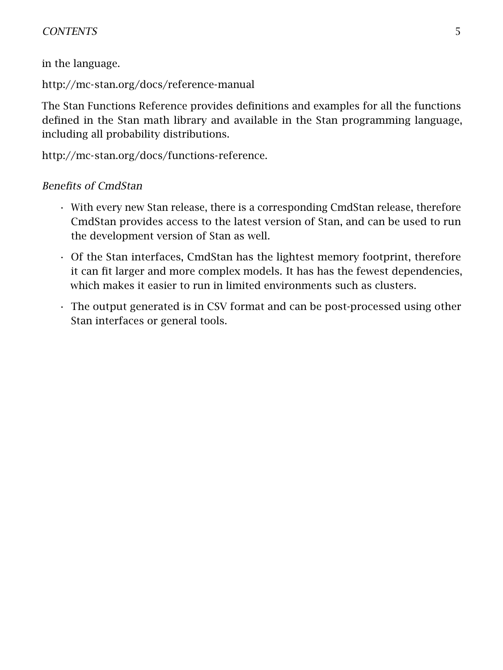### CONTENTS 5

in the language.

<http://mc-stan.org/docs/reference-manual>

The Stan Functions Reference provides definitions and examples for all the functions defined in the Stan math library and available in the Stan programming language, including all probability distributions.

[http://mc-stan.org/docs/functions-reference.](http://mc-stan.org/docs/functions-reference)

### Benefits of CmdStan

- With every new Stan release, there is a corresponding CmdStan release, therefore CmdStan provides access to the latest version of Stan, and can be used to run the development version of Stan as well.
- Of the Stan interfaces, CmdStan has the lightest memory footprint, therefore it can fit larger and more complex models. It has has the fewest dependencies, which makes it easier to run in limited environments such as clusters.
- The output generated is in CSV format and can be post-processed using other Stan interfaces or general tools.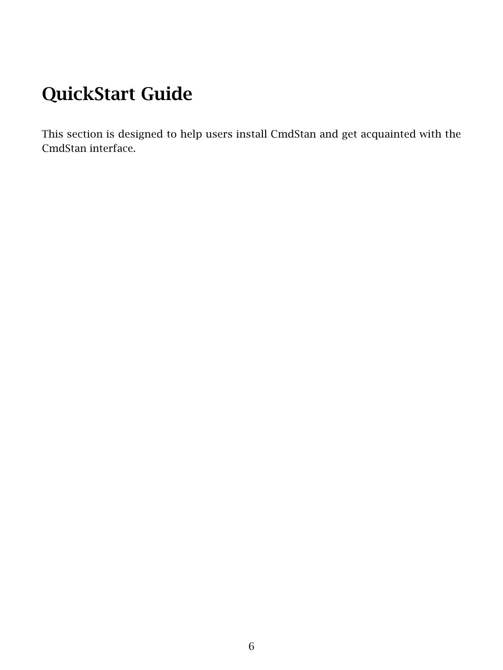# <span id="page-6-0"></span>QuickStart Guide

This section is designed to help users install CmdStan and get acquainted with the CmdStan interface.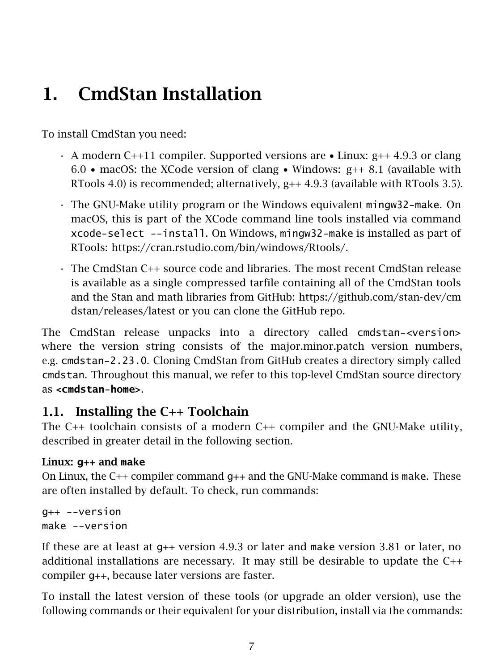## <span id="page-7-0"></span>1. CmdStan Installation

To install CmdStan you need:

- $\cdot$  A modern C++11 compiler. [Supported versions](https://github.com/stan-dev/stan/wiki/Coding-Style-and-Idioms#supported-cpp-versions-and-compilers) are  $\bullet$  Linux: g++ 4.9.3 or clang 6.0 • macOS: the XCode version of clang • Windows:  $g++8.1$  (available with RTools 4.0) is recommended; alternatively,  $g++4.9.3$  (available with RTools 3.5).
- The [GNU-Make](https://www.gnu.org/software/make/manual/make.html) utility program or the Windows equivalent mingw32-make. On macOS, this is part of the XCode command line tools installed via command xcode-select --install. On Windows, mingw32-make is installed as part of RTools: [https://cran.rstudio.com/bin/windows/Rtools/.](https://cran.rstudio.com/bin/windows/Rtools/)
- The CmdStan C++ source code and libraries. The most recent CmdStan release is available as a single compressed tarfile containing all of the CmdStan tools and the Stan and math libraries from GitHub: [https://github.com/stan-dev/cm](https://github.com/stan-dev/cmdstan/releases/latest) [dstan/releases/latest](https://github.com/stan-dev/cmdstan/releases/latest) or you can [clone the GitHub repo.](#page-11-0)

The CmdStan release unpacks into a directory called cmdstan-<version> where the version string consists of the major.minor.patch version numbers, e.g. cmdstan-2.23.0. Cloning CmdStan from GitHub creates a directory simply called cmdstan. Throughout this manual, we refer to this top-level CmdStan source directory as **<cmdstan-home>**.

### <span id="page-7-1"></span>1.1. Installing the C++ Toolchain

The C++ toolchain consists of a modern C++ compiler and the GNU-Make utility, described in greater detail in the following section.

### Linux: **g++** and **make**

On Linux, the C++ compiler command g++ and the GNU-Make command is make. These are often installed by default. To check, run commands:

g++ --version make --version

If these are at least at  $q++$  version 4.9.3 or later and make version 3.81 or later, no additional installations are necessary. It may still be desirable to update the C++ compiler g++, because later versions are faster.

To install the latest version of these tools (or upgrade an older version), use the following commands or their equivalent for your distribution, install via the commands: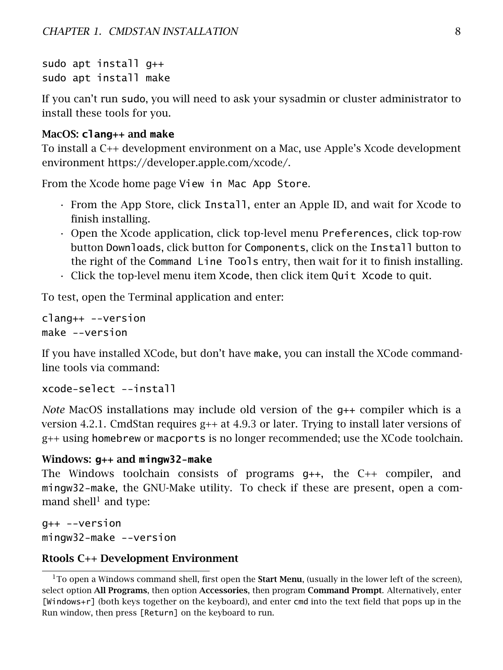sudo apt install g++ sudo apt install make

If you can't run sudo, you will need to ask your sysadmin or cluster administrator to install these tools for you.

### MacOS: **clang++** and **make**

To install a C++ development environment on a Mac, use Apple's Xcode development environment [https://developer.apple.com/xcode/.](https://developer.apple.com/xcode/)

From the [Xcode home page](https://developer.apple.com/xcode/) View in Mac App Store.

- From the App Store, click Install, enter an Apple ID, and wait for Xcode to finish installing.
- Open the Xcode application, click top-level menu Preferences, click top-row button Downloads, click button for Components, click on the Install button to the right of the Command Line Tools entry, then wait for it to finish installing.
- Click the top-level menu item Xcode, then click item Quit Xcode to quit.

To test, open the Terminal application and enter:

```
clang++ --version
make --version
```
If you have installed XCode, but don't have make, you can install the XCode commandline tools via command:

```
xcode-select --install
```
*Note* MacOS installations may include old version of the g++ compiler which is a version 4.2.1. CmdStan requires  $g++$  at 4.9.3 or later. Trying to install later versions of g++ using homebrew or macports is no longer recommended; use the XCode toolchain.

### Windows: **g++** and **mingw32-make**

The Windows toolchain consists of programs g++, the C++ compiler, and mingw32-make, the GNU-Make utility. To check if these are present, open a com-mand shell<sup>[1](#page-8-0)</sup> and type:

g++ --version mingw32-make --version

### Rtools C++ Development Environment

<span id="page-8-0"></span> $1$ To open a Windows command shell, first open the **Start Menu**, (usually in the lower left of the screen), select option All Programs, then option Accessories, then program Command Prompt. Alternatively, enter [Windows+r] (both keys together on the keyboard), and enter cmd into the text field that pops up in the Run window, then press [Return] on the keyboard to run.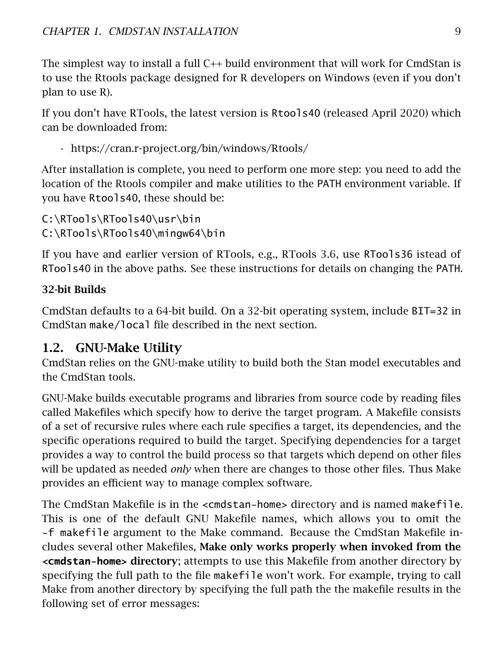The simplest way to install a full C++ build environment that will work for CmdStan is to use the Rtools package designed for R developers on Windows (even if you don't plan to use R).

If you don't have RTools, the latest version is Rtools40 (released April 2020) which can be downloaded from:

```
• https://cran.r-project.org/bin/windows/Rtools/
```
After installation is complete, you need to perform one more step: you need to add the location of the Rtools compiler and make utilities to the PATH environment variable. If you have Rtools40, these should be:

C:\RTools\RTools40\usr\bin C:\RTools\RTools40\mingw64\bin

If you have and earlier version of RTools, e.g., RTools 3.6, use RTools36 istead of RTools40 in the above paths. See [these instructions](https://helpdeskgeek.com/windows-10/add-windows-path-environment-variable/) for details on changing the PATH.

### 32-bit Builds

CmdStan defaults to a 64-bit build. On a 32-bit operating system, include BIT=32 in CmdStan make/local file described in the next section.

## <span id="page-9-0"></span>1.2. GNU-Make Utility

CmdStan relies on the GNU-make utility to build both the Stan model executables and the CmdStan tools.

GNU-Make builds executable programs and libraries from source code by reading files called Makefiles which specify how to derive the target program. A Makefile consists of a set of recursive rules where each rule specifies a target, its dependencies, and the specific operations required to build the target. Specifying dependencies for a target provides a way to control the build process so that targets which depend on other files will be updated as needed *only* when there are changes to those other files. Thus Make provides an efficient way to manage complex software.

The CmdStan Makefile is in the <cmdstan-home> directory and is named makefile. This is one of the default [GNU Makefile names,](https://www.gnu.org/software/make/manual/html_node/Makefile-Names.html) which allows you to omit the -f makefile argument to the Make command. Because the CmdStan Makefile includes several other Makefiles, Make only works properly when invoked from the **<cmdstan-home>** directory; attempts to use this Makefile from another directory by specifying the full path to the file makefile won't work. For example, trying to call Make from another directory by specifying the full path the the makefile results in the following set of error messages: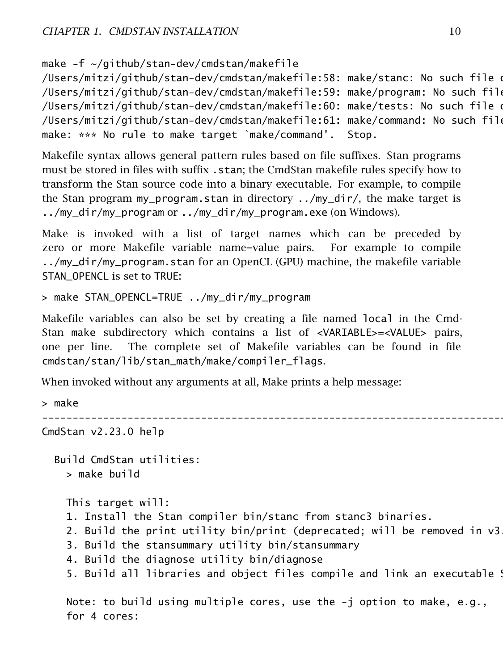make -f ~/github/stan-dev/cmdstan/makefile

/Users/mitzi/github/stan-dev/cmdstan/makefile:58: make/stanc: No such file o /Users/mitzi/github/stan-dev/cmdstan/makefile:59: make/program: No such file /Users/mitzi/github/stan-dev/cmdstan/makefile:60: make/tests: No such file o /Users/mitzi/github/stan-dev/cmdstan/makefile:61: make/command: No such file make: \*\*\* No rule to make target `make/command'. Stop.

Makefile syntax allows general pattern rules based on file suffixes. Stan programs must be stored in files with suffix .stan; the CmdStan makefile rules specify how to transform the Stan source code into a binary executable. For example, to compile the Stan program my\_program.stan in directory  $\ldots/my_d$  dir/, the make target is ../my\_dir/my\_program or ../my\_dir/my\_program.exe (on Windows).

Make is invoked with a list of target names which can be preceded by zero or more Makefile variable name=value pairs. For example to compile ../my\_dir/my\_program.stan for an OpenCL (GPU) machine, the makefile variable STAN\_OPENCL is set to TRUE:

> make STAN\_OPENCL=TRUE ../my\_dir/my\_program

Makefile variables can also be set by creating a file named local in the Cmd-Stan make subdirectory which contains a list of <VARIABLE>=<VALUE> pairs, one per line. The complete set of Makefile variables can be found in file cmdstan/stan/lib/stan\_math/make/compiler\_flags.

When invoked without any arguments at all, Make prints a help message:

```
> make
                            --------------------------------------------------------------------------------
CmdStan v2.23.0 help
  Build CmdStan utilities:
    > make build
    This target will:
    1. Install the Stan compiler bin/stanc from stanc3 binaries.
    2. Build the print utility bin/print (deprecated; will be removed in v3.0)
    3. Build the stansummary utility bin/stansummary
    4. Build the diagnose utility bin/diagnose
    5. Build all libraries and object files compile and link an executable !
```
Note: to build using multiple cores, use the -j option to make, e.g., for 4 cores: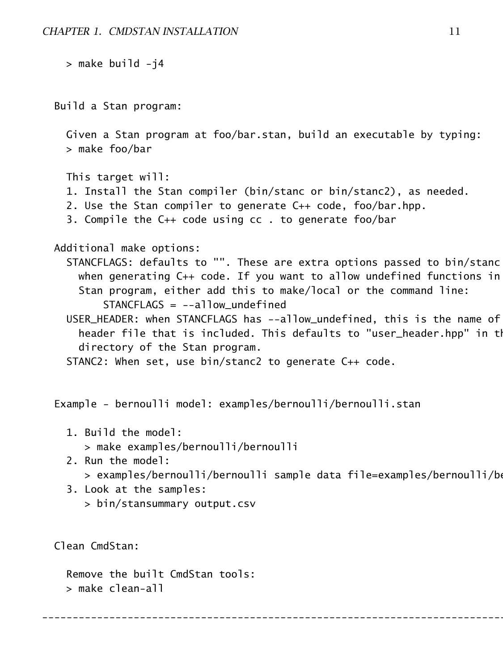```
> make build -j4
Build a Stan program:
  Given a Stan program at foo/bar.stan, build an executable by typing:
  > make foo/bar
  This target will:
  1. Install the Stan compiler (bin/stanc or bin/stanc2), as needed.
  2. Use the Stan compiler to generate C++ code, foo/bar.hpp.
  3. Compile the C++ code using cc . to generate foo/bar
Additional make options:
  STANCFLAGS: defaults to "". These are extra options passed to bin/stanc
   when generating C_{++} code. If you want to allow undefined functions in
    Stan program, either add this to make/local or the command line:
        STANCFLAGS = -a11ow undefined
  USER_HEADER: when STANCFLAGS has --allow_undefined, this is the name of
    header file that is included. This defaults to "user_header.hpp" in th
    directory of the Stan program.
  STANC2: When set, use bin/stanc2 to generate C++ code.
Example - bernoulli model: examples/bernoulli/bernoulli.stan
```
- 1. Build the model: > make examples/bernoulli/bernoulli
- 2. Run the model: > examples/bernoulli/bernoulli sample data file=examples/bernoulli/b $\epsilon$

<span id="page-11-0"></span>--------------------------------------------------------------------------------

3. Look at the samples: > bin/stansummary output.csv

Clean CmdStan:

Remove the built CmdStan tools: > make clean-all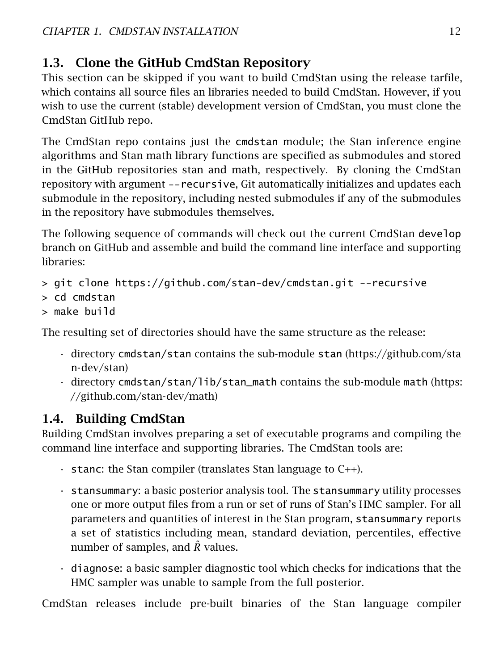## 1.3. Clone the GitHub CmdStan Repository

This section can be skipped if you want to build CmdStan using the release tarfile, which contains all source files an libraries needed to build CmdStan. However, if you wish to use the current (stable) development version of CmdStan, you must clone the [CmdStan GitHub repo.](https://github.com/stan-dev/cmdstan)

The CmdStan repo contains just the cmdstan module; the Stan inference engine algorithms and Stan math library functions are specified as [submodules](https://git-scm.com/book/en/v2/Git-Tools-Submodules) and stored in the GitHub repositories [stan](https://github.com/stan-dev/stan) and [math,](https://github.com/stan-dev/math) respectively. By cloning the CmdStan repository with argument --recursive, Git automatically initializes and updates each submodule in the repository, including nested submodules if any of the submodules in the repository have submodules themselves.

The following sequence of commands will check out the current CmdStan develop branch on GitHub and assemble and build the command line interface and supporting libraries:

```
> git clone https://github.com/stan-dev/cmdstan.git --recursive
```

```
> cd cmdstan
```

```
> make build
```
The resulting set of directories should have the same structure as the release:

- directory cmdstan/stan contains the sub-module stan [\(https://github.com/sta](https://github.com/stan-dev/stan) [n-dev/stan\)](https://github.com/stan-dev/stan)
- directory cmdstan/stan/lib/stan\_math contains the sub-module math [\(https:](https://github.com/stan-dev/math) [//github.com/stan-dev/math\)](https://github.com/stan-dev/math)

## <span id="page-12-0"></span>1.4. Building CmdStan

Building CmdStan involves preparing a set of executable programs and compiling the command line interface and supporting libraries. The CmdStan tools are:

- $\cdot$  stanc: the Stan compiler (translates Stan language to C++).
- stansummary: a basic posterior analysis tool. The stansummary utility processes one or more output files from a run or set of runs of Stan's HMC sampler. For all parameters and quantities of interest in the Stan program, stansummary reports a set of statistics including mean, standard deviation, percentiles, effective number of samples, and  $\hat{R}$  values.
- diagnose: a basic sampler diagnostic tool which checks for indications that the HMC sampler was unable to sample from the full posterior.

CmdStan releases include pre-built binaries of the Stan language compiler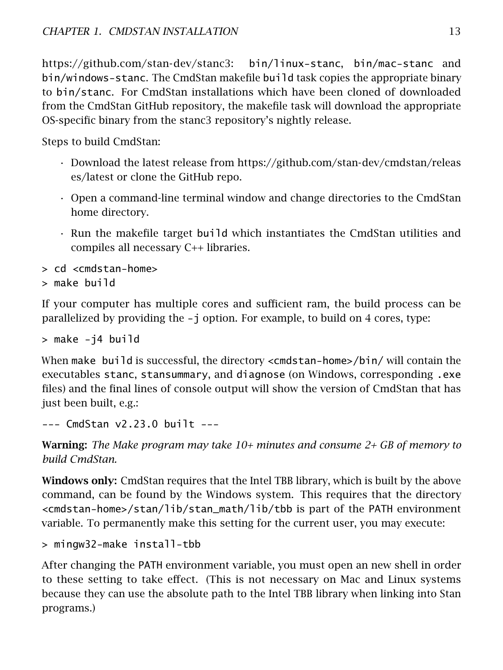[https://github.com/stan-dev/stanc3:](https://github.com/stan-dev/stanc3) bin/linux-stanc, bin/mac-stanc and bin/windows-stanc. The CmdStan makefile build task copies the appropriate binary to bin/stanc. For CmdStan installations which have been cloned of downloaded from the CmdStan GitHub repository, the makefile task will download the appropriate OS-specific binary from the stanc3 repository's nightly release.

Steps to build CmdStan:

- Download the latest release from [https://github.com/stan-dev/cmdstan/releas](https://github.com/stan-dev/cmdstan/releases/latest) [es/latest](https://github.com/stan-dev/cmdstan/releases/latest) or [clone the GitHub repo.](#page-11-0)
- Open a command-line terminal window and change directories to the CmdStan home directory.
- Run the makefile target build which instantiates the CmdStan utilities and compiles all necessary C++ libraries.

```
> cd <cmdstan-home>
```

```
> make build
```
If your computer has multiple cores and sufficient ram, the build process can be parallelized by providing the -j option. For example, to build on 4 cores, type:

> make -j4 build

When make build is successful, the directory <cmdstan-home>/bin/ will contain the executables stanc, stansummary, and diagnose (on Windows, corresponding .exe files) and the final lines of console output will show the version of CmdStan that has just been built, e.g.:

--- CmdStan v2.23.0 built ---

Warning: *The Make program may take 10+ minutes and consume 2+ GB of memory to build CmdStan.*

Windows only: CmdStan requires that the Intel TBB library, which is built by the above command, can be found by the Windows system. This requires that the directory <cmdstan-home>/stan/lib/stan\_math/lib/tbb is part of the PATH environment variable. To permanently make this setting for the current user, you may execute:

```
> mingw32-make install-tbb
```
<span id="page-13-0"></span>After changing the PATH environment variable, you must open an new shell in order to these setting to take effect. (This is not necessary on Mac and Linux systems because they can use the absolute path to the Intel TBB library when linking into Stan programs.)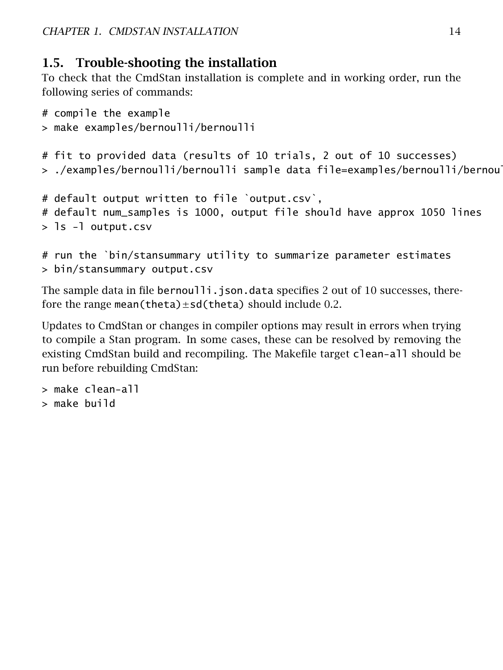### 1.5. Trouble-shooting the installation

To check that the CmdStan installation is complete and in working order, run the following series of commands:

```
# compile the example
> make examples/bernoulli/bernoulli
# fit to provided data (results of 10 trials, 2 out of 10 successes)
> ./examples/bernoulli/bernoulli sample data file=examples/bernoulli/bernoul
# default output written to file `output.csv`,
# default num_samples is 1000, output file should have approx 1050 lines
> ls -l output.csv
# run the `bin/stansummary utility to summarize parameter estimates
```

```
> bin/stansummary output.csv
```
The sample data in file bernoulli.json.data specifies 2 out of 10 successes, therefore the range mean(theta) $\pm$ sd(theta) should include 0.2.

Updates to CmdStan or changes in compiler options may result in errors when trying to compile a Stan program. In some cases, these can be resolved by removing the existing CmdStan build and recompiling. The Makefile target clean-all should be run before rebuilding CmdStan:

```
> make clean-all
```
> make build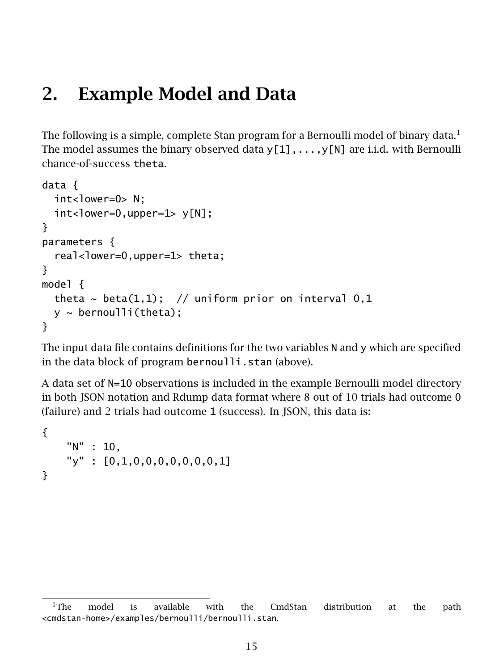## <span id="page-15-0"></span>2. Example Model and Data

The following is a simple, complete Stan program for a Bernoulli model of binary data. $<sup>1</sup>$  $<sup>1</sup>$  $<sup>1</sup>$ </sup> The model assumes the binary observed data  $y[1], \ldots, y[N]$  are i.i.d. with Bernoulli chance-of-success theta.

```
data {
  int<lower=0> N:
  int <lower=0,upper=1> y[N];
}
parameters {
  real<lower=0,upper=1> theta;
}
model {
  theta \sim beta(1,1); // uniform prior on interval 0,1
  y \sim bernoulli(theta);
}
```
The input data file contains definitions for the two variables N and y which are specified in the data block of program bernoulli.stan (above).

A data set of N=10 observations is included in the example Bernoulli model directory in both JSON notation and Rdump data format where 8 out of 10 trials had outcome 0 (failure) and 2 trials had outcome 1 (success). In JSON, this data is:

```
{
    "N" : 10,
    "y" : [0,1,0,0,0,0,0,0,0,1]
}
```
<span id="page-15-1"></span><sup>&</sup>lt;sup>1</sup>The model is available with the CmdStan distribution at the path <cmdstan-home>/examples/bernoulli/bernoulli.stan.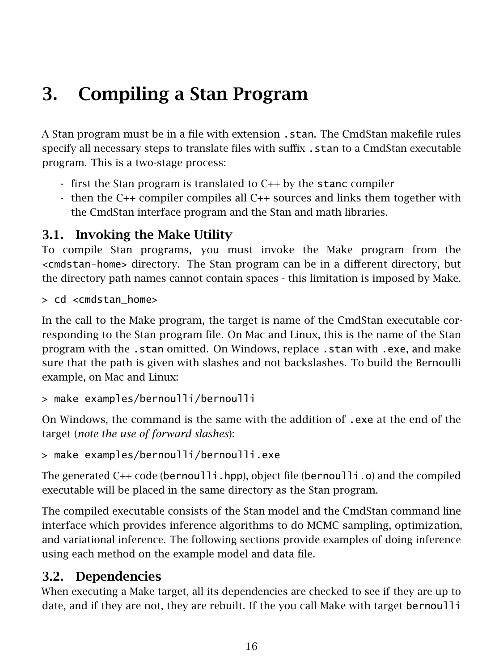## <span id="page-16-0"></span>3. Compiling a Stan Program

A Stan program must be in a file with extension .stan. The CmdStan makefile rules specify all necessary steps to translate files with suffix .stan to a CmdStan executable program. This is a two-stage process:

- $\cdot$  first the Stan program is translated to C $++$  by the stanc compiler
- then the C++ compiler compiles all C++ sources and links them together with the CmdStan interface program and the Stan and math libraries.

## <span id="page-16-1"></span>3.1. Invoking the Make Utility

To compile Stan programs, you must invoke the Make program from the <cmdstan-home> directory. The Stan program can be in a different directory, but the directory path names cannot contain spaces - this limitation is imposed by Make.

> cd <cmdstan\_home>

In the call to the Make program, the target is name of the CmdStan executable corresponding to the Stan program file. On Mac and Linux, this is the name of the Stan program with the .stan omitted. On Windows, replace .stan with .exe, and make sure that the path is given with slashes and not backslashes. To build the Bernoulli example, on Mac and Linux:

```
> make examples/bernoulli/bernoulli
```
On Windows, the command is the same with the addition of .exe at the end of the target (*note the use of forward slashes*):

```
> make examples/bernoulli/bernoulli.exe
```
The generated  $C_{++}$  code (bernoulli.hpp), object file (bernoulli.o) and the compiled executable will be placed in the same directory as the Stan program.

The compiled executable consists of the Stan model and the CmdStan command line interface which provides inference algorithms to do MCMC sampling, optimization, and variational inference. The following sections provide examples of doing inference using each method on the example model and data file.

### <span id="page-16-2"></span>3.2. Dependencies

When executing a Make target, all its dependencies are checked to see if they are up to date, and if they are not, they are rebuilt. If the you call Make with target bernoulli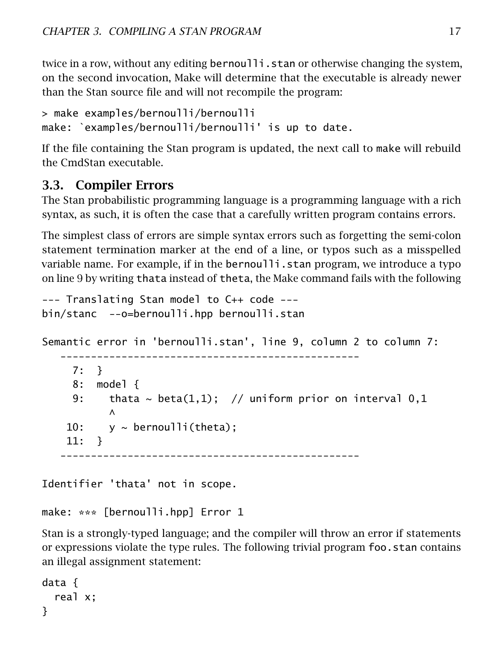twice in a row, without any editing bernoulli. stan or otherwise changing the system, on the second invocation, Make will determine that the executable is already newer than the Stan source file and will not recompile the program:

```
> make examples/bernoulli/bernoulli
make: `examples/bernoulli/bernoulli' is up to date.
```
If the file containing the Stan program is updated, the next call to make will rebuild the CmdStan executable.

### <span id="page-17-0"></span>3.3. Compiler Errors

The Stan probabilistic programming language is a programming language with a rich syntax, as such, it is often the case that a carefully written program contains errors.

The simplest class of errors are simple syntax errors such as forgetting the semi-colon statement termination marker at the end of a line, or typos such as a misspelled variable name. For example, if in the bernoulli.stan program, we introduce a typo on line 9 by writing thata instead of theta, the Make command fails with the following

```
--- Translating Stan model to C++ code ---
bin/stanc --o=bernoulli.hpp bernoulli.stan
```
Semantic error in 'bernoulli.stan', line 9, column 2 to column 7:

-------------------------------------------------

```
7: }
 8: model {
 9: thata \sim beta(1,1); // uniform prior on interval 0,1
        \wedge10: y \sim \text{bernoulli}(\text{theta});
11: }
                         -------------------------------------------------
```
Identifier 'thata' not in scope.

```
make: *** [bernoulli.hpp] Error 1
```
Stan is a [strongly-typed language;](https://mc-stan.org/docs/reference-manual/data-types-chapter.html) and the compiler will throw an error if statements or expressions violate the type rules. The following trivial program foo.stan contains an illegal assignment statement:

```
data {
  real x;
}
```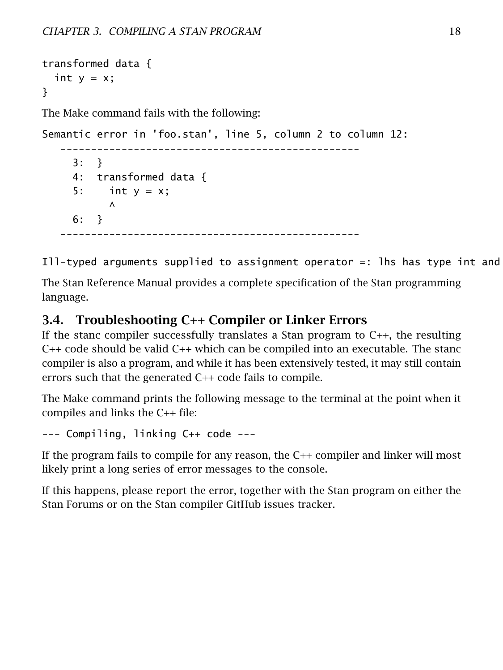```
transformed data {
  int y = x;
}
The Make command fails with the following:
Semantic error in 'foo.stan', line 5, column 2 to column 12:
   -------------------------------------------------
     3: }
     4: transformed data {
     5: int y = x;
           \wedge6: }
   -------------------------------------------------
```
Ill-typed arguments supplied to assignment operator  $=$ : lhs has type int and

The [Stan Reference Manual](https://mc-stan.org/docs/reference-manual/language.html#language) provides a complete specification of the Stan programming language.

### <span id="page-18-0"></span>3.4. Troubleshooting C++ Compiler or Linker Errors

If the stanc compiler successfully translates a Stan program to C++, the resulting C++ code should be valid C++ which can be compiled into an executable. The stanc compiler is also a program, and while it has been extensively tested, it may still contain errors such that the generated C++ code fails to compile.

The Make command prints the following message to the terminal at the point when it compiles and links the C++ file:

--- Compiling, linking C++ code ---

If the program fails to compile for any reason, the C++ compiler and linker will most likely print a long series of error messages to the console.

If this happens, please report the error, together with the Stan program on either the [Stan Forums](https://discourse.mc-stan.org/) or on the Stan compiler GitHub [issues tracker.](https://github.com/stan-dev/stanc3/issues)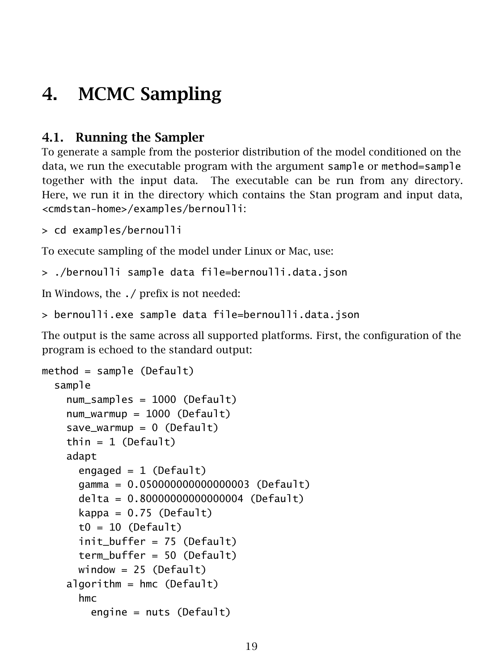## <span id="page-19-0"></span>4. MCMC Sampling

## <span id="page-19-1"></span>4.1. Running the Sampler

To generate a sample from the posterior distribution of the model conditioned on the data, we run the executable program with the argument sample or method=sample together with the input data. The executable can be run from any directory. Here, we run it in the directory which contains the Stan program and input data, <cmdstan-home>/examples/bernoulli:

```
> cd examples/bernoulli
```
To execute sampling of the model under Linux or Mac, use:

> ./bernoulli sample data file=bernoulli.data.json

In Windows, the ./ prefix is not needed:

```
> bernoulli.exe sample data file=bernoulli.data.json
```
The output is the same across all supported platforms. First, the configuration of the program is echoed to the standard output:

```
method = sample (Default)
 sample
   num_samples = 1000 (Default)
   num_warmup = 1000 (Default)
    save_warmup = 0 (Default)
   thin = 1 (Default)
   adapt
      engaged = 1 (Default)
      gamma = 0.050000000000000003 (Default)
      delta = 0.80000000000000004 (Default)
      kappa = 0.75 (Default)
      t0 = 10 (Default)
      init_buffer = 75 (Default)
      term buffer = 50 (Default)
      window = 25 (Default)
    algorithm = hmc (Default)
      hmc
        engine = nuts (Default)
```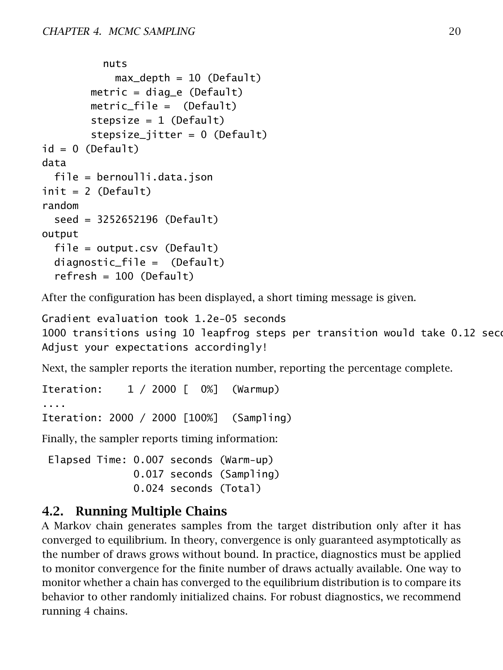```
nuts
            max\_depth = 10 (Default)
        metric = diag_e (Default)
        metric_file = (Default)
        stepsize = 1 (Default)
        stepsize_jitter = 0 (Default)
id = 0 (Default)
data
 file = bernoulli.data.json
init = 2 (Default)
random
  seed = 3252652196 (Default)
output
 file = output.csv (Default)
 diagnostic_file = (Default)
  refresh = 100 (Default)
```
After the configuration has been displayed, a short timing message is given.

```
Gradient evaluation took 1.2e-05 seconds
1000 transitions using 10 leapfrog steps per transition would take 0.12 seconds.
Adjust your expectations accordingly!
```
Next, the sampler reports the iteration number, reporting the percentage complete.

Iteration: 1 / 2000 [ 0%] (Warmup) Iteration: 2000 / 2000 [100%] (Sampling) Finally, the sampler reports timing information:

Elapsed Time: 0.007 seconds (Warm-up) 0.017 seconds (Sampling) 0.024 seconds (Total)

### <span id="page-20-0"></span>4.2. Running Multiple Chains

A Markov chain generates samples from the target distribution only after it has converged to equilibrium. In theory, convergence is only guaranteed asymptotically as the number of draws grows without bound. In practice, diagnostics must be applied to monitor convergence for the finite number of draws actually available. One way to monitor whether a chain has converged to the equilibrium distribution is to compare its behavior to other randomly initialized chains. For robust diagnostics, we recommend running 4 chains.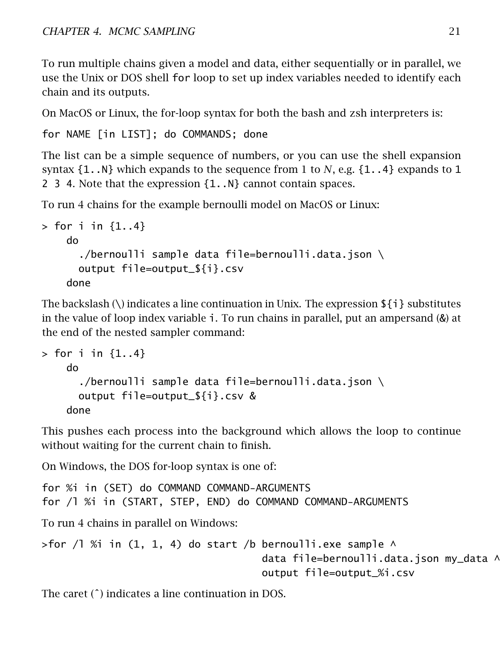To run multiple chains given a model and data, either sequentially or in parallel, we use the Unix or DOS shell for loop to set up index variables needed to identify each chain and its outputs.

On MacOS or Linux, the [for-loop syntax](https://linuxcourse.rutgers.edu/documents/Bash-Beginners-Guide/sect_09_01.html) for both the bash and zsh interpreters is:

for NAME [in LIST]; do COMMANDS; done

The list can be a simple sequence of numbers, or you can use the shell expansion syntax {1..N} which expands to the sequence from 1 to *N*, e.g. {1..4} expands to 1 2 3 4. Note that the expression {1..N} cannot contain spaces.

To run 4 chains for the example bernoulli model on MacOS or Linux:

```
> for i in {1..4}
   do
      ./bernoulli sample data file=bernoulli.data.json \
      output file=output_${i}.csv
   done
```
The backslash (\) indicates a line continuation in Unix. The expression  $\{i\}$  substitutes in the value of loop index variable i. To run chains in parallel, put an ampersand (&) at the end of the nested sampler command:

```
> for i in {1..4}do
      ./bernoulli sample data file=bernoulli.data.json \
     output file=output_${i}.csv &
   done
```
This pushes each process into the background which allows the loop to continue without waiting for the current chain to finish.

On Windows, the DOS [for-loop syntax](https://www.windows-commandline.com/windows-for-loop-examples/) is one of:

```
for %i in (SET) do COMMAND COMMAND-ARGUMENTS
for /l %i in (START, STEP, END) do COMMAND COMMAND-ARGUMENTS
To run 4 chains in parallel on Windows:
>for /1 %i in (1, 1, 4) do start /b bernoulli.exe sample \wedgedata file=bernoulli.data.json my_data ^
```
output file=output\_%i.csv

<span id="page-21-0"></span>The caret (ˆ) indicates a line continuation in DOS.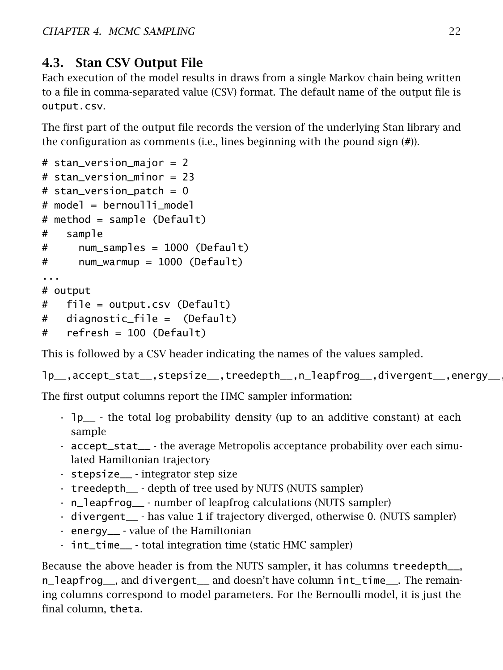## 4.3. Stan CSV Output File

Each execution of the model results in draws from a single Markov chain being written to a file in comma-separated value (CSV) format. The default name of the output file is output.csv.

The first part of the output file records the version of the underlying Stan library and the configuration as comments (i.e., lines beginning with the pound sign (#)).

```
# stan_version_major = 2
# stan_version_minor = 23
# stan_version_patch = 0
# model = bernoulli_model
# method = sample (Default)
# sample
# num_samples = 1000 (Default)
# num_warmup = 1000 (Default)
...
# output
# file = output.csv (Default)
# diagnostic_file = (Default)
# refresh = 100 (Default)
```
This is followed by a CSV header indicating the names of the values sampled.

lp\_\_,accept\_stat\_\_,stepsize\_\_,treedepth\_\_,n\_leapfrog\_\_,divergent\_\_,energy\_\_,theta

The first output columns report the HMC sampler information:

- lp\_\_ the total log probability density (up to an additive constant) at each sample
- accept\_stat\_\_ the average Metropolis acceptance probability over each simulated Hamiltonian trajectory
- stepsize\_\_ integrator step size
- treedepth\_\_ depth of tree used by NUTS (NUTS sampler)
- n\_leapfrog\_\_ number of leapfrog calculations (NUTS sampler)
- divergent\_\_ has value 1 if trajectory diverged, otherwise 0. (NUTS sampler)
- energy\_\_ value of the Hamiltonian
- int\_time\_\_ total integration time (static HMC sampler)

Because the above header is from the NUTS sampler, it has columns treedepth\_\_, n\_leapfrog\_\_, and divergent\_\_ and doesn't have column int\_time\_\_. The remaining columns correspond to model parameters. For the Bernoulli model, it is just the final column, theta.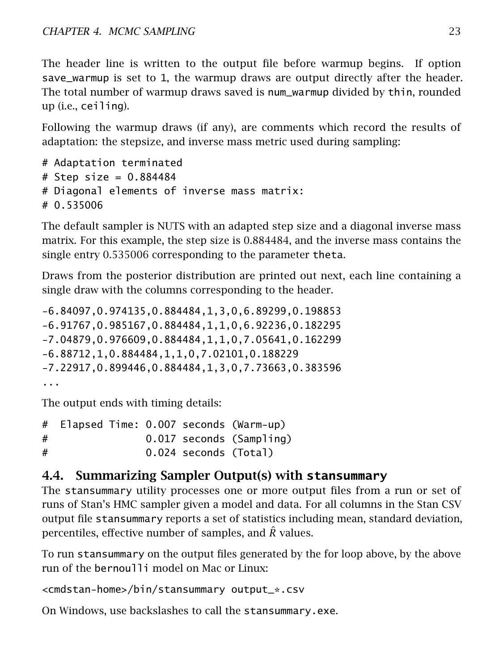The header line is written to the output file before warmup begins. If option save\_warmup is set to 1, the warmup draws are output directly after the header. The total number of warmup draws saved is num\_warmup divided by thin, rounded up (i.e., ceiling).

Following the warmup draws (if any), are comments which record the results of adaptation: the stepsize, and inverse mass metric used during sampling:

```
# Adaptation terminated
# Step size = 0.884484# Diagonal elements of inverse mass matrix:
# 0.535006
```
The default sampler is NUTS with an adapted step size and a diagonal inverse mass matrix. For this example, the step size is 0.884484, and the inverse mass contains the single entry 0.535006 corresponding to the parameter theta.

Draws from the posterior distribution are printed out next, each line containing a single draw with the columns corresponding to the header.

-6.84097,0.974135,0.884484,1,3,0,6.89299,0.198853 -6.91767,0.985167,0.884484,1,1,0,6.92236,0.182295 -7.04879,0.976609,0.884484,1,1,0,7.05641,0.162299 -6.88712,1,0.884484,1,1,0,7.02101,0.188229 -7.22917,0.899446,0.884484,1,3,0,7.73663,0.383596 ...

The output ends with timing details:

```
# Elapsed Time: 0.007 seconds (Warm-up)
# 0.017 seconds (Sampling)
# 0.024 seconds (Total)
```
### <span id="page-23-0"></span>4.4. Summarizing Sampler Output(s) with **stansummary**

The stansummary utility processes one or more output files from a run or set of runs of Stan's HMC sampler given a model and data. For all columns in the Stan CSV output file stansummary reports a set of statistics including mean, standard deviation, percentiles, effective number of samples, and *R*ˆ values.

To run stansummary on the output files generated by the for loop above, by the above run of the bernoulli model on Mac or Linux:

```
<cmdstan-home>/bin/stansummary output_*.csv
```
On Windows, use backslashes to call the stansummary.exe.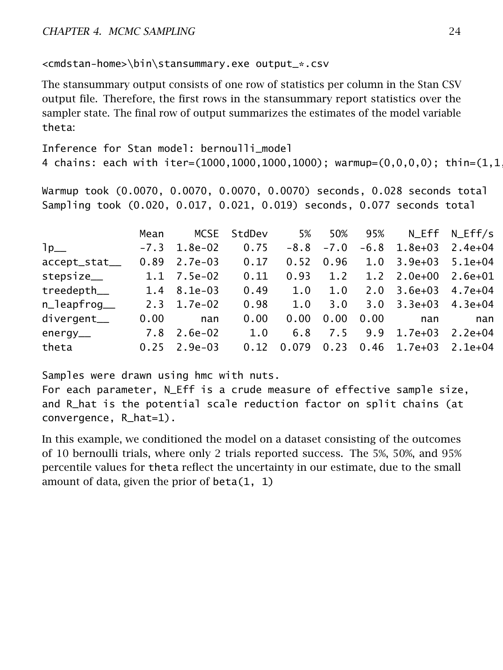<cmdstan-home>\bin\stansummary.exe output\_\*.csv

The stansummary output consists of one row of statistics per column in the Stan CSV output file. Therefore, the first rows in the stansummary report statistics over the sampler state. The final row of output summarizes the estimates of the model variable theta:

```
Inference for Stan model: bernoulli_model
4 chains: each with iter=(1000,1000,1000,1000); warmup=(0,0,0,0); thin=(1,1)
```
Warmup took (0.0070, 0.0070, 0.0070, 0.0070) seconds, 0.028 seconds total Sampling took (0.020, 0.017, 0.021, 0.019) seconds, 0.077 seconds total

|                         | Mean |                        | MCSE StdDev | 5%         |                 |      | 50% 95% N Eff N Eff/s                            |     |
|-------------------------|------|------------------------|-------------|------------|-----------------|------|--------------------------------------------------|-----|
| $1p_{-}$                |      | $-7.3$ 1.8e $-02$ 0.75 |             |            |                 |      | $-8.8$ $-7.0$ $-6.8$ 1.8e+03 2.4e+04             |     |
| accept_stat_            |      | $0.89$ 2.7e-03 0.17    |             |            |                 |      | $0.52$ 0.96 1.0 3.9e+03 5.1e+04                  |     |
| stepsize__              |      | 1.1 7.5e-02            | 0.11        |            |                 |      | $0.93$ 1.2 1.2 2.0e+00 2.6e+01                   |     |
| $treedepth$ 1.4 8.1e-03 |      |                        |             | $0.49$ 1.0 | 1.0             |      | $2.0 \quad 3.6e+03 \quad 4.7e+04$                |     |
| n_leapfroq__            |      | 2.3 1.7e-02            | 0.98        |            | $1.0 \quad 3.0$ |      | $3.0$ $3.3e+03$ $4.3e+04$                        |     |
| divergent__             | 0.00 | nan                    | 0.00        | 0.00       | 0.00            | 0.00 | nan                                              | nan |
| energy__                |      | 7.8 2.6e-02            | 1.0         |            |                 |      | 6.8 7.5 9.9 1.7e+03 2.2e+04                      |     |
| theta                   |      | $0.25$ 2.9e-03         |             |            |                 |      | $0.12$ $0.079$ $0.23$ $0.46$ $1.7e+03$ $2.1e+04$ |     |

Samples were drawn using hmc with nuts.

For each parameter, N\_Eff is a crude measure of effective sample size, and R\_hat is the potential scale reduction factor on split chains (at convergence, R\_hat=1).

In this example, we conditioned the model on a dataset consisting of the outcomes of 10 bernoulli trials, where only 2 trials reported success. The 5%, 50%, and 95% percentile values for theta reflect the uncertainty in our estimate, due to the small amount of data, given the prior of  $beta(1, 1)$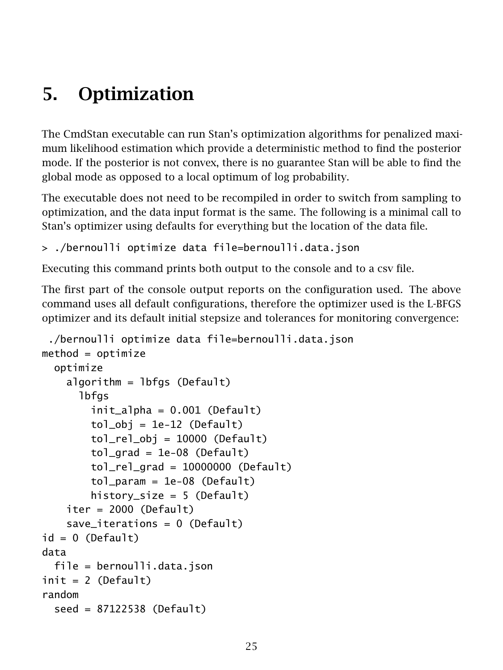## <span id="page-25-0"></span>5. Optimization

The CmdStan executable can run Stan's optimization algorithms for penalized maximum likelihood estimation which provide a deterministic method to find the posterior mode. If the posterior is not convex, there is no guarantee Stan will be able to find the global mode as opposed to a local optimum of log probability.

The executable does not need to be recompiled in order to switch from sampling to optimization, and the data input format is the same. The following is a minimal call to Stan's optimizer using defaults for everything but the location of the data file.

```
> ./bernoulli optimize data file=bernoulli.data.json
```
Executing this command prints both output to the console and to a csv file.

The first part of the console output reports on the configuration used. The above command uses all default configurations, therefore the optimizer used is the L-BFGS optimizer and its default initial stepsize and tolerances for monitoring convergence:

```
./bernoulli optimize data file=bernoulli.data.json
method = optimize
 optimize
    algorithm = lbfgs (Default)
      lbfgs
        initalpha = 0.001 (Default)
        tol_obj = 1e-12 (Default)
        tol_{rel\_obj} = 10000 (Default)
        tol<sub>grad</sub> = 1e-08 (Default)
        tol_{real} and = 10000000 (Default)
        tol\_param = 1e-08 (Default)
        history_size = 5 (Default)
    iter = 2000 (Default)
    save\_iterations = 0 (Default)
id = 0 (Default)
data
 file = bernoulli.data.json
init = 2 (Default)
random
 seed = 87122538 (Default)
```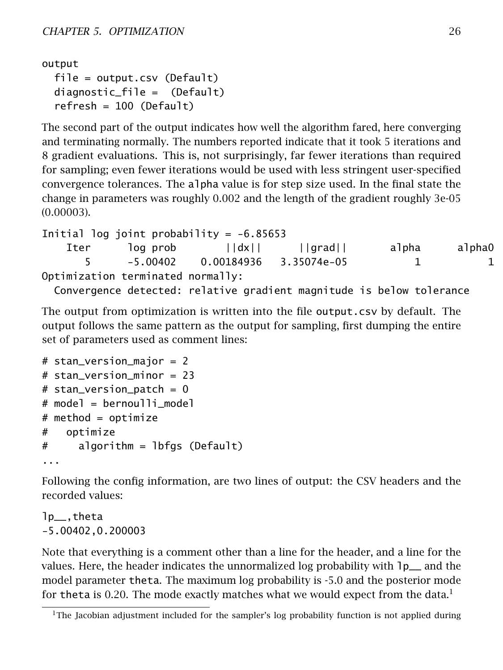```
output
 file = output.csv (Default)
 diagnostic_file = (Default)
  refresh = 100 (Default)
```
The second part of the output indicates how well the algorithm fared, here converging and terminating normally. The numbers reported indicate that it took 5 iterations and 8 gradient evaluations. This is, not surprisingly, far fewer iterations than required for sampling; even fewer iterations would be used with less stringent user-specified convergence tolerances. The alpha value is for step size used. In the final state the change in parameters was roughly 0*.*002 and the length of the gradient roughly 3e-05 (0*.*00003).

Initial log joint probability =  $-6.85653$ Iter log prob ||dx|| ||grad|| alpha alpha0 | 5 -5.00402 0.00184936 3.35074e-05 1 1 8 Optimization terminated normally:

Convergence detected: relative gradient magnitude is below tolerance

The output from optimization is written into the file output.csv by default. The output follows the same pattern as the output for sampling, first dumping the entire set of parameters used as comment lines:

```
# stan_version_major = 2
# stan version minor = 23
# stan_version_patch = 0# model = bernoulli_model
# method = optimize
# optimize
# algorithm = lbfgs (Default)
...
```
Following the config information, are two lines of output: the CSV headers and the recorded values:

lp\_\_,theta -5.00402,0.200003

Note that everything is a comment other than a line for the header, and a line for the values. Here, the header indicates the unnormalized log probability with  $1p_{-}$  and the model parameter theta. The maximum log probability is -5.0 and the posterior mode for theta is 0.20. The mode exactly matches what we would expect from the data.<sup>[1](#page-26-0)</sup>

<span id="page-26-0"></span><sup>&</sup>lt;sup>1</sup>The Jacobian adjustment included for the sampler's log probability function is not applied during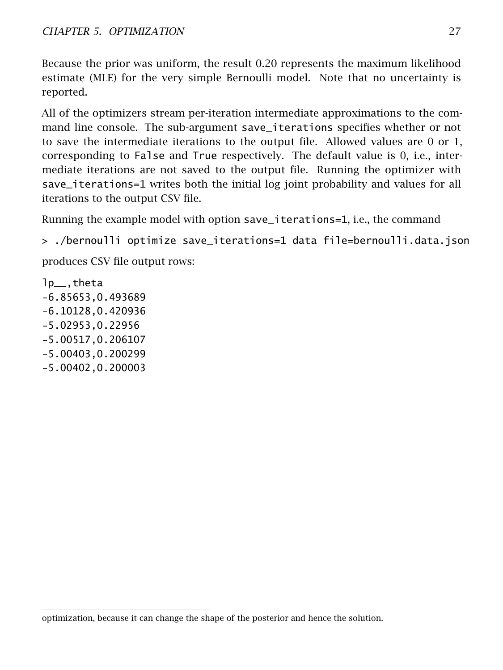Because the prior was uniform, the result 0.20 represents the maximum likelihood estimate (MLE) for the very simple Bernoulli model. Note that no uncertainty is reported.

All of the optimizers stream per-iteration intermediate approximations to the command line console. The sub-argument save\_iterations specifies whether or not to save the intermediate iterations to the output file. Allowed values are 0 or 1, corresponding to False and True respectively. The default value is 0, i.e., intermediate iterations are not saved to the output file. Running the optimizer with save\_iterations=1 writes both the initial log joint probability and values for all iterations to the output CSV file.

Running the example model with option save\_iterations=1, i.e., the command

> ./bernoulli optimize save\_iterations=1 data file=bernoulli.data.json

produces CSV file output rows:

lp\_\_,theta -6.85653,0.493689 -6.10128,0.420936 -5.02953,0.22956 -5.00517,0.206107 -5.00403,0.200299 -5.00402,0.200003

optimization, because it can change the shape of the posterior and hence the solution.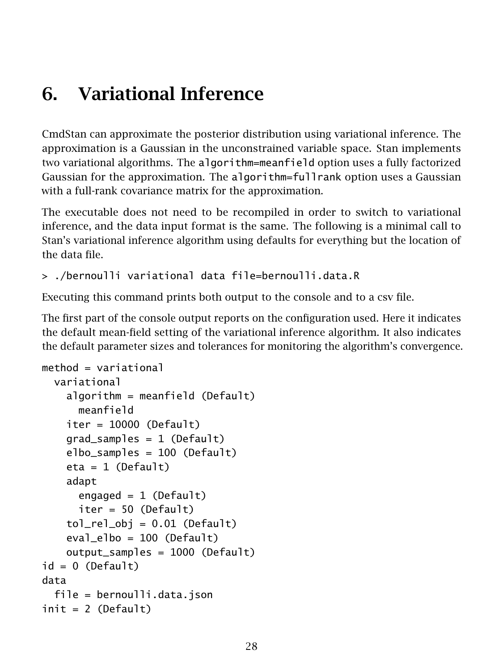## <span id="page-28-0"></span>6. Variational Inference

CmdStan can approximate the posterior distribution using variational inference. The approximation is a Gaussian in the unconstrained variable space. Stan implements two variational algorithms. The algorithm=meanfield option uses a fully factorized Gaussian for the approximation. The algorithm=fullrank option uses a Gaussian with a full-rank covariance matrix for the approximation.

The executable does not need to be recompiled in order to switch to variational inference, and the data input format is the same. The following is a minimal call to Stan's variational inference algorithm using defaults for everything but the location of the data file.

```
> ./bernoulli variational data file=bernoulli.data.R
```
Executing this command prints both output to the console and to a csv file.

The first part of the console output reports on the configuration used. Here it indicates the default mean-field setting of the variational inference algorithm. It also indicates the default parameter sizes and tolerances for monitoring the algorithm's convergence.

```
method = variational
 variational
    algorithm = meanfield (Default)
      meanfield
    iter = 10000 (Default)
    grad_samples = 1 (Default)
    elbo_samples = 100 (Default)
    eta = 1 (Default)
    adapt
      engaged = 1 (Default)
      iter = 50 (Default)
    tol_{rel\_obj} = 0.01 (Default)
    eval_elbo = 100 (Default)
    output_samples = 1000 (Default)
id = 0 (Default)
data
 file = bernoulli.data.json
init = 2 (Default)
```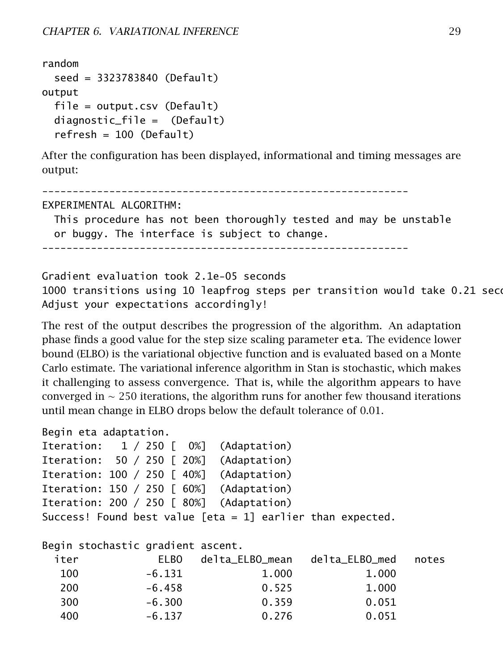```
random
  seed = 3323783840 (Default)
output
 file = output.csv (Default)
 diagnostic_file = (Default)
  refresh = 100 (Default)
```
After the configuration has been displayed, informational and timing messages are output:

```
------------------------------------------------------------
EXPERIMENTAL ALGORITHM:
  This procedure has not been thoroughly tested and may be unstable
  or buggy. The interface is subject to change.
------------------------------------------------------------
```
Gradient evaluation took 2.1e-05 seconds 1000 transitions using 10 leapfrog steps per transition would take 0.21 seco Adjust your expectations accordingly!

The rest of the output describes the progression of the algorithm. An adaptation phase finds a good value for the step size scaling parameter eta. The evidence lower bound (ELBO) is the variational objective function and is evaluated based on a Monte Carlo estimate. The variational inference algorithm in Stan is stochastic, which makes it challenging to assess convergence. That is, while the algorithm appears to have converged in ∼ 250 iterations, the algorithm runs for another few thousand iterations until mean change in ELBO drops below the default tolerance of 0.01.

```
Begin eta adaptation.
```

|  |  | Iteration: 1 / 250 [ 0%] (Adaptation)                      |  |
|--|--|------------------------------------------------------------|--|
|  |  | Iteration: 50 / 250 [ 20%] (Adaptation)                    |  |
|  |  | Iteration: 100 / 250 [ 40%] (Adaptation)                   |  |
|  |  | Iteration: 150 / 250 [ 60%] (Adaptation)                   |  |
|  |  | Iteration: 200 / 250 [ 80%] (Adaptation)                   |  |
|  |  | Success! Found best value [eta = 1] earlier than expected. |  |

Begin stochastic gradient ascent.

| ELBO     | delta ELBO mean | delta ELBO med | notes |
|----------|-----------------|----------------|-------|
| $-6.131$ | 1.000           | 1.000          |       |
| -6.458   | 0.525           | 1,000          |       |
| $-6.300$ | 0.359           | 0.051          |       |
| $-6.137$ | 0.276           | 0.051          |       |
|          |                 |                |       |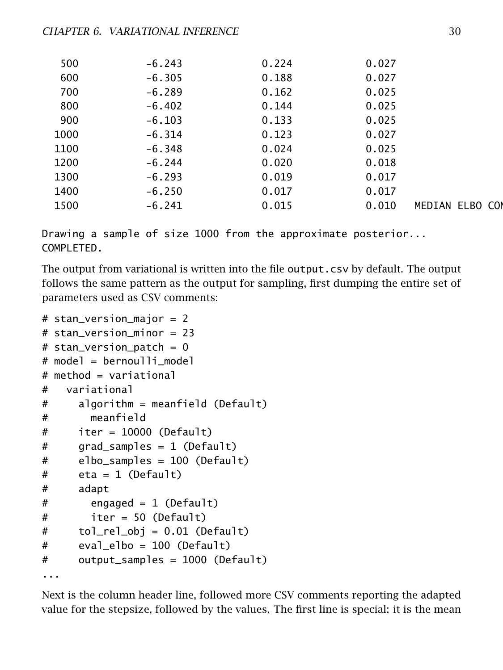| 500  | $-6.243$ | 0.224 | 0.027 |                 |
|------|----------|-------|-------|-----------------|
| 600  | $-6.305$ | 0.188 | 0.027 |                 |
| 700  | $-6.289$ | 0.162 | 0.025 |                 |
| 800  | $-6.402$ | 0.144 | 0.025 |                 |
| 900  | $-6.103$ | 0.133 | 0.025 |                 |
| 1000 | $-6.314$ | 0.123 | 0.027 |                 |
| 1100 | $-6.348$ | 0.024 | 0.025 |                 |
| 1200 | $-6.244$ | 0.020 | 0.018 |                 |
| 1300 | $-6.293$ | 0.019 | 0.017 |                 |
| 1400 | $-6.250$ | 0.017 | 0.017 |                 |
| 1500 | $-6.241$ | 0.015 | 0.010 | MEDIAN ELBO CON |
|      |          |       |       |                 |

Drawing a sample of size 1000 from the approximate posterior... COMPLETED.

The output from variational is written into the file output.csv by default. The output follows the same pattern as the output for sampling, first dumping the entire set of parameters used as CSV comments:

```
# stan_version_major = 2
# stan_version_minor = 23
# stan version patch = 0# model = bernoulli model
# method = variational
# variational
# algorithm = meanfield (Default)
# meanfield
# iter = 10000 (Default)
# grad_samples = 1 (Default)
# elbo_samples = 100 (Default)
# eta = 1 (Default)
# adapt
# engaged = 1 (Default)
# iter = 50 (Default)
# tol_rel_obj = 0.01 (Default)
# eval_elbo = 100 (Default)
# output_samples = 1000 (Default)
...
```
Next is the column header line, followed more CSV comments reporting the adapted value for the stepsize, followed by the values. The first line is special: it is the mean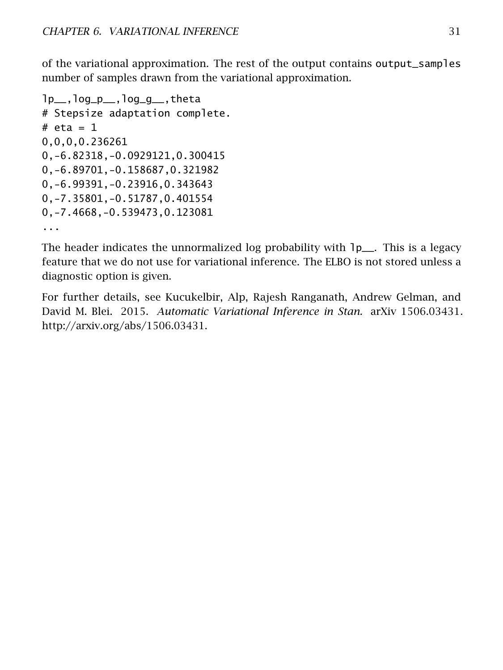of the variational approximation. The rest of the output contains output\_samples number of samples drawn from the variational approximation.

```
lp__,log_p__,log_g__,theta
# Stepsize adaptation complete.
# eta = 10,0,0,0.236261
0,-6.82318,-0.0929121,0.300415
0,-6.89701,-0.158687,0.321982
0,-6.99391,-0.23916,0.343643
0,-7.35801,-0.51787,0.401554
0,-7.4668,-0.539473,0.123081
...
```
The header indicates the unnormalized log probability with  $1p$ <sub>-</sub>. This is a legacy feature that we do not use for variational inference. The ELBO is not stored unless a diagnostic option is given.

For further details, see Kucukelbir, Alp, Rajesh Ranganath, Andrew Gelman, and David M. Blei. 2015. *Automatic Variational Inference in Stan.* arXiv 1506.03431. [http://arxiv.org/abs/1506.03431.](http://arxiv.org/abs/1506.03431)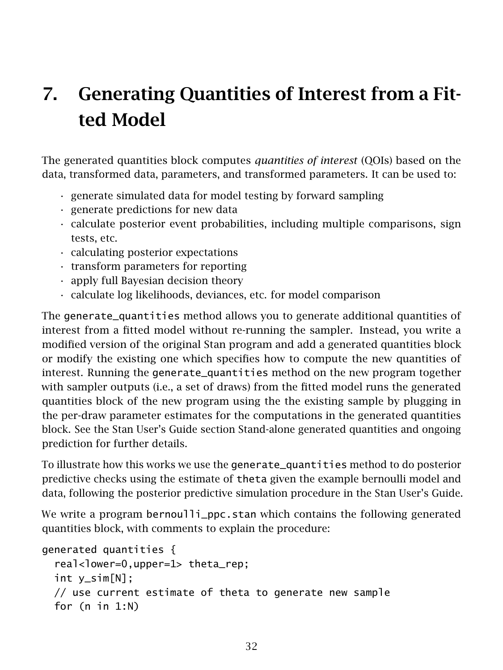# <span id="page-32-0"></span>7. Generating Quantities of Interest from a Fitted Model

The [generated quantities block](https://mc-stan.org/docs/reference-manual/program-block-generated-quantities.html) computes *quantities of interest* (QOIs) based on the data, transformed data, parameters, and transformed parameters. It can be used to:

- generate simulated data for model testing by forward sampling
- generate predictions for new data
- calculate posterior event probabilities, including multiple comparisons, sign tests, etc.
- calculating posterior expectations
- transform parameters for reporting
- apply full Bayesian decision theory
- calculate log likelihoods, deviances, etc. for model comparison

The generate\_quantities method allows you to generate additional quantities of interest from a fitted model without re-running the sampler. Instead, you write a modified version of the original Stan program and add a generated quantities block or modify the existing one which specifies how to compute the new quantities of interest. Running the generate\_quantities method on the new program together with sampler outputs (i.e., a set of draws) from the fitted model runs the generated quantities block of the new program using the the existing sample by plugging in the per-draw parameter estimates for the computations in the generated quantities block. See the Stan User's Guide section [Stand-alone generated quantities and ongoing](https://mc-stan.org/docs/stan-users-guide/stand-alone-generated-quantities-and-ongoing-prediction.html) [prediction](https://mc-stan.org/docs/stan-users-guide/stand-alone-generated-quantities-and-ongoing-prediction.html) for further details.

To illustrate how this works we use the generate\_quantities method to do posterior predictive checks using the estimate of theta given the example bernoulli model and data, following the [posterior predictive simulation](https://mc-stan.org/docs/stan-users-guide/posterior-predictive-simulation-in-stan.html) procedure in the Stan User's Guide.

We write a program bernoulli\_ppc.stan which contains the following generated quantities block, with comments to explain the procedure:

```
generated quantities {
  real<lower=0,upper=1> theta_rep;
 int y_sim[N];
 // use current estimate of theta to generate new sample
 for (n in 1:N)
```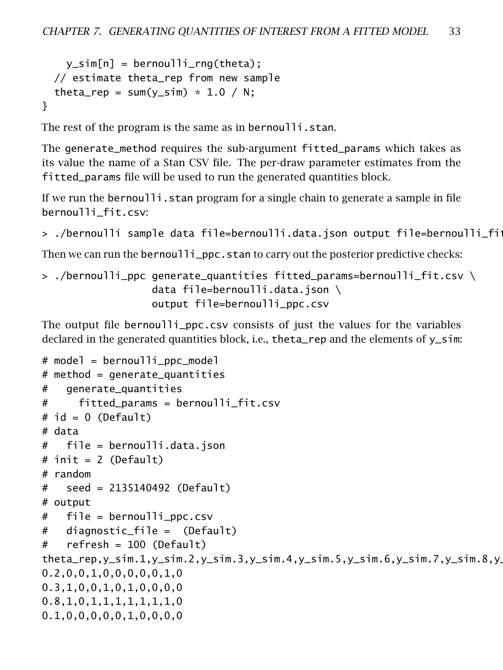```
y_s = \text{Bernoulli} = hernoulli \text{true} (theta);
  // estimate theta_rep from new sample
  theta_rep = sum(y_sim) * 1.0 / N;
}
```
The rest of the program is the same as in bernoulli.stan.

The generate\_method requires the sub-argument fitted\_params which takes as its value the name of a Stan CSV file. The per-draw parameter estimates from the fitted\_params file will be used to run the generated quantities block.

If we run the bernoulli. stan program for a single chain to generate a sample in file bernoulli\_fit.csv:

```
> ./bernoulli sample data file=bernoulli.data.json output file=bernoulli_fit.
```
Then we can run the bernoulli\_ppc.stan to carry out the posterior predictive checks:

```
> ./bernoulli_ppc generate_quantities fitted_params=bernoulli_fit.csv \
                  data file=bernoulli.data.json \
                  output file=bernoulli_ppc.csv
```
The output file bernoulli\_ppc.csv consists of just the values for the variables declared in the generated quantities block, i.e., theta\_rep and the elements of  $y$ \_sim:

```
# model = bernoulli_ppc_model
# method = generate_quantities
# generate_quantities
# fitted_params = bernoulli_fit.csv
# id = 0 (Default)
# data
# file = bernoulli.data.json
# init = 2 (Default)
# random
# seed = 2135140492 (Default)
# output
# file = bernoulli_ppc.csv
# diagnostic_file = (Default)
# refresh = 100 (Default)
theta_rep,y_sim.1,y_sim.2,y_sim.3,y_sim.4,y_sim.5,y_sim.6,y_sim.7,y_sim.8,y
0.2,0,0,1,0,0,0,0,0,1,0
0.3,1,0,0,1,0,1,0,0,0,0
0.8,1,0,1,1,1,1,1,1,1,0
0.1,0,0,0,0,0,1,0,0,0,0
```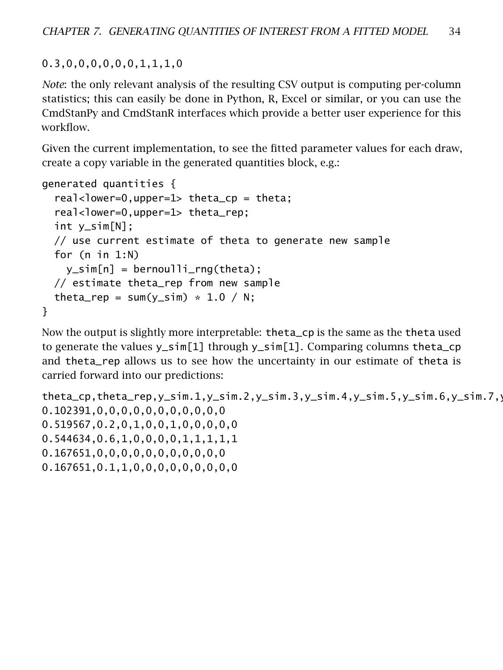0.3,0,0,0,0,0,0,1,1,1,0

*Note*: the only relevant analysis of the resulting CSV output is computing per-column statistics; this can easily be done in Python, R, Excel or similar, or you can use the CmdStanPy and CmdStanR interfaces which provide a better user experience for this workflow.

Given the current implementation, to see the fitted parameter values for each draw, create a copy variable in the generated quantities block, e.g.:

```
generated quantities {
  real<lower=0,upper=1> theta_cp = theta;
  real<lower=0,upper=1> theta_rep;
 int y_sim[N];
 // use current estimate of theta to generate new sample
 for (n in 1:N)
    y_s = \text{Bernoulli} = bernoulli rng(theta);
 // estimate theta_rep from new sample
 theta_rep = sum(y_sim) * 1.0 / N;}
```
Now the output is slightly more interpretable: theta\_cp is the same as the theta used to generate the values y\_sim[1] through y\_sim[1]. Comparing columns theta\_cp and theta\_rep allows us to see how the uncertainty in our estimate of theta is carried forward into our predictions:

```
theta_cp,theta_rep,y_sim.1,y_sim.2,y_sim.3,y_sim.4,y_sim.5,y_sim.6,y_sim.7,y_sim.7,y_sim.7,y_sim.7,y_sim.7,y_sim.100,y_sim.100,y_sim.100,y_sim.100,y_sim.100,y_sim.100,y_sim.100,y_sim.100,y_sim.100,y_sim.100,y_sim.100,y_si
0.102391,0,0,0,0,0,0,0,0,0,0,0
0.519567,0.2,0,1,0,0,1,0,0,0,0,0
0.544634,0.6,1,0,0,0,0,1,1,1,1,1
0.167651,0,0,0,0,0,0,0,0,0,0,0
0.167651,0.1,1,0,0,0,0,0,0,0,0,0
```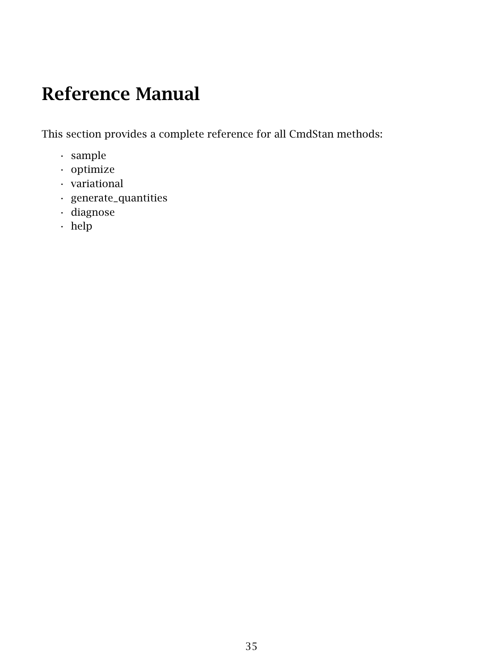## <span id="page-35-0"></span>Reference Manual

This section provides a complete reference for all CmdStan methods:

- sample
- optimize
- variational
- generate\_quantities
- diagnose
- help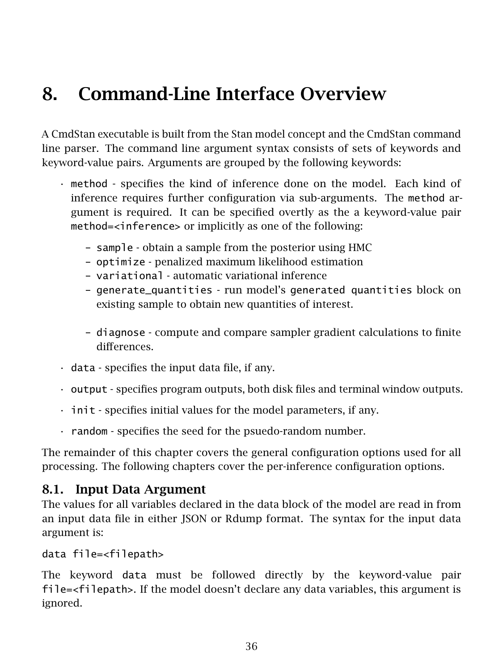# 8. Command-Line Interface Overview

A CmdStan executable is built from the Stan model concept and the CmdStan command line parser. The command line argument syntax consists of sets of keywords and keyword-value pairs. Arguments are grouped by the following keywords:

- method specifies the kind of inference done on the model. Each kind of inference requires further configuration via sub-arguments. The method argument is required. It can be specified overtly as the a keyword-value pair method=<inference> or implicitly as one of the following:
	- sample obtain a sample from the posterior using HMC
	- optimize penalized maximum likelihood estimation
	- variational automatic variational inference
	- generate\_quantities run model's generated quantities block on existing sample to obtain new quantities of interest.
	- diagnose compute and compare sampler gradient calculations to finite differences.
- data specifies the input data file, if any.
- output specifies program outputs, both disk files and terminal window outputs.
- init specifies initial values for the model parameters, if any.
- random specifies the seed for the psuedo-random number.

The remainder of this chapter covers the general configuration options used for all processing. The following chapters cover the per-inference configuration options.

### 8.1. Input Data Argument

The values for all variables declared in the data block of the model are read in from an input data file in either JSON or Rdump format. The syntax for the input data argument is:

```
data file=<filepath>
```
The keyword data must be followed directly by the keyword-value pair file=<filepath>. If the model doesn't declare any data variables, this argument is ignored.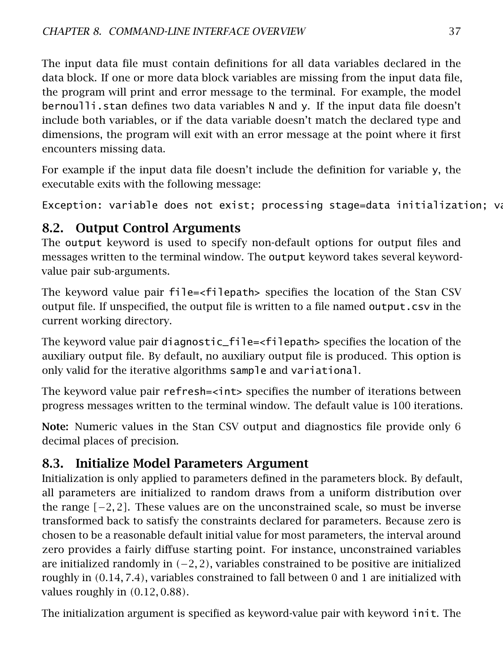The input data file must contain definitions for all data variables declared in the data block. If one or more data block variables are missing from the input data file, the program will print and error message to the terminal. For example, the model bernoulli.stan defines two data variables N and y. If the input data file doesn't include both variables, or if the data variable doesn't match the declared type and dimensions, the program will exit with an error message at the point where it first encounters missing data.

For example if the input data file doesn't include the definition for variable y, the executable exits with the following message:

Exception: variable does not exist; processing stage=data initialization; variable

## 8.2. Output Control Arguments

The output keyword is used to specify non-default options for output files and messages written to the terminal window. The output keyword takes several keywordvalue pair sub-arguments.

The keyword value pair file=<filepath> specifies the location of the Stan CSV output file. If unspecified, the output file is written to a file named output.csv in the current working directory.

The keyword value pair diagnostic\_file=<filepath> specifies the location of the auxiliary output file. By default, no auxiliary output file is produced. This option is only valid for the iterative algorithms sample and variational.

The keyword value pair refresh=<int> specifies the number of iterations between progress messages written to the terminal window. The default value is 100 iterations.

Note: Numeric values in the Stan CSV output and diagnostics file provide only 6 decimal places of precision.

## 8.3. Initialize Model Parameters Argument

Initialization is only applied to parameters defined in the parameters block. By default, all parameters are initialized to random draws from a uniform distribution over the range *[*−2*,* 2*]*. These values are on the unconstrained scale, so must be inverse transformed back to satisfy the constraints declared for parameters. Because zero is chosen to be a reasonable default initial value for most parameters, the interval around zero provides a fairly diffuse starting point. For instance, unconstrained variables are initialized randomly in *(*−2*,* 2*)*, variables constrained to be positive are initialized roughly in *(*0*.*14*,* 7*.*4*)*, variables constrained to fall between 0 and 1 are initialized with values roughly in *(*0*.*12*,* 0*.*88*)*.

The initialization argument is specified as keyword-value pair with keyword init. The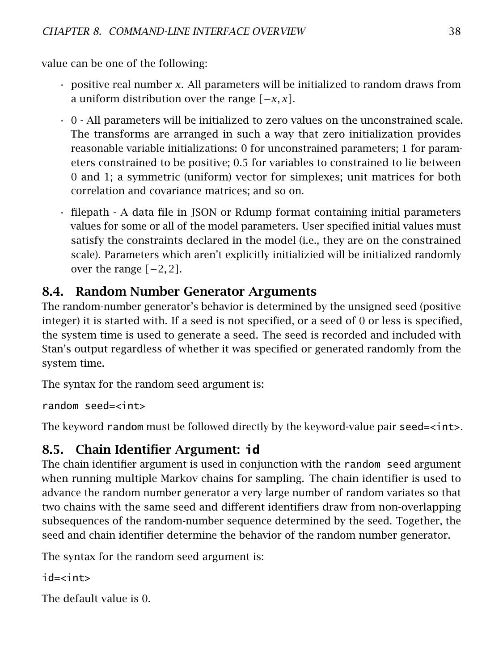value can be one of the following:

- positive real number *x*. All parameters will be initialized to random draws from a uniform distribution over the range *[*−*x, x]*.
- $\cdot$  0 All parameters will be initialized to zero values on the unconstrained scale. The transforms are arranged in such a way that zero initialization provides reasonable variable initializations: 0 for unconstrained parameters; 1 for parameters constrained to be positive; 0*.*5 for variables to constrained to lie between 0 and 1; a symmetric (uniform) vector for simplexes; unit matrices for both correlation and covariance matrices; and so on.
- filepath A data file in JSON or Rdump format containing initial parameters values for some or all of the model parameters. User specified initial values must satisfy the constraints declared in the model (i.e., they are on the constrained scale). Parameters which aren't explicitly initializied will be initialized randomly over the range *[*−2*,* 2*]*.

## 8.4. Random Number Generator Arguments

The random-number generator's behavior is determined by the unsigned seed (positive integer) it is started with. If a seed is not specified, or a seed of 0 or less is specified, the system time is used to generate a seed. The seed is recorded and included with Stan's output regardless of whether it was specified or generated randomly from the system time.

The syntax for the random seed argument is:

```
random seed=<int>
```
The keyword random must be followed directly by the keyword-value pair seed=<int>.

## 8.5. Chain Identifier Argument: **id**

The chain identifier argument is used in conjunction with the random seed argument when running multiple Markov chains for sampling. The chain identifier is used to advance the random number generator a very large number of random variates so that two chains with the same seed and different identifiers draw from non-overlapping subsequences of the random-number sequence determined by the seed. Together, the seed and chain identifier determine the behavior of the random number generator.

The syntax for the random seed argument is:

```
id-\lambdaint\lambda
```
The default value is 0.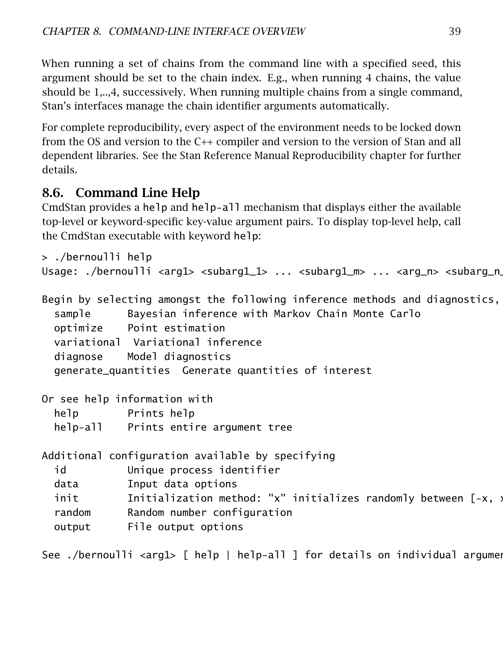When running a set of chains from the command line with a specified seed, this argument should be set to the chain index. E.g., when running 4 chains, the value should be 1,..,4, successively. When running multiple chains from a single command, Stan's interfaces manage the chain identifier arguments automatically.

For complete reproducibility, every aspect of the environment needs to be locked down from the OS and version to the C++ compiler and version to the version of Stan and all dependent libraries. See the [Stan Reference Manual Reproducibility chapter](https://mc-stan.org/docs/reference-manual/reproducibility-chapter.html) for further details.

## 8.6. Command Line Help

CmdStan provides a help and help-all mechanism that displays either the available top-level or keyword-specific key-value argument pairs. To display top-level help, call the CmdStan executable with keyword help:

```
> ./bernoulli help
Usage: ./bernoulli <arg1> <subarg1_1> ... <subarg1_m> ... <arg_n> <subarg_n
Begin by selecting amongst the following inference methods and diagnostics,
 sample Bayesian inference with Markov Chain Monte Carlo
 optimize Point estimation
 variational Variational inference
 diagnose Model diagnostics
 generate_quantities Generate quantities of interest
Or see help information with
 help Prints help
 help-all Prints entire argument tree
Additional configuration available by specifying
 id Unique process identifier
 data Input data options
 init Initialization method: "x" initializes randomly between [-x, )
 random Random number configuration
 output File output options
See ./bernoulli <arg1> [ help | help-all ] for details on individual arguments
```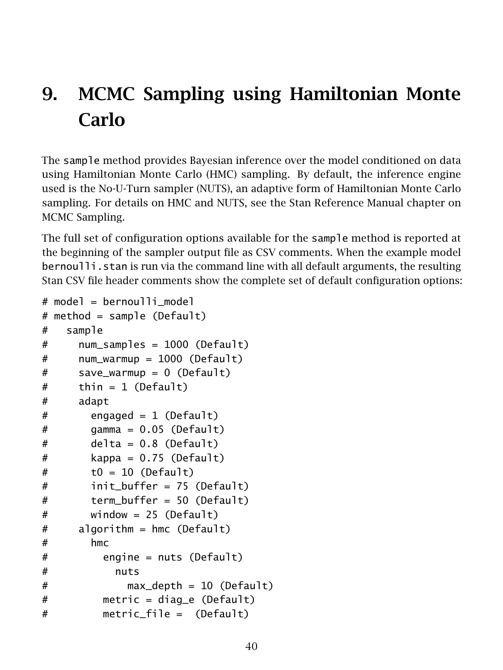# 9. MCMC Sampling using Hamiltonian Monte Carlo

The sample method provides Bayesian inference over the model conditioned on data using Hamiltonian Monte Carlo (HMC) sampling. By default, the inference engine used is the No-U-Turn sampler (NUTS), an adaptive form of Hamiltonian Monte Carlo sampling. For details on HMC and NUTS, see the Stan Reference Manual chapter on [MCMC Sampling.](https://mc-stan.org/docs/reference-manual/hmc-chapter.html)

The full set of configuration options available for the sample method is reported at the beginning of the sampler output file as CSV comments. When the example model bernoulli. stan is run via the command line with all default arguments, the resulting Stan CSV file header comments show the complete set of default configuration options:

```
# model = bernoulli model
# method = sample (Default)
# sample
# num_samples = 1000 (Default)
# num_warmup = 1000 (Default)
# save_warmup = 0 (Default)
# thin = 1 (Default)
# adapt
# engaged = 1 (Default)
# \qquad \qquad gamma = 0.05 (Default)
# delta = 0.8 (Default)
# kappa = 0.75 (Default)
# t0 = 10 (Default)
# init_buffer = 75 (Default)
# term_buffer = 50 (Default)
# window = 25 (Default)
# algorithm = hmc (Default)
# hmc
# engine = nuts (Default)
# nuts
# max_depth = 10 (Default)
# metric = diag_e (Default)
# metric_file = (Default)
```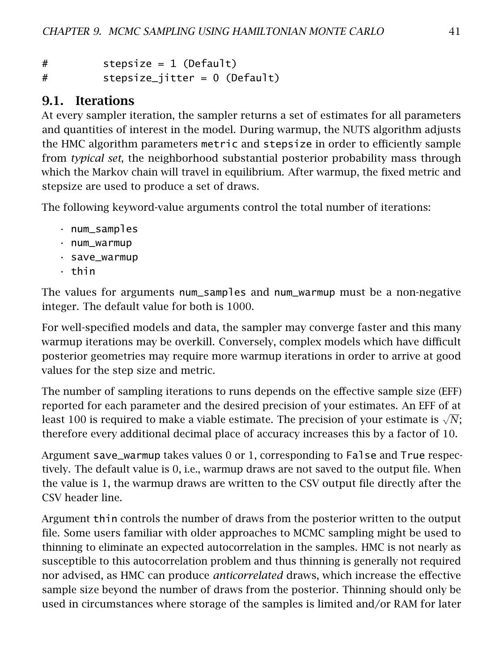# stepsize = 1 (Default) # stepsize\_jitter = 0 (Default)

## 9.1. Iterations

At every sampler iteration, the sampler returns a set of estimates for all parameters and quantities of interest in the model. During warmup, the NUTS algorithm adjusts the HMC algorithm parameters metric and stepsize in order to efficiently sample from *typical set*, the neighborhood substantial posterior probability mass through which the Markov chain will travel in equilibrium. After warmup, the fixed metric and stepsize are used to produce a set of draws.

The following keyword-value arguments control the total number of iterations:

- num\_samples
- num\_warmup
- save\_warmup
- thin

The values for arguments num\_samples and num\_warmup must be a non-negative integer. The default value for both is 1000.

For well-specified models and data, the sampler may converge faster and this many warmup iterations may be overkill. Conversely, complex models which have difficult posterior geometries may require more warmup iterations in order to arrive at good values for the step size and metric.

The number of sampling iterations to runs depends on the effective sample size (EFF) reported for each parameter and the desired precision of your estimates. An EFF of at reported for each parameter and the desired precision of your estimates. An Err or at<br>least 100 is required to make a viable estimate. The precision of your estimate is √N; therefore every additional decimal place of accuracy increases this by a factor of 10.

Argument save\_warmup takes values 0 or 1, corresponding to False and True respectively. The default value is 0, i.e., warmup draws are not saved to the output file. When the value is 1, the warmup draws are written to the CSV output file directly after the CSV header line.

Argument thin controls the number of draws from the posterior written to the output file. Some users familiar with older approaches to MCMC sampling might be used to thinning to eliminate an expected autocorrelation in the samples. HMC is not nearly as susceptible to this autocorrelation problem and thus thinning is generally not required nor advised, as HMC can produce *anticorrelated* draws, which increase the effective sample size beyond the number of draws from the posterior. Thinning should only be used in circumstances where storage of the samples is limited and/or RAM for later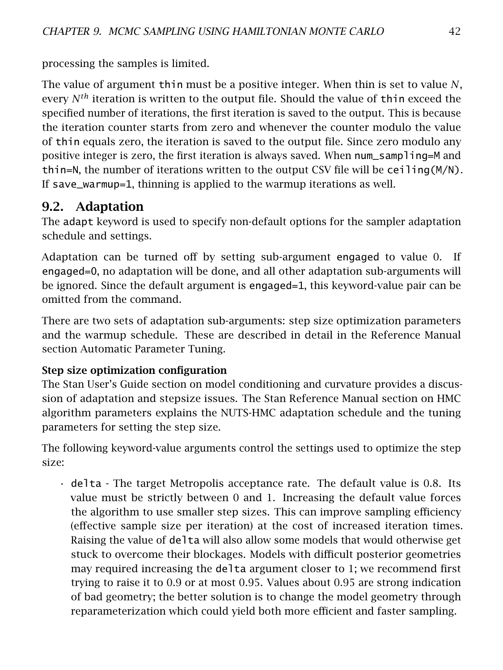processing the samples is limited.

The value of argument thin must be a positive integer. When thin is set to value *N*, every  $N^{th}$  iteration is written to the output file. Should the value of thin exceed the specified number of iterations, the first iteration is saved to the output. This is because the iteration counter starts from zero and whenever the counter modulo the value of thin equals zero, the iteration is saved to the output file. Since zero modulo any positive integer is zero, the first iteration is always saved. When num\_sampling=M and thin=N, the number of iterations written to the output CSV file will be ceiling  $(M/N)$ . If save\_warmup=1, thinning is applied to the warmup iterations as well.

## 9.2. Adaptation

The adapt keyword is used to specify non-default options for the sampler adaptation schedule and settings.

Adaptation can be turned off by setting sub-argument engaged to value 0. If engaged=0, no adaptation will be done, and all other adaptation sub-arguments will be ignored. Since the default argument is engaged=1, this keyword-value pair can be omitted from the command.

There are two sets of adaptation sub-arguments: step size optimization parameters and the warmup schedule. These are described in detail in the Reference Manual section [Automatic Parameter Tuning.](https://mc-stan.org/docs/2_23/reference-manual/hmc-algorithm-parameters.html)

#### Step size optimization configuration

The Stan User's Guide section on [model conditioning and curvature](https://mc-stan.org/docs/stan-users-guide/model-conditioning-and-curvature.html) provides a discussion of adaptation and stepsize issues. The Stan Reference Manual section on [HMC](https://mc-stan.org/docs/reference-manual/hmc-algorithm-parameters.html) [algorithm parameters](https://mc-stan.org/docs/reference-manual/hmc-algorithm-parameters.html) explains the NUTS-HMC adaptation schedule and the tuning parameters for setting the step size.

The following keyword-value arguments control the settings used to optimize the step size:

• delta - The target Metropolis acceptance rate. The default value is 0*.*8. Its value must be strictly between 0 and 1. Increasing the default value forces the algorithm to use smaller step sizes. This can improve sampling efficiency (effective sample size per iteration) at the cost of increased iteration times. Raising the value of delta will also allow some models that would otherwise get stuck to overcome their blockages. Models with difficult posterior geometries may required increasing the delta argument closer to 1; we recommend first trying to raise it to 0*.*9 or at most 0*.*95. Values about 0*.*95 are strong indication of bad geometry; the better solution is to change the model geometry through [reparameterization](https://mc-stan.org/docs/stan-users-guide/reparameterization-section.html) which could yield both more efficient and faster sampling.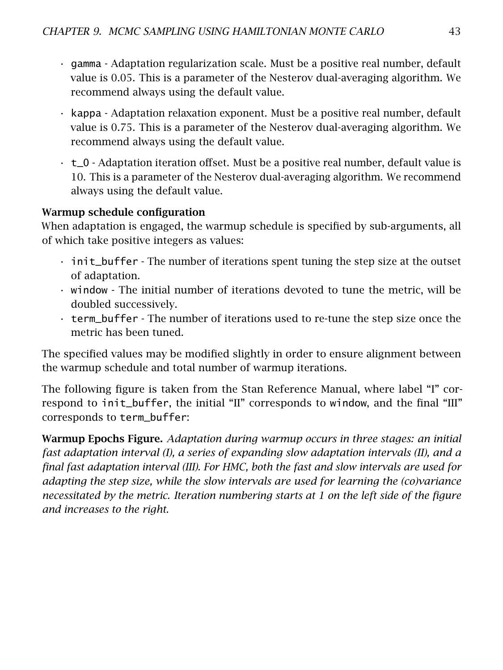- gamma Adaptation regularization scale. Must be a positive real number, default value is 0*.*05. This is a parameter of the Nesterov dual-averaging algorithm. We recommend always using the default value.
- kappa Adaptation relaxation exponent. Must be a positive real number, default value is 0*.*75. This is a parameter of the Nesterov dual-averaging algorithm. We recommend always using the default value.
- t\_0 Adaptation iteration offset. Must be a positive real number, default value is 10. This is a parameter of the Nesterov dual-averaging algorithm. We recommend always using the default value.

#### Warmup schedule configuration

When adaptation is engaged, the warmup schedule is specified by sub-arguments, all of which take positive integers as values:

- init\_buffer The number of iterations spent tuning the step size at the outset of adaptation.
- window The initial number of iterations devoted to tune the metric, will be doubled successively.
- term\_buffer The number of iterations used to re-tune the step size once the metric has been tuned.

The specified values may be modified slightly in order to ensure alignment between the warmup schedule and total number of warmup iterations.

The following figure is taken from the Stan Reference Manual, where label "I" correspond to init\_buffer, the initial "II" corresponds to window, and the final "III" corresponds to term\_buffer:

Warmup Epochs Figure. *Adaptation during warmup occurs in three stages: an initial fast adaptation interval (I), a series of expanding slow adaptation intervals (II), and a final fast adaptation interval (III). For HMC, both the fast and slow intervals are used for adapting the step size, while the slow intervals are used for learning the (co)variance necessitated by the metric. Iteration numbering starts at 1 on the left side of the figure and increases to the right.*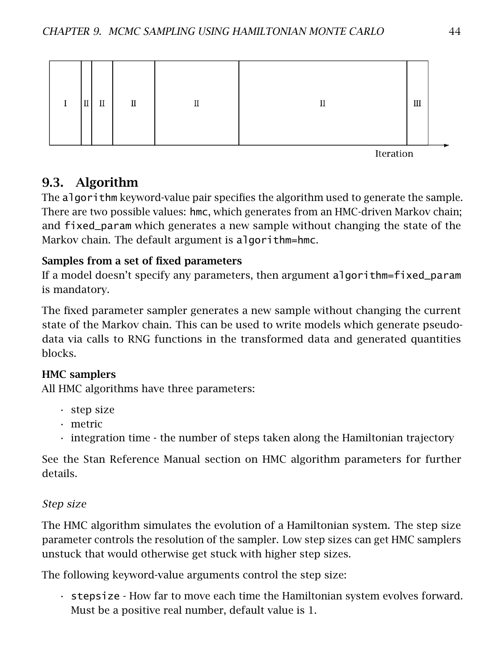

Iteration

## 9.3. Algorithm

The algorithm keyword-value pair specifies the algorithm used to generate the sample. There are two possible values: hmc, which generates from an HMC-driven Markov chain; and fixed\_param which generates a new sample without changing the state of the Markov chain. The default argument is algorithm=hmc.

### Samples from a set of fixed parameters

If a model doesn't specify any parameters, then argument algorithm=fixed\_param is mandatory.

The fixed parameter sampler generates a new sample without changing the current state of the Markov chain. This can be used to write models which generate pseudodata via calls to RNG functions in the transformed data and generated quantities blocks.

### HMC samplers

All HMC algorithms have three parameters:

- step size
- metric
- integration time the number of steps taken along the Hamiltonian trajectory

See the Stan Reference Manual section on [HMC algorithm parameters](https://mc-stan.org/docs/reference-manual/hmc-algorithm-parameters.html) for further details.

### Step size

The HMC algorithm simulates the evolution of a Hamiltonian system. The step size parameter controls the resolution of the sampler. Low step sizes can get HMC samplers unstuck that would otherwise get stuck with higher step sizes.

The following keyword-value arguments control the step size:

• stepsize - How far to move each time the Hamiltonian system evolves forward. Must be a positive real number, default value is 1.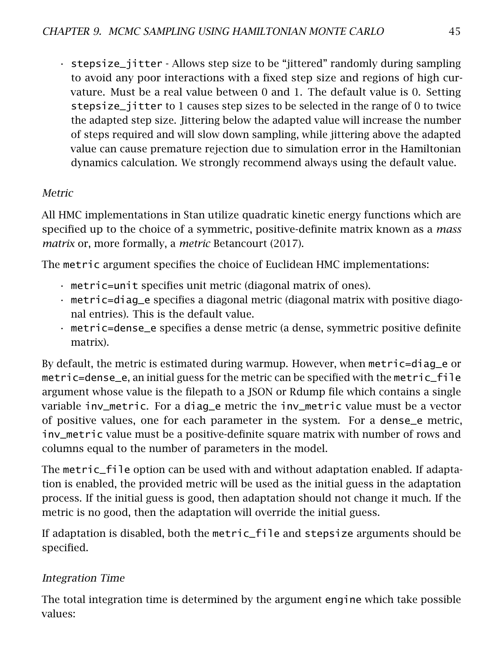• stepsize\_jitter - Allows step size to be "jittered" randomly during sampling to avoid any poor interactions with a fixed step size and regions of high curvature. Must be a real value between 0 and 1. The default value is 0. Setting stepsize\_jitter to 1 causes step sizes to be selected in the range of 0 to twice the adapted step size. Jittering below the adapted value will increase the number of steps required and will slow down sampling, while jittering above the adapted value can cause premature rejection due to simulation error in the Hamiltonian dynamics calculation. We strongly recommend always using the default value.

#### Metric

All HMC implementations in Stan utilize quadratic kinetic energy functions which are specified up to the choice of a symmetric, positive-definite matrix known as a *mass matrix* or, more formally, a *metric* Betancourt [\(2017\)](#page-98-0).

The metric argument specifies the choice of Euclidean HMC implementations:

- metric=unit specifies unit metric (diagonal matrix of ones).
- metric=diag\_e specifies a diagonal metric (diagonal matrix with positive diagonal entries). This is the default value.
- metric=dense\_e specifies a dense metric (a dense, symmetric positive definite matrix).

By default, the metric is estimated during warmup. However, when metric=diag\_e or metric=dense\_e, an initial guess for the metric can be specified with the metric\_file argument whose value is the filepath to a JSON or Rdump file which contains a single variable inv\_metric. For a diag\_e metric the inv\_metric value must be a vector of positive values, one for each parameter in the system. For a dense\_e metric, inv\_metric value must be a positive-definite square matrix with number of rows and columns equal to the number of parameters in the model.

The metric\_file option can be used with and without adaptation enabled. If adaptation is enabled, the provided metric will be used as the initial guess in the adaptation process. If the initial guess is good, then adaptation should not change it much. If the metric is no good, then the adaptation will override the initial guess.

If adaptation is disabled, both the metric\_file and stepsize arguments should be specified.

#### Integration Time

The total integration time is determined by the argument engine which take possible values: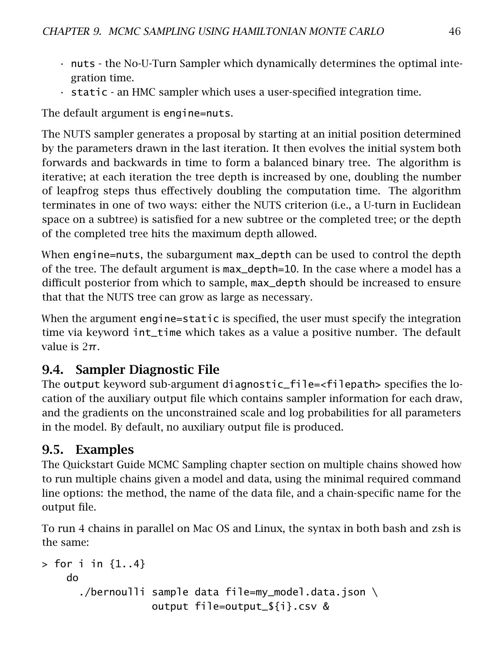- nuts the No-U-Turn Sampler which dynamically determines the optimal integration time.
- static an HMC sampler which uses a user-specified integration time.

The default argument is engine=nuts.

The NUTS sampler generates a proposal by starting at an initial position determined by the parameters drawn in the last iteration. It then evolves the initial system both forwards and backwards in time to form a balanced binary tree. The algorithm is iterative; at each iteration the tree depth is increased by one, doubling the number of leapfrog steps thus effectively doubling the computation time. The algorithm terminates in one of two ways: either the NUTS criterion (i.e., a U-turn in Euclidean space on a subtree) is satisfied for a new subtree or the completed tree; or the depth of the completed tree hits the maximum depth allowed.

When engine=nuts, the subargument max\_depth can be used to control the depth of the tree. The default argument is max\_depth=10. In the case where a model has a difficult posterior from which to sample, max\_depth should be increased to ensure that that the NUTS tree can grow as large as necessary.

When the argument engine=static is specified, the user must specify the integration time via keyword int\_time which takes as a value a positive number. The default value is 2*π*.

## 9.4. Sampler Diagnostic File

The output keyword sub-argument diagnostic\_file=<filepath> specifies the location of the auxiliary output file which contains sampler information for each draw, and the gradients on the unconstrained scale and log probabilities for all parameters in the model. By default, no auxiliary output file is produced.

## 9.5. Examples

The Quickstart Guide [MCMC Sampling chapter](#page-18-0) section on multiple chains showed how to run multiple chains given a model and data, using the minimal required command line options: the method, the name of the data file, and a chain-specific name for the output file.

To run 4 chains in parallel on Mac OS and Linux, the syntax in both bash and zsh is the same:

```
> for i in {1..4}do
      ./bernoulli sample data file=my_model.data.json \
                  output file=output_${i}.csv &
```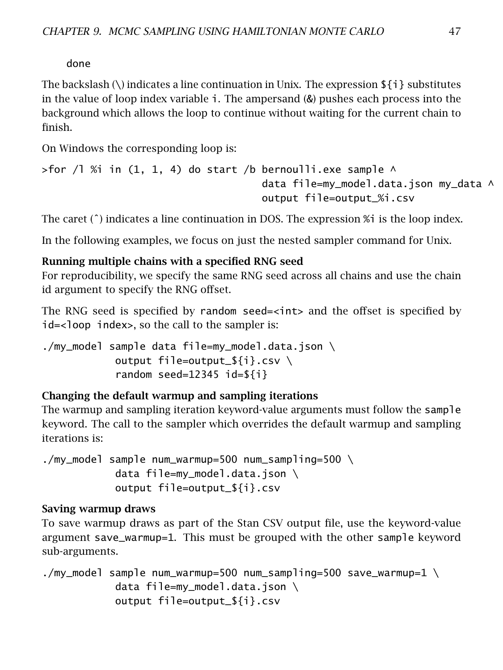done

The backslash (\) indicates a line continuation in Unix. The expression  $\{i\}$  substitutes in the value of loop index variable i. The ampersand (&) pushes each process into the background which allows the loop to continue without waiting for the current chain to finish.

On Windows the corresponding loop is:

```
>for /l %i in (1, 1, 4) do start /b bernoulli.exe sample \wedgedata file=my_model.data.json my_data ^
                                     output file=output_%i.csv
```
The caret ( $\hat{ }$ ) indicates a line continuation in DOS. The expression %i is the loop index.

In the following examples, we focus on just the nested sampler command for Unix.

### Running multiple chains with a specified RNG seed

For reproducibility, we specify the same RNG seed across all chains and use the chain id argument to specify the RNG offset.

The RNG seed is specified by random seed=<int> and the offset is specified by id=<loop index>, so the call to the sampler is:

./my\_model sample data file=my\_model.data.json \ output file=output\_\${i}.csv \ random seed=12345 id=\${i}

### Changing the default warmup and sampling iterations

The warmup and sampling iteration keyword-value arguments must follow the sample keyword. The call to the sampler which overrides the default warmup and sampling iterations is:

./my\_model sample num\_warmup=500 num\_sampling=500 \ data file=my\_model.data.json \ output file=output\_\${i}.csv

### Saving warmup draws

To save warmup draws as part of the Stan CSV output file, use the keyword-value argument save\_warmup=1. This must be grouped with the other sample keyword sub-arguments.

```
./my_model sample num_warmup=500 num_sampling=500 save_warmup=1 \setminusdata file=my_model.data.json \
            output file=output_${i}.csv
```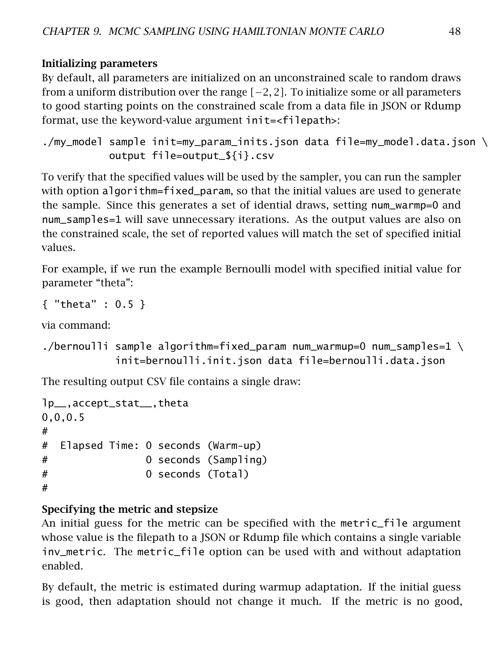#### Initializing parameters

By default, all parameters are initialized on an unconstrained scale to random draws from a uniform distribution over the range *[*−2*,* 2*]*. To initialize some or all parameters to good starting points on the constrained scale from a data file in JSON or Rdump format, use the keyword-value argument init=<filepath>:

```
./my_model sample init=my_param_inits.json data file=my_model.data.json \
          output file=output_${i}.csv
```
To verify that the specified values will be used by the sampler, you can run the sampler with option algorithm=fixed\_param, so that the initial values are used to generate the sample. Since this generates a set of idential draws, setting num\_warmp=0 and num\_samples=1 will save unnecessary iterations. As the output values are also on the constrained scale, the set of reported values will match the set of specified initial values.

For example, if we run the example Bernoulli model with specified initial value for parameter "theta":

```
{ "theta" : 0.5 }
```
via command:

```
./bernoulli sample algorithm=fixed_param num_warmup=0 num_samples=1 \backslashinit=bernoulli.init.json data file=bernoulli.data.json
```
The resulting output CSV file contains a single draw:

```
lp__,accept_stat__,theta
0,0,0.5
#
# Elapsed Time: 0 seconds (Warm-up)
# 0 seconds (Sampling)
# 0 seconds (Total)
#
```
### Specifying the metric and stepsize

An initial guess for the metric can be specified with the metric\_file argument whose value is the filepath to a JSON or Rdump file which contains a single variable inv\_metric. The metric\_file option can be used with and without adaptation enabled.

By default, the metric is estimated during warmup adaptation. If the initial guess is good, then adaptation should not change it much. If the metric is no good,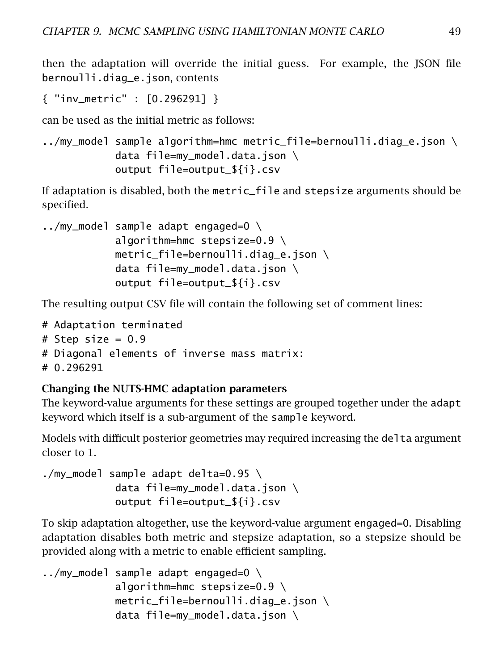then the adaptation will override the initial guess. For example, the JSON file bernoulli.diag\_e.json, contents

```
{ "inv_metric" : [0.296291] }
```
can be used as the initial metric as follows:

```
\ldots/my_model sample algorithm=hmc metric_file=bernoulli.diag_e.json \
            data file=my_model.data.json \
            output file=output_${i}.csv
```
If adaptation is disabled, both the metric\_file and stepsize arguments should be specified.

```
../my_model sample adapt engaged=0 \
             algorithm=hmc stepsize=0.9 \setminusmetric file=bernoulli.diag e.json \setminusdata file=my_model.data.json \
             output file=output_${i}.csv
```
The resulting output CSV file will contain the following set of comment lines:

```
# Adaptation terminated
# Step size = 0.9# Diagonal elements of inverse mass matrix:
# 0.296291
```
#### Changing the NUTS-HMC adaptation parameters

The keyword-value arguments for these settings are grouped together under the adapt keyword which itself is a sub-argument of the sample keyword.

Models with difficult posterior geometries may required increasing the delta argument closer to 1.

```
./my_model sample adapt delta=0.95 \
            data file=my_model.data.json \
           output file=output_${i}.csv
```
To skip adaptation altogether, use the keyword-value argument engaged=0. Disabling adaptation disables both metric and stepsize adaptation, so a stepsize should be provided along with a metric to enable efficient sampling.

```
../my_model sample adapt engaged=0 \
            algorithm=hmc stepsize=0.9 \setminusmetric_file=bernoulli.diag_e.json \
            data file=my_model.data.json \
```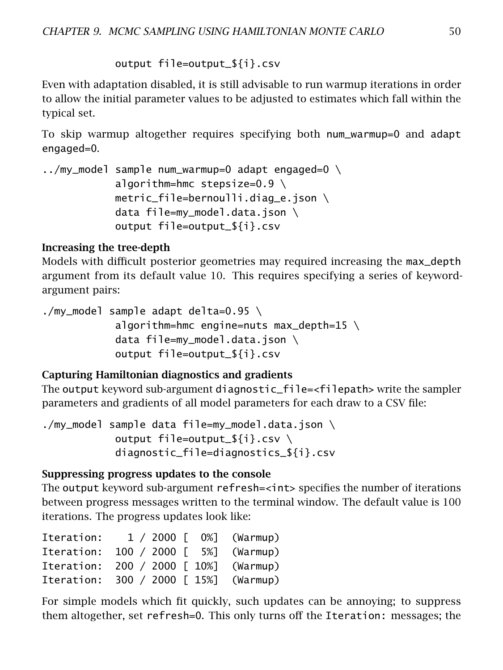output file=output\_\${i}.csv

Even with adaptation disabled, it is still advisable to run warmup iterations in order to allow the initial parameter values to be adjusted to estimates which fall within the [typical set.](https://mc-stan.org/docs/stan-users-guide/model-conditioning-and-curvature.html)

To skip warmup altogether requires specifying both num\_warmup=0 and adapt engaged=0.

```
../my_model sample num_warmup=0 adapt engaged=0 \setminusalgorithm=hmc stepsize=0.9 \setminusmetric_file=bernoulli.diag_e.json \
            data file=my_model.data.json \
            output file=output_${i}.csv
```
#### Increasing the tree-depth

Models with difficult posterior geometries may required increasing the max\_depth argument from its default value 10. This requires specifying a series of keywordargument pairs:

./my\_model sample adapt delta=0.95 \ algorithm=hmc engine=nuts max\_depth=15 \ data file=my\_model.data.json \ output file=output\_\${i}.csv

#### Capturing Hamiltonian diagnostics and gradients

The output keyword sub-argument diagnostic\_file=<filepath> write the sampler parameters and gradients of all model parameters for each draw to a CSV file:

./my\_model sample data file=my\_model.data.json \ output file=output\_\${i}.csv \ diagnostic\_file=diagnostics\_\${i}.csv

#### Suppressing progress updates to the console

The output keyword sub-argument refresh=<int> specifies the number of iterations between progress messages written to the terminal window. The default value is 100 iterations. The progress updates look like:

| Iteration: |                   | $1 / 2000$ [ 0%] (Warmup) |
|------------|-------------------|---------------------------|
| Iteration: | 100 / 2000 [ 5%]  | (Warmup)                  |
| Iteration: | 200 / 2000 [ 10%] | (Warmup)                  |
| Iteration: | 300 / 2000 [ 15%] | (Warmup)                  |

For simple models which fit quickly, such updates can be annoying; to suppress them altogether, set refresh=0. This only turns off the Iteration: messages; the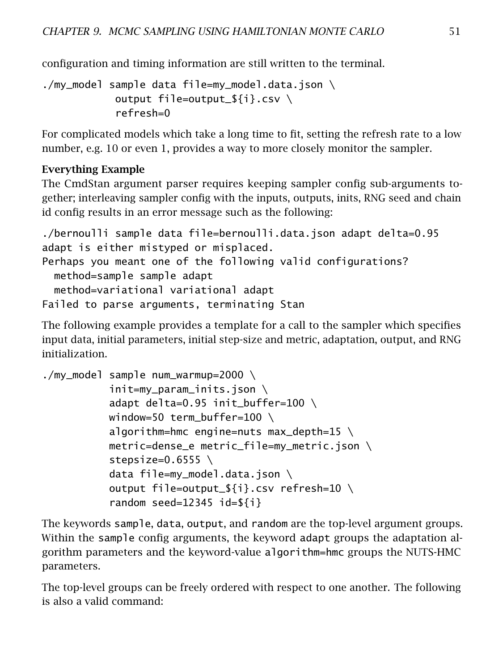configuration and timing information are still written to the terminal.

```
./my_model sample data file=my_model.data.json \
           output file=output_${i}.csv \
            refresh=0
```
For complicated models which take a long time to fit, setting the refresh rate to a low number, e.g. 10 or even 1, provides a way to more closely monitor the sampler.

#### Everything Example

The CmdStan argument parser requires keeping sampler config sub-arguments together; interleaving sampler config with the inputs, outputs, inits, RNG seed and chain id config results in an error message such as the following:

```
./bernoulli sample data file=bernoulli.data.json adapt delta=0.95
adapt is either mistyped or misplaced.
Perhaps you meant one of the following valid configurations?
 method=sample sample adapt
 method=variational variational adapt
Failed to parse arguments, terminating Stan
```
The following example provides a template for a call to the sampler which specifies input data, initial parameters, initial step-size and metric, adaptation, output, and RNG initialization.

```
./my_model sample num_warmup=2000 \
           init=my_param_inits.json \
           adapt delta=0.95 init_buffer=100 \
           window=50 term_buffer=100 \
           algorithm=hmc engine=nuts max_depth=15 \setminusmetric=dense_e metric_file=my_metric.json \
           stepsize=0.6555 \ \backslashdata file=my_model.data.json \
           output file=output_${i}.csv refresh=10 \
           random seed=12345 id=${i}
```
The keywords sample, data, output, and random are the top-level argument groups. Within the sample config arguments, the keyword adapt groups the adaptation algorithm parameters and the keyword-value algorithm=hmc groups the NUTS-HMC parameters.

The top-level groups can be freely ordered with respect to one another. The following is also a valid command: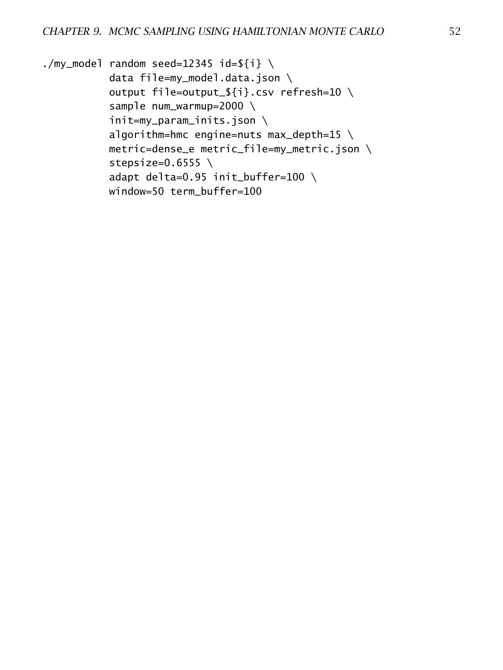```
./my_model random seed=12345 id=${i} \
           data file=my_model.data.json \
           output file=output_${i}.csv refresh=10 \
           sample num_warmup=2000 \
           init=my_param_inits.json \
           algorithm=hmc engine=nuts max_depth=15 \setminusmetric=dense_e metric_file=my_metric.json \
           stepsize=0.6555 \ \backslashadapt delta=0.95 init_buffer=100 \
           window=50 term_buffer=100
```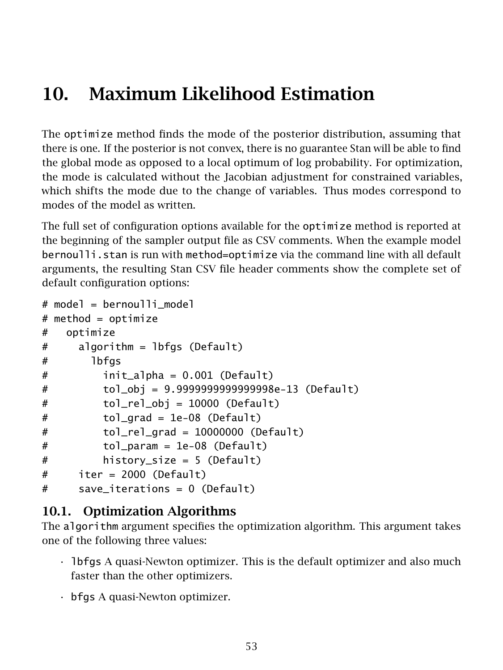# 10. Maximum Likelihood Estimation

The optimize method finds the mode of the posterior distribution, assuming that there is one. If the posterior is not convex, there is no guarantee Stan will be able to find the global mode as opposed to a local optimum of log probability. For optimization, the mode is calculated without the Jacobian adjustment for constrained variables, which shifts the mode due to the change of variables. Thus modes correspond to modes of the model as written.

The full set of configuration options available for the optimize method is reported at the beginning of the sampler output file as CSV comments. When the example model bernoulli.stan is run with method=optimize via the command line with all default arguments, the resulting Stan CSV file header comments show the complete set of default configuration options:

```
# model = bernoulli model
# method = optimize
# optimize
# algorithm = lbfgs (Default)
# lbfgs
# init_alpha = 0.001 (Default)
# tol_obj = 9.9999999999999998e-13 (Default)
# tol_rel_obj = 10000 (Default)
# tol_grad = 1e-08 (Default)
# tol_rel_grad = 10000000 (Default)
# tol_param = 1e-08 (Default)
# history_size = 5 (Default)
# iter = 2000 (Default)
# save_iterations = 0 (Default)
```
## 10.1. Optimization Algorithms

The algorithm argument specifies the optimization algorithm. This argument takes one of the following three values:

- lbfgs A quasi-Newton optimizer. This is the default optimizer and also much faster than the other optimizers.
- bfgs A quasi-Newton optimizer.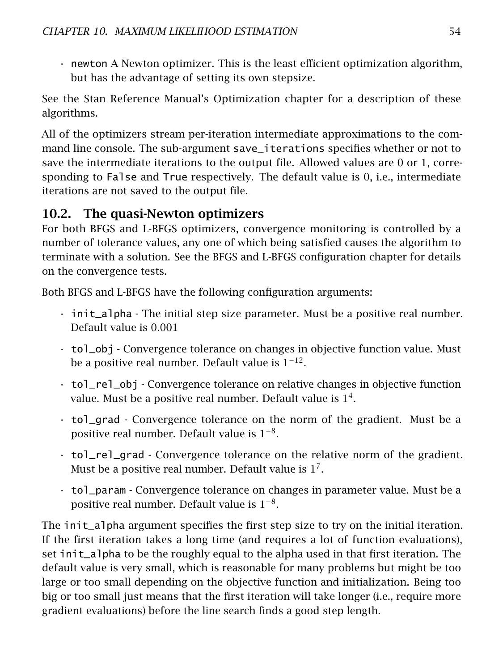• newton A Newton optimizer. This is the least efficient optimization algorithm, but has the advantage of setting its own stepsize.

See the Stan Reference Manual's [Optimization chapter](https://mc-stan.org/docs/reference-manual/optimization-algorithms-chapter.html) for a description of these algorithms.

All of the optimizers stream per-iteration intermediate approximations to the command line console. The sub-argument save\_iterations specifies whether or not to save the intermediate iterations to the output file. Allowed values are 0 or 1, corresponding to False and True respectively. The default value is 0, i.e., intermediate iterations are not saved to the output file.

## 10.2. The quasi-Newton optimizers

For both BFGS and L-BFGS optimizers, convergence monitoring is controlled by a number of tolerance values, any one of which being satisfied causes the algorithm to terminate with a solution. See the [BFGS and L-BFGS configuration chapter](https://mc-stan.org/docs/reference-manual/bfgs-and-l-bfgs-configuration.html) for details on the convergence tests.

Both BFGS and L-BFGS have the following configuration arguments:

- init\_alpha The initial step size parameter. Must be a positive real number. Default value is 0*.*001
- tol\_obj Convergence tolerance on changes in objective function value. Must be a positive real number. Default value is  $1^{-12}$ .
- tol\_rel\_obj Convergence tolerance on relative changes in objective function value. Must be a positive real number. Default value is  $1^4$ .
- tol\_grad Convergence tolerance on the norm of the gradient. Must be a positive real number. Default value is  $1^{-8}$ .
- tol\_rel\_grad Convergence tolerance on the relative norm of the gradient. Must be a positive real number. Default value is  $1^7$ .
- tol\_param Convergence tolerance on changes in parameter value. Must be a positive real number. Default value is  $1^{-8}$ .

The init\_alpha argument specifies the first step size to try on the initial iteration. If the first iteration takes a long time (and requires a lot of function evaluations), set init\_alpha to be the roughly equal to the alpha used in that first iteration. The default value is very small, which is reasonable for many problems but might be too large or too small depending on the objective function and initialization. Being too big or too small just means that the first iteration will take longer (i.e., require more gradient evaluations) before the line search finds a good step length.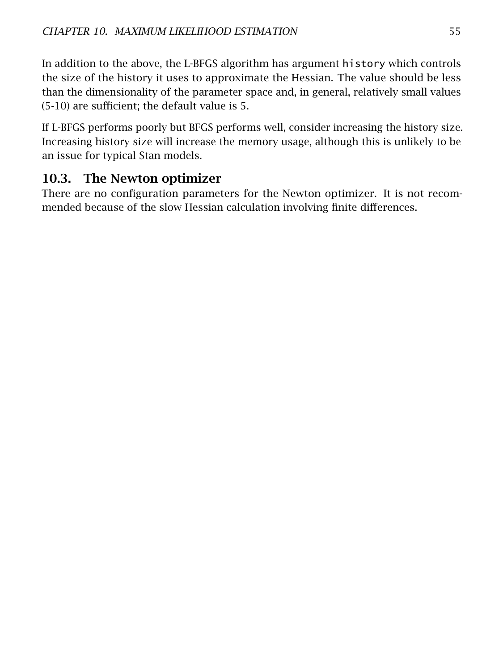In addition to the above, the L-BFGS algorithm has argument history which controls the size of the history it uses to approximate the Hessian. The value should be less than the dimensionality of the parameter space and, in general, relatively small values (5-10) are sufficient; the default value is 5.

If L-BFGS performs poorly but BFGS performs well, consider increasing the history size. Increasing history size will increase the memory usage, although this is unlikely to be an issue for typical Stan models.

## 10.3. The Newton optimizer

There are no configuration parameters for the Newton optimizer. It is not recommended because of the slow Hessian calculation involving finite differences.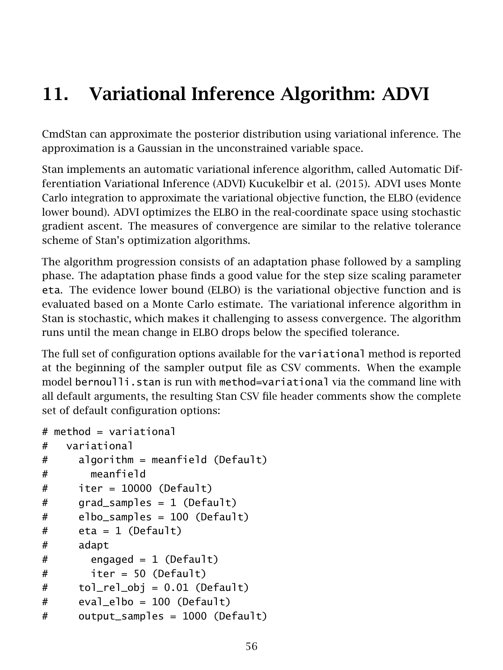# 11. Variational Inference Algorithm: ADVI

CmdStan can approximate the posterior distribution using variational inference. The approximation is a Gaussian in the unconstrained variable space.

Stan implements an automatic variational inference algorithm, called Automatic Differentiation Variational Inference (ADVI) Kucukelbir et al. [\(2015\)](#page-98-1). ADVI uses Monte Carlo integration to approximate the variational objective function, the ELBO (evidence lower bound). ADVI optimizes the ELBO in the real-coordinate space using [stochastic](https://mc-stan.org/docs/reference-manual/stochastic-gradient-ascent.html) [gradient ascent.](https://mc-stan.org/docs/reference-manual/stochastic-gradient-ascent.html) The measures of convergence are similar to the relative tolerance scheme of Stan's [optimization algorithms.](https://mc-stan.org/docs/reference-manual/optimization-algorithms-chapter.html)

The algorithm progression consists of an adaptation phase followed by a sampling phase. The adaptation phase finds a good value for the step size scaling parameter eta. The evidence lower bound (ELBO) is the variational objective function and is evaluated based on a Monte Carlo estimate. The variational inference algorithm in Stan is stochastic, which makes it challenging to assess convergence. The algorithm runs until the mean change in ELBO drops below the specified tolerance.

The full set of configuration options available for the variational method is reported at the beginning of the sampler output file as CSV comments. When the example model bernoulli.stan is run with method=variational via the command line with all default arguments, the resulting Stan CSV file header comments show the complete set of default configuration options:

```
# method = variational
# variational
# algorithm = meanfield (Default)
# meanfield
# iter = 10000 (Default)
# grad_samples = 1 (Default)
# elbo_samples = 100 (Default)
# eta = 1 (Default)
# adapt
# engaged = 1 (Default)
# iter = 50 (Default)
# tol_rel_obj = 0.01 (Default)
# eval_elbo = 100 (Default)
# output_samples = 1000 (Default)
```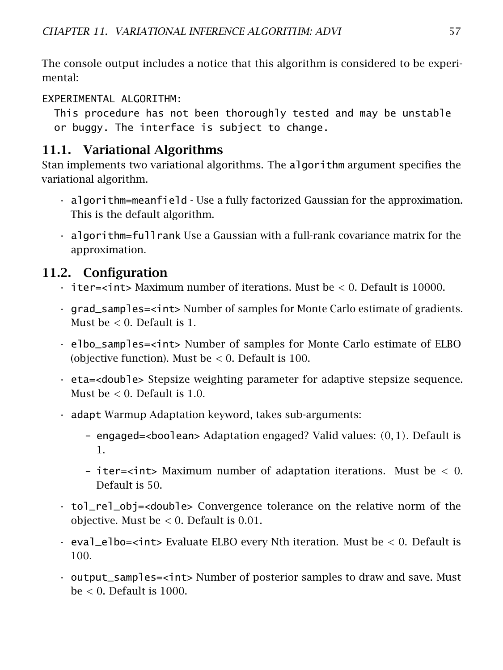The console output includes a notice that this algorithm is considered to be experimental:

EXPERIMENTAL ALGORITHM:

This procedure has not been thoroughly tested and may be unstable or buggy. The interface is subject to change.

## 11.1. Variational Algorithms

Stan implements two variational algorithms. The algorithm argument specifies the variational algorithm.

- algorithm=meanfield Use a fully factorized Gaussian for the approximation. This is the default algorithm.
- algorithm=fullrank Use a Gaussian with a full-rank covariance matrix for the approximation.

## 11.2. Configuration

- iter=<int> Maximum number of iterations. Must be *<* 0. Default is 10000.
- grad\_samples=<int> Number of samples for Monte Carlo estimate of gradients. Must be *<* 0. Default is 1.
- elbo\_samples=<int> Number of samples for Monte Carlo estimate of ELBO (objective function). Must be *<* 0. Default is 100.
- eta=<double> Stepsize weighting parameter for adaptive stepsize sequence. Must be *<* 0. Default is 1*.*0.
- adapt Warmup Adaptation keyword, takes sub-arguments:
	- engaged=<boolean> Adaptation engaged? Valid values: *(*0*,* 1*)*. Default is 1.
	- iter=<int> Maximum number of adaptation iterations. Must be *<* 0. Default is 50.
- tol\_rel\_obj=<double> Convergence tolerance on the relative norm of the objective. Must be *<* 0. Default is 0*.*01.
- eval\_elbo=<int> Evaluate ELBO every Nth iteration. Must be *<* 0. Default is 100.
- output\_samples=<int> Number of posterior samples to draw and save. Must be *<* 0. Default is 1000.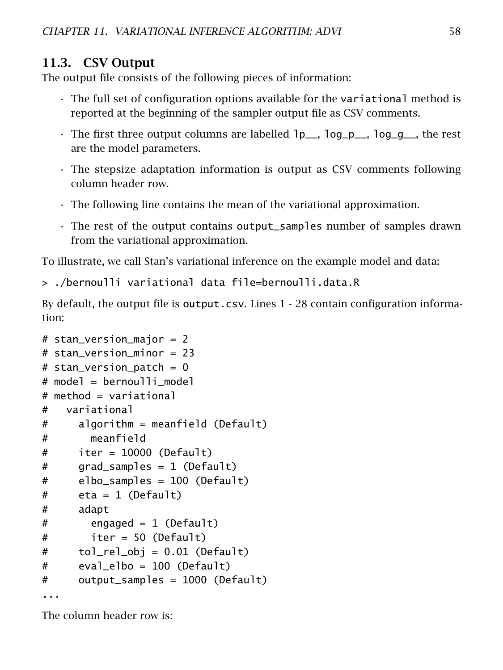## 11.3. CSV Output

The output file consists of the following pieces of information:

- The full set of configuration options available for the variational method is reported at the beginning of the sampler output file as CSV comments.
- The first three output columns are labelled lp\_\_, log\_p\_\_, log\_g\_\_, the rest are the model parameters.
- The stepsize adaptation information is output as CSV comments following column header row.
- The following line contains the mean of the variational approximation.
- The rest of the output contains output\_samples number of samples drawn from the variational approximation.

To illustrate, we call Stan's variational inference on the example model and data:

> ./bernoulli variational data file=bernoulli.data.R

By default, the output file is output.csv. Lines 1 - 28 contain configuration information:

```
# stan_version_major = 2
# stan version minor = 23
# stan_version_patch = 0# model = bernoulli_model
# method = variational
# variational
# algorithm = meanfield (Default)
# meanfield
# iter = 10000 (Default)
# grad_samples = 1 (Default)
# elbo_samples = 100 (Default)
# eta = 1 (Default)
# adapt
# engaged = 1 (Default)
# iter = 50 (Default)
# tol_rel_obj = 0.01 (Default)
# eval_elbo = 100 (Default)
# output_samples = 1000 (Default)
...
```
The column header row is: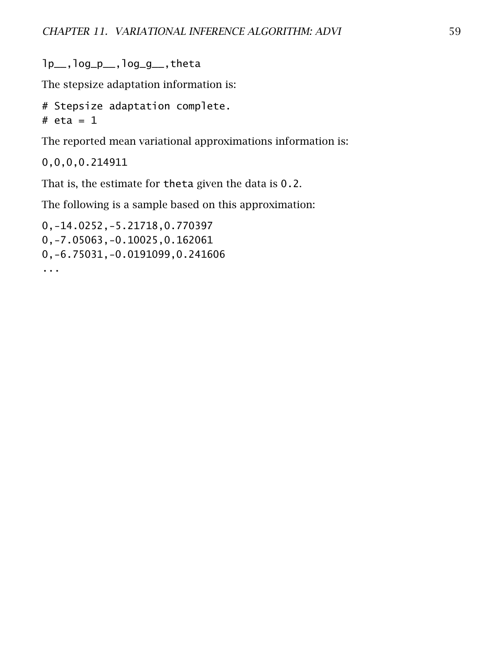lp\_\_,log\_p\_\_,log\_g\_\_,theta

The stepsize adaptation information is:

```
# Stepsize adaptation complete.
# eta = 1
```
The reported mean variational approximations information is:

0,0,0,0.214911

That is, the estimate for theta given the data is 0.2.

The following is a sample based on this approximation:

0,-14.0252,-5.21718,0.770397 0,-7.05063,-0.10025,0.162061 0,-6.75031,-0.0191099,0.241606 ...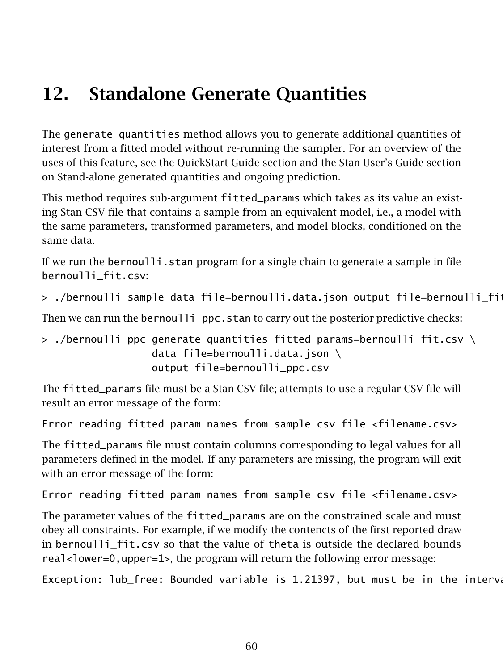# 12. Standalone Generate Quantities

The generate\_quantities method allows you to generate additional quantities of interest from a fitted model without re-running the sampler. For an overview of the uses of this feature, see the [QuickStart Guide section](#page-31-0) and the Stan User's Guide section on [Stand-alone generated quantities and ongoing prediction.](https://mc-stan.org/docs/stan-users-guide/stand-alone-generated-quantities-and-ongoing-prediction.html)

This method requires sub-argument fitted\_params which takes as its value an existing Stan CSV file that contains a sample from an equivalent model, i.e., a model with the same parameters, transformed parameters, and model blocks, conditioned on the same data.

If we run the bernoulli.stan program for a single chain to generate a sample in file bernoulli\_fit.csv:

```
> ./bernoulli sample data file=bernoulli.data.json output file=bernoulli_fit.
```
Then we can run the bernoulli\_ppc.stan to carry out the posterior predictive checks:

```
> ./bernoulli_ppc generate_quantities fitted_params=bernoulli_fit.csv \
                  data file=bernoulli.data.json \
                  output file=bernoulli_ppc.csv
```
The fitted\_params file must be a Stan CSV file; attempts to use a regular CSV file will result an error message of the form:

Error reading fitted param names from sample csv file <filename.csv>

The fitted\_params file must contain columns corresponding to legal values for all parameters defined in the model. If any parameters are missing, the program will exit with an error message of the form:

Error reading fitted param names from sample csv file <filename.csv>

The parameter values of the fitted\_params are on the constrained scale and must obey all constraints. For example, if we modify the contencts of the first reported draw in bernoulli\_fit.csv so that the value of theta is outside the declared bounds real<lower=0,upper=1>, the program will return the following error message:

Exception: lub\_free: Bounded variable is 1.21397, but must be in the interval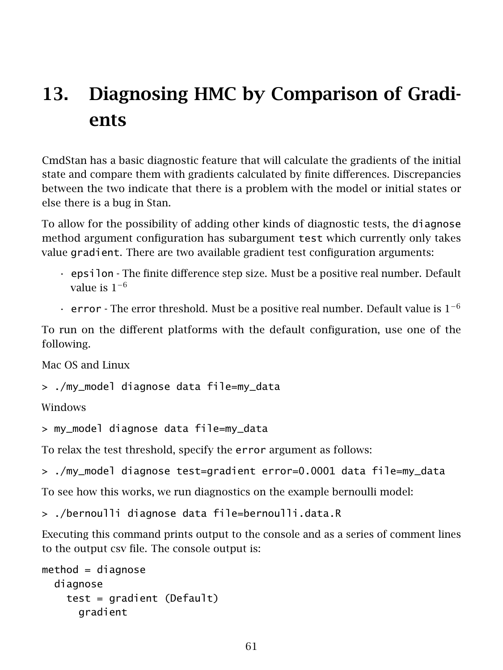# 13. Diagnosing HMC by Comparison of Gradients

CmdStan has a basic diagnostic feature that will calculate the gradients of the initial state and compare them with gradients calculated by finite differences. Discrepancies between the two indicate that there is a problem with the model or initial states or else there is a bug in Stan.

To allow for the possibility of adding other kinds of diagnostic tests, the diagnose method argument configuration has subargument test which currently only takes value gradient. There are two available gradient test configuration arguments:

- epsilon The finite difference step size. Must be a positive real number. Default value is  $1^{-6}$
- error The error threshold. Must be a positive real number. Default value is  $1^{-6}$

To run on the different platforms with the default configuration, use one of the following.

Mac OS and Linux

```
> ./my_model diagnose data file=my_data
```
Windows

```
> my_model diagnose data file=my_data
```
To relax the test threshold, specify the error argument as follows:

```
> ./my_model diagnose test=gradient error=0.0001 data file=my_data
```
To see how this works, we run diagnostics on the example bernoulli model:

> ./bernoulli diagnose data file=bernoulli.data.R

Executing this command prints output to the console and as a series of comment lines to the output csv file. The console output is:

```
method = diagnosediagnose
   test = gradient (Default)
      gradient
```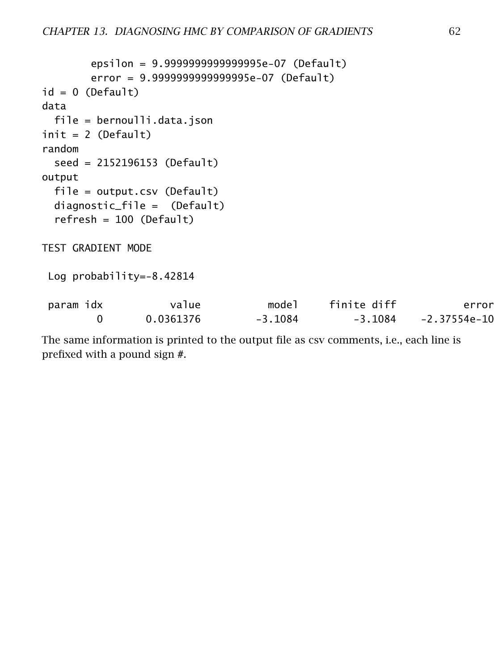```
epsilon = 9.9999999999999995e-07 (Default)
       error = 9.9999999999999995e-07 (Default)
id = 0 (Default)
data
 file = bernoulli.data.json
init = 2 (Default)random
 seed = 2152196153 (Default)
output
 file = output.csv (Default)
 diagnostic_file = (Default)
 refresh = 100 (Default)
TEST GRADIENT MODE
Log probability=-8.42814
param idx value model finite diff error
       0 0.0361376 -3.1084 -3.1084 -2.37554e-10
```
The same information is printed to the output file as csv comments, i.e., each line is prefixed with a pound sign #.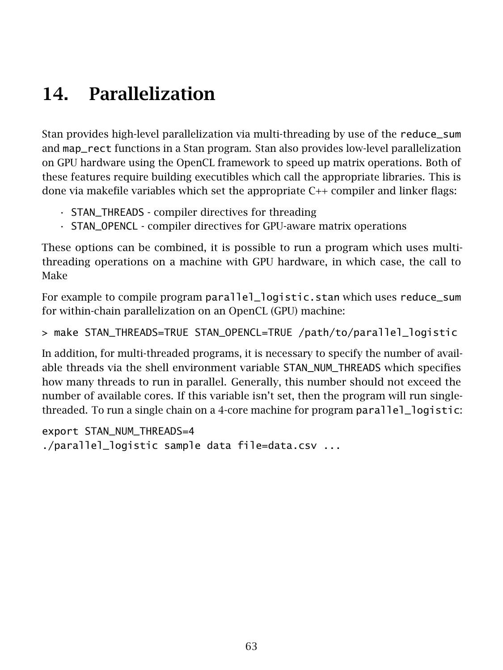# 14. Parallelization

Stan provides [high-level parallelization](https://mc-stan.org/docs/stan-users-guide/parallelization-chapter.html) via multi-threading by use of the reduce\_sum and map\_rect functions in a Stan program. Stan also provides [low-level parallelization](https://arxiv.org/pdf/1907.01063.pdf) on GPU hardware using the [OpenCL](https://www.khronos.org/opencl/) framework to speed up matrix operations. Both of these features require building executibles which call the appropriate libraries. This is done via [makefile variables](#page-9-0) which set the appropriate C++ compiler and linker flags:

- STAN\_THREADS compiler directives for threading
- STAN\_OPENCL compiler directives for GPU-aware matrix operations

These options can be combined, it is possible to run a program which uses multithreading operations on a machine with GPU hardware, in which case, the call to Make

For example to compile program parallel\_logistic.stan which uses [reduce\\_sum](https://mc-stan.org/docs/stan-users-guide/reduce-sum.html) for within-chain parallelization on an OpenCL (GPU) machine:

> make STAN\_THREADS=TRUE STAN\_OPENCL=TRUE /path/to/parallel\_logistic

In addition, for multi-threaded programs, it is necessary to specify the number of available threads via the shell environment variable STAN\_NUM\_THREADS which specifies how many threads to run in parallel. Generally, this number should not exceed the number of available cores. If this variable isn't set, then the program will run singlethreaded. To run a single chain on a 4-core machine for program parallel\_logistic:

export STAN\_NUM\_THREADS=4 ./parallel\_logistic sample data file=data.csv ...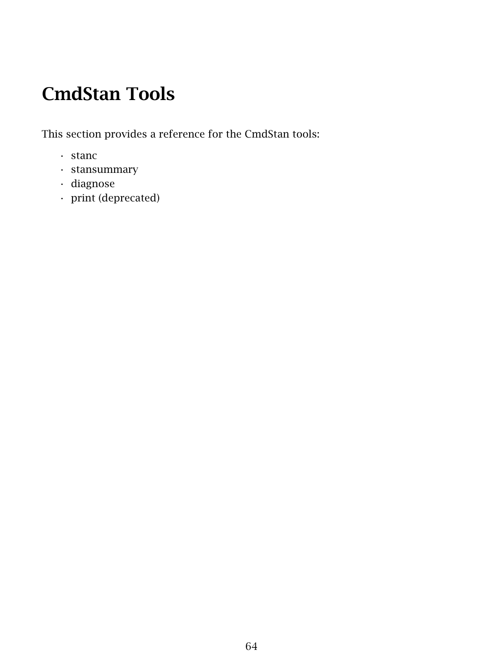# CmdStan Tools

This section provides a reference for the CmdStan tools:

- stanc
- stansummary
- diagnose
- print (deprecated)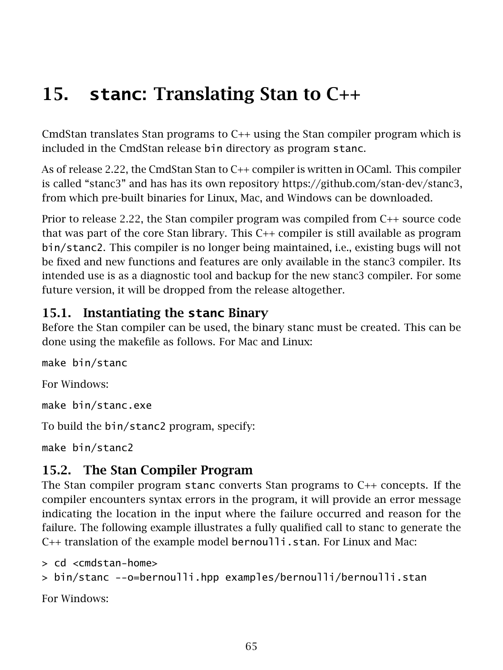# 15. **stanc**: Translating Stan to C++

CmdStan translates Stan programs to C++ using the Stan compiler program which is included in the CmdStan release bin directory as program stanc.

As of release 2.22, the CmdStan Stan to C++ compiler is written in OCaml. This compiler is called "stanc3" and has has its own repository [https://github.com/stan-dev/stanc3,](https://github.com/stan-dev/stanc3) from which pre-built binaries for Linux, Mac, and Windows can be downloaded.

Prior to release 2.22, the Stan compiler program was compiled from C++ source code that was part of the core Stan library. This C++ compiler is still available as program bin/stanc2. This compiler is no longer being maintained, i.e., existing bugs will not be fixed and new functions and features are only available in the stanc3 compiler. Its intended use is as a diagnostic tool and backup for the new stanc3 compiler. For some future version, it will be dropped from the release altogether.

## 15.1. Instantiating the **stanc** Binary

Before the Stan compiler can be used, the binary stanc must be created. This can be done using the makefile as follows. For Mac and Linux:

make bin/stanc For Windows: make bin/stanc.exe To build the bin/stanc2 program, specify: make bin/stanc2

# 15.2. The Stan Compiler Program

The Stan compiler program stanc converts Stan programs to C++ concepts. If the compiler encounters syntax errors in the program, it will provide an error message indicating the location in the input where the failure occurred and reason for the failure. The following example illustrates a fully qualified call to stanc to generate the C++ translation of the example model bernoulli.stan. For Linux and Mac:

> cd <cmdstan-home>

```
> bin/stanc --o=bernoulli.hpp examples/bernoulli/bernoulli.stan
```
For Windows: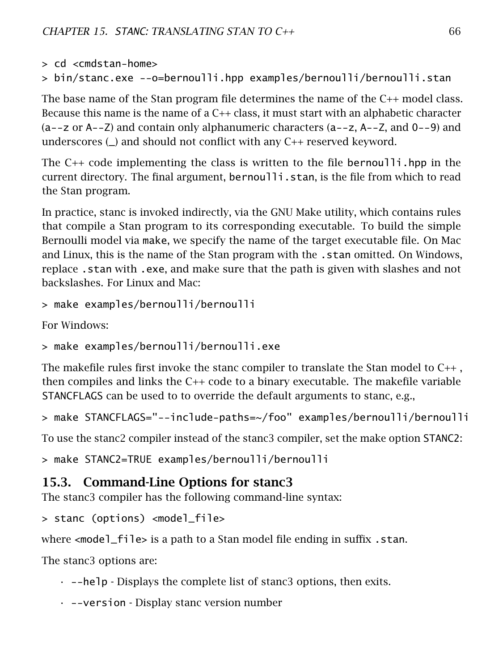```
> cd <cmdstan-home>
```

```
> bin/stanc.exe --o=bernoulli.hpp examples/bernoulli/bernoulli.stan
```
The base name of the Stan program file determines the name of the C++ model class. Because this name is the name of a C++ class, it must start with an alphabetic character (a--z or A--Z) and contain only alphanumeric characters (a--z, A--Z, and 0--9) and underscores  $\Box$  and should not conflict with any  $C_{++}$  reserved keyword.

The C++ code implementing the class is written to the file bernoulli.hpp in the current directory. The final argument, bernoulli.stan, is the file from which to read the Stan program.

In practice, stanc is invoked indirectly, via the GNU Make utility, which contains rules that compile a Stan program to its corresponding executable. To build the simple Bernoulli model via make, we specify the name of the target executable file. On Mac and Linux, this is the name of the Stan program with the . stan omitted. On Windows, replace .stan with .exe, and make sure that the path is given with slashes and not backslashes. For Linux and Mac:

```
> make examples/bernoulli/bernoulli
```
For Windows:

```
> make examples/bernoulli/bernoulli.exe
```
The makefile rules first invoke the stanc compiler to translate the Stan model to C++ , then compiles and links the C++ code to a binary executable. The makefile variable STANCFLAGS can be used to to override the default arguments to stanc, e.g.,

```
> make STANCFLAGS="--include-paths=~/foo" examples/bernoulli/bernoulli
```
To use the stanc2 compiler instead of the stanc3 compiler, set the make option STANC2:

```
> make STANC2=TRUE examples/bernoulli/bernoulli
```
## 15.3. Command-Line Options for stanc3

The stanc3 compiler has the following command-line syntax:

```
> stanc (options) <model_file>
```
where <mode<sup>1</sup>\_file> is a path to a Stan model file ending in suffix . stan.

The stanc3 options are:

- $\cdot$  --help Displays the complete list of stanc3 options, then exits.
- --version Display stanc version number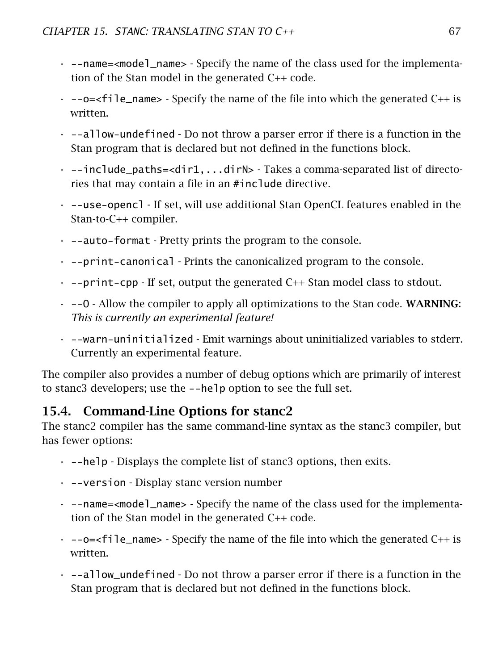- --name=<model\_name> Specify the name of the class used for the implementation of the Stan model in the generated C++ code.
- $\cdot$  --o= $\lt$ file\_name> Specify the name of the file into which the generated C++ is written.
- $\cdot$  --allow-undefined  $\cdot$  Do not throw a parser error if there is a function in the Stan program that is declared but not defined in the functions block.
- $\cdot$  --include\_paths=<dir1,...dirN> Takes a comma-separated list of directories that may contain a file in an #include directive.
- --use-opencl If set, will use additional Stan OpenCL features enabled in the Stan-to-C++ compiler.
- $\cdot$  --auto-format Pretty prints the program to the console.
- --print-canonical Prints the canonicalized program to the console.
- $\cdot$  --print-cpp If set, output the generated C++ Stan model class to stdout.
- $\cdot$  --0 Allow the compiler to apply all optimizations to the Stan code. WARNING: *This is currently an experimental feature!*
- --warn-uninitialized Emit warnings about uninitialized variables to stderr. Currently an experimental feature.

The compiler also provides a number of debug options which are primarily of interest to stanc3 developers; use the --help option to see the full set.

# 15.4. Command-Line Options for stanc2

The stanc2 compiler has the same command-line syntax as the stanc3 compiler, but has fewer options:

- $\cdot$  --help Displays the complete list of stanc3 options, then exits.
- --version Display stanc version number
- --name=<model\_name> Specify the name of the class used for the implementation of the Stan model in the generated C++ code.
- $\cdot$  --o= $\le$ file\_name> Specify the name of the file into which the generated C++ is written.
- $\cdot$  --allow\_undefined  $\cdot$  Do not throw a parser error if there is a function in the Stan program that is declared but not defined in the functions block.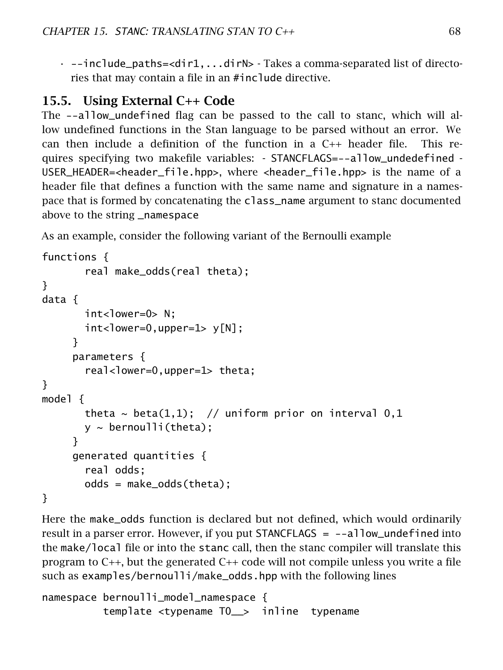$\cdot$  --include\_paths=<dir1,...dirN> - Takes a comma-separated list of directories that may contain a file in an #include directive.

## 15.5. Using External C++ Code

The --allow\_undefined flag can be passed to the call to stanc, which will allow undefined functions in the Stan language to be parsed without an error. We can then include a definition of the function in a C++ header file. This requires specifying two makefile variables: - STANCFLAGS=--allow\_undedefined - USER\_HEADER=<header\_file.hpp>, where <header\_file.hpp> is the name of a header file that defines a function with the same name and signature in a namespace that is formed by concatenating the class\_name argument to stanc documented above to the string \_namespace

As an example, consider the following variant of the Bernoulli example

```
functions {
       real make_odds(real theta);
}
data {
       int <lower=0> N:
       int <lower=0,upper=1> y[N];
     }
     parameters {
       real-lower=0,upper=1> theta;
}
model {
       theta \sim beta(1,1); // uniform prior on interval 0,1
       y \sim bernoulli(theta);
     }
     generated quantities {
       real odds;
       odds = make_odds(theta);
}
```
Here the make\_odds function is declared but not defined, which would ordinarily result in a parser error. However, if you put STANCFLAGS = --allow\_undefined into the make/local file or into the stanc call, then the stanc compiler will translate this program to  $C_{++}$ , but the generated  $C_{++}$  code will not compile unless you write a file such as examples/bernoulli/make\_odds.hpp with the following lines

```
namespace bernoulli_model_namespace {
         template <typename T0__> inline typename
```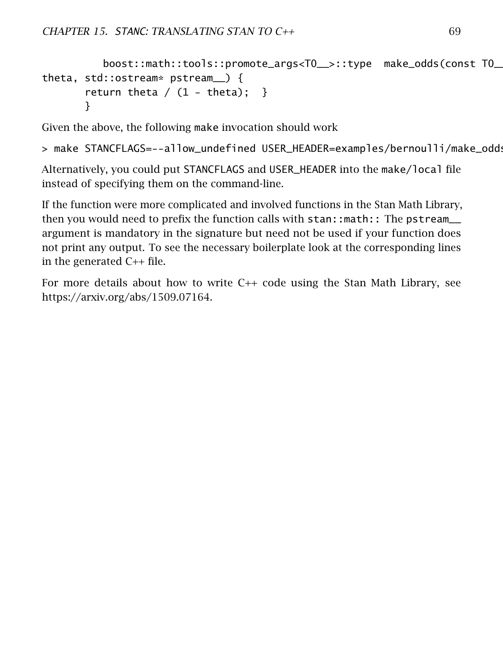```
boost::math::tools::promote_args<T0__>::type make_odds(const T0__&
theta, std::ostream* pstream__) {
       return theta / (1 - theta); }
       }
```
Given the above, the following make invocation should work

> make STANCFLAGS=--allow\_undefined USER\_HEADER=examples/bernoulli/make\_odd:

Alternatively, you could put STANCFLAGS and USER\_HEADER into the make/local file instead of specifying them on the command-line.

If the function were more complicated and involved functions in the Stan Math Library, then you would need to prefix the function calls with stan::math:: The pstream\_\_ argument is mandatory in the signature but need not be used if your function does not print any output. To see the necessary boilerplate look at the corresponding lines in the generated C++ file.

For more details about how to write C++ code using the Stan Math Library, see [https://arxiv.org/abs/1509.07164.](https://arxiv.org/abs/1509.07164)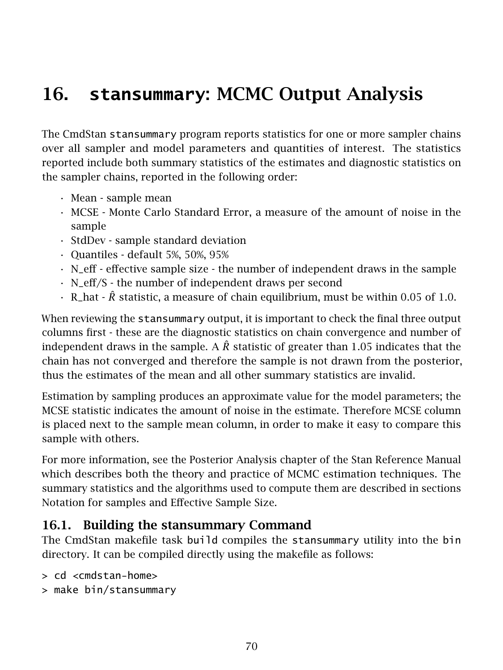# 16. **stansummary**: MCMC Output Analysis

The CmdStan stansummary program reports statistics for one or more sampler chains over all sampler and model parameters and quantities of interest. The statistics reported include both summary statistics of the estimates and diagnostic statistics on the sampler chains, reported in the following order:

- Mean sample mean
- MCSE Monte Carlo Standard Error, a measure of the amount of noise in the sample
- StdDev sample standard deviation
- Quantiles default 5%, 50%, 95%
- N\_eff effective sample size the number of independent draws in the sample
- N\_eff/S the number of independent draws per second
- R\_hat *R*ˆ statistic, a measure of chain equilibrium, must be within 0*.*05 of 1*.*0.

When reviewing the stansummary output, it is important to check the final three output columns first - these are the diagnostic statistics on chain convergence and number of independent draws in the sample. A  $\hat{R}$  statistic of greater than 1.05 indicates that the chain has not converged and therefore the sample is not drawn from the posterior, thus the estimates of the mean and all other summary statistics are invalid.

Estimation by sampling produces an approximate value for the model parameters; the MCSE statistic indicates the amount of noise in the estimate. Therefore MCSE column is placed next to the sample mean column, in order to make it easy to compare this sample with others.

For more information, see the [Posterior Analysis](https://mc-stan.org/docs/reference-manual/analysis-chapter.html) chapter of the Stan Reference Manual which describes both the theory and practice of MCMC estimation techniques. The summary statistics and the algorithms used to compute them are described in sections [Notation for samples](https://mc-stan.org/docs/reference-manual/notation-for-samples-chains-and-draws.html) and [Effective Sample Size.](https://mc-stan.org/docs/reference-manual/effective-sample-size-section.html)

### 16.1. Building the stansummary Command

The CmdStan makefile task build compiles the stansummary utility into the bin directory. It can be compiled directly using the makefile as follows:

```
> cd <cmdstan-home>
```
> make bin/stansummary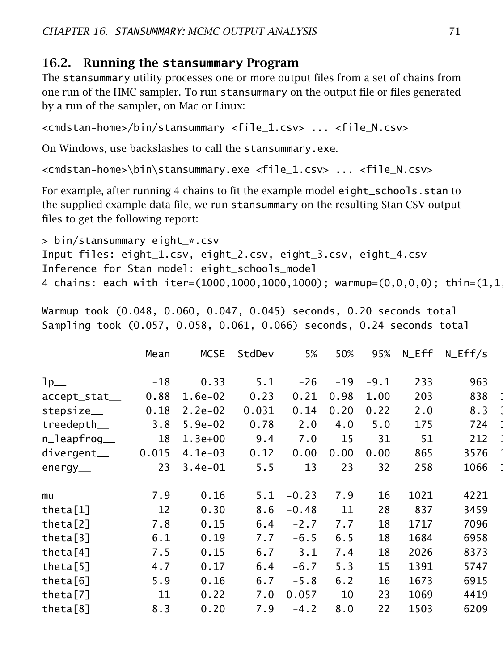### 16.2. Running the **stansummary** Program

The stansummary utility processes one or more output files from a set of chains from one run of the HMC sampler. To run stansummary on the output file or files generated by a run of the sampler, on Mac or Linux:

```
<cmdstan-home>/bin/stansummary <file_1.csv> ... <file_N.csv>
```
On Windows, use backslashes to call the stansummary.exe.

```
<cmdstan-home>\bin\stansummary.exe <file_1.csv> ... <file_N.csv>
```
For example, after running 4 chains to fit the example model eight\_schools.stan to the supplied example data file, we run stansummary on the resulting Stan CSV output files to get the following report:

```
> bin/stansummary eight_*.csv
Input files: eight_1.csv, eight_2.csv, eight_3.csv, eight_4.csv
Inference for Stan model: eight_schools_model
4 chains: each with iter=(1000,1000,1000,1000); warmup=(0,0,0,0); thin=(1,1)
```
Warmup took (0.048, 0.060, 0.047, 0.045) seconds, 0.20 seconds total Sampling took (0.057, 0.058, 0.061, 0.066) seconds, 0.24 seconds total

|                      | Mean  | <b>MCSE</b> | StdDev | 5%      | 50%   | 95%    | N_Eff | $N_Eff/s$ |  |
|----------------------|-------|-------------|--------|---------|-------|--------|-------|-----------|--|
| $1p_{-}$             | $-18$ | 0.33        | 5.1    | $-26$   | $-19$ | $-9.1$ | 233   | 963       |  |
| accept_stat__        | 0.88  | $1.6e-02$   | 0.23   | 0.21    | 0.98  | 1.00   | 203   | 838       |  |
| stepsize__           | 0.18  | $2.2e-02$   | 0.031  | 0.14    | 0.20  | 0.22   | 2.0   | 8.3       |  |
| treedepth__          | 3.8   | $5.9e-02$   | 0.78   | 2.0     | 4.0   | 5.0    | 175   | 724       |  |
| n_leapfrog__         | 18    | $1.3e+00$   | 9.4    | 7.0     | 15    | 31     | 51    | 212       |  |
| divergent__          | 0.015 | $4.1e-03$   | 0.12   | 0.00    | 0.00  | 0.00   | 865   | 3576      |  |
| $energy_{\_\_}$      | 23    | $3.4e-01$   | 5.5    | 13      | 23    | 32     | 258   | 1066      |  |
|                      |       |             |        |         |       |        |       |           |  |
| mu                   | 7.9   | 0.16        | 5.1    | $-0.23$ | 7.9   | 16     | 1021  | 4221      |  |
| theta[1]             | 12    | 0.30        | 8.6    | $-0.48$ | 11    | 28     | 837   | 3459      |  |
| theta <sup>[2]</sup> | 7.8   | 0.15        | 6.4    | $-2.7$  | 7.7   | 18     | 1717  | 7096      |  |
| theta $[3]$          | 6.1   | 0.19        | 7.7    | $-6.5$  | 6.5   | 18     | 1684  | 6958      |  |
| theta <sup>[4]</sup> | 7.5   | 0.15        | 6.7    | $-3.1$  | 7.4   | 18     | 2026  | 8373      |  |
| theta $[5]$          | 4.7   | 0.17        | 6.4    | $-6.7$  | 5.3   | 15     | 1391  | 5747      |  |
| theta <sup>[6]</sup> | 5.9   | 0.16        | 6.7    | $-5.8$  | 6.2   | 16     | 1673  | 6915      |  |
| theta $[7]$          | 11    | 0.22        | 7.0    | 0.057   | 10    | 23     | 1069  | 4419      |  |
| theta <sup>[8]</sup> | 8.3   | 0.20        | 7.9    | $-4.2$  | 8.0   | 22     | 1503  | 6209      |  |
|                      |       |             |        |         |       |        |       |           |  |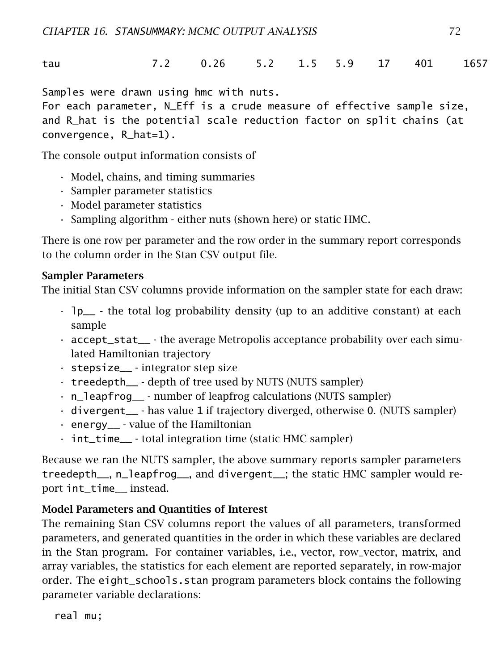tau 7.2 0.26 5.2 1.5 5.9 17 401 1657 1.0

Samples were drawn using hmc with nuts.

For each parameter, N\_Eff is a crude measure of effective sample size, and R\_hat is the potential scale reduction factor on split chains (at convergence, R\_hat=1).

The console output information consists of

- Model, chains, and timing summaries
- Sampler parameter statistics
- Model parameter statistics
- Sampling algorithm either nuts (shown here) or static HMC.

There is one row per parameter and the row order in the summary report corresponds to the column order in the Stan CSV output file.

#### Sampler Parameters

The initial Stan CSV columns provide information on the sampler state for each draw:

- $\cdot$  1p<sub>\_\_</sub> the total log probability density (up to an additive constant) at each sample
- $\cdot$  accept\_stat\_\_ the average Metropolis acceptance probability over each simulated Hamiltonian trajectory
- $\cdot$  stepsize  $\cdot$  integrator step size
- treedepth\_\_ depth of tree used by NUTS (NUTS sampler)
- n\_leapfrog\_\_ number of leapfrog calculations (NUTS sampler)
- divergent\_\_ has value 1 if trajectory diverged, otherwise 0. (NUTS sampler)
- energy\_\_ value of the Hamiltonian
- int\_time\_\_ total integration time (static HMC sampler)

Because we ran the NUTS sampler, the above summary reports sampler parameters treedepth\_\_, n\_leapfrog\_\_, and divergent\_\_; the static HMC sampler would report int time instead.

#### Model Parameters and Quantities of Interest

The remaining Stan CSV columns report the values of all parameters, transformed parameters, and generated quantities in the order in which these variables are declared in the Stan program. For container variables, i.e., vector, row\_vector, matrix, and array variables, the statistics for each element are reported separately, in row-major order. The eight\_schools.stan program parameters block contains the following parameter variable declarations:

real mu;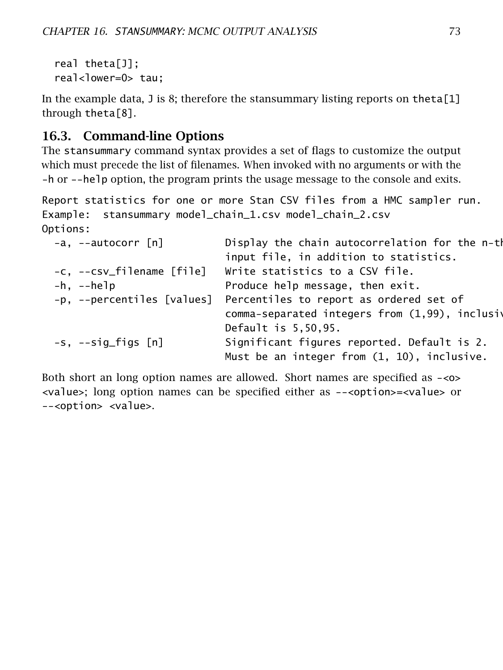```
real theta[J];
real<lower=0> tau;
```
In the example data, J is 8; therefore the stansummary listing reports on theta $[1]$ through theta[8].

# 16.3. Command-line Options

The stansummary command syntax provides a set of flags to customize the output which must precede the list of filenames. When invoked with no arguments or with the -h or --help option, the program prints the usage message to the console and exits.

```
Report statistics for one or more Stan CSV files from a HMC sampler run.
Example: stansummary model_chain_1.csv model_chain_2.csv
Options:
```

| $-a, -a$ utocorr [n]      | Display the chain autocorrelation for the n-th                                             |
|---------------------------|--------------------------------------------------------------------------------------------|
|                           | input file, in addition to statistics.                                                     |
| -c, --csv_filename [file] | Write statistics to a CSV file.                                                            |
| $-h$ , $-$ help           | Produce help message, then exit.                                                           |
|                           | -p, --percentiles [values] Percentiles to report as ordered set of                         |
|                           | comma-separated integers from (1,99), inclusiv                                             |
|                           | Default is 5,50,95.                                                                        |
| $-s$ , $-sig_{f1}gs$ [n]  | Significant figures reported. Default is 2.<br>Must be an integer from (1, 10), inclusive. |
|                           |                                                                                            |

Both short an long option names are allowed. Short names are specified as -<o> <value>; long option names can be specified either as --<option>=<value> or --<option> <value>.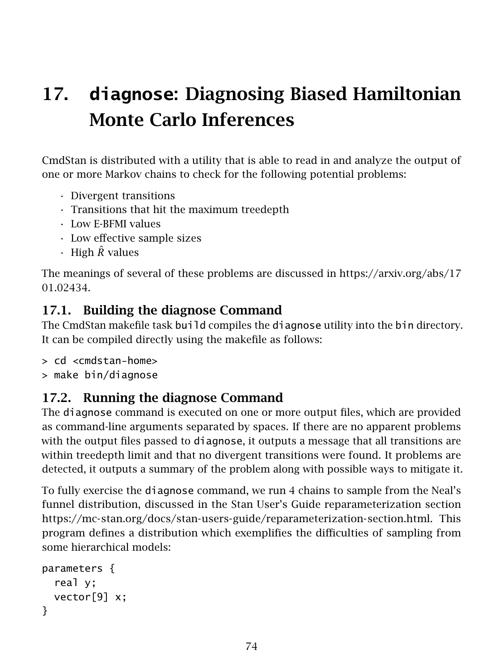# 17. **diagnose**: Diagnosing Biased Hamiltonian Monte Carlo Inferences

CmdStan is distributed with a utility that is able to read in and analyze the output of one or more Markov chains to check for the following potential problems:

- Divergent transitions
- Transitions that hit the maximum treedepth
- Low E-BFMI values
- Low effective sample sizes
- High *R*ˆ values

The meanings of several of these problems are discussed in [https://arxiv.org/abs/17](https://arxiv.org/abs/1701.02434) [01.02434.](https://arxiv.org/abs/1701.02434)

## 17.1. Building the diagnose Command

The CmdStan makefile task build compiles the diagnose utility into the bin directory. It can be compiled directly using the makefile as follows:

- > cd <cmdstan-home>
- > make bin/diagnose

# 17.2. Running the diagnose Command

The diagnose command is executed on one or more output files, which are provided as command-line arguments separated by spaces. If there are no apparent problems with the output files passed to diagnose, it outputs a message that all transitions are within treedepth limit and that no divergent transitions were found. It problems are detected, it outputs a summary of the problem along with possible ways to mitigate it.

To fully exercise the diagnose command, we run 4 chains to sample from the Neal's funnel distribution, discussed in the Stan User's Guide reparameterization section [https://mc-stan.org/docs/stan-users-guide/reparameterization-section.html.](https://mc-stan.org/docs/stan-users-guide/reparameterization-section.html) This program defines a distribution which exemplifies the difficulties of sampling from some hierarchical models:

```
parameters {
  real y;
  vector[9] x;
}
```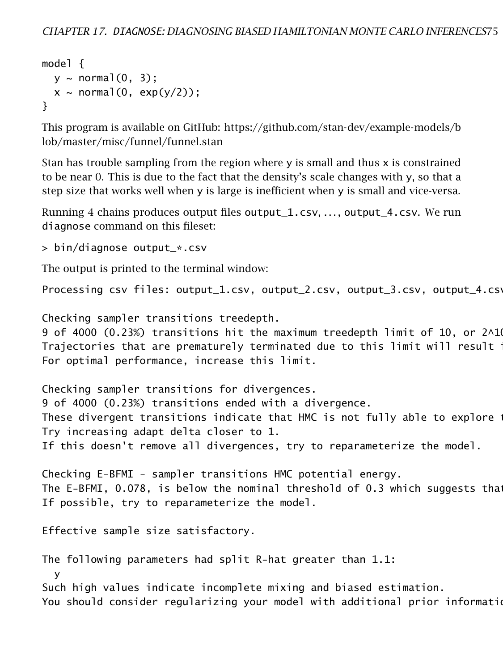```
model {
  y \sim normal(0, 3);
  x \sim \text{normal}(0, \text{exp}(y/2));}
```
This program is available on GitHub: [https://github.com/stan-dev/example-models/b](https://github.com/stan-dev/example-models/blob/master/misc/funnel/funnel.stan) [lob/master/misc/funnel/funnel.stan](https://github.com/stan-dev/example-models/blob/master/misc/funnel/funnel.stan)

Stan has trouble sampling from the region where y is small and thus x is constrained to be near 0. This is due to the fact that the density's scale changes with  $y$ , so that a step size that works well when y is large is inefficient when y is small and vice-versa.

Running 4 chains produces output files output\_1.csv, . . . , output\_4.csv. We run diagnose command on this fileset:

> bin/diagnose output\_\*.csv

The output is printed to the terminal window:

Processing csv files: output\_1.csv, output\_2.csv, output\_3.csv, output\_4.csv

Checking sampler transitions treedepth.

9 of 4000 (0.23%) transitions hit the maximum treedepth limit of 10, or  $2^{\wedge}10$ Trajectories that are prematurely terminated due to this limit will result  $\cdot$ For optimal performance, increase this limit.

Checking sampler transitions for divergences. 9 of 4000 (0.23%) transitions ended with a divergence. These divergent transitions indicate that HMC is not fully able to explore the posterior of posterior distribu Try increasing adapt delta closer to 1. If this doesn't remove all divergences, try to reparameterize the model.

Checking E-BFMI - sampler transitions HMC potential energy. The E-BFMI, 0.078, is below the nominal threshold of 0.3 which suggests that If possible, try to reparameterize the model.

Effective sample size satisfactory.

The following parameters had split R-hat greater than 1.1:

y

Such high values indicate incomplete mixing and biased estimation.

You should consider regularizing your model with additional prior information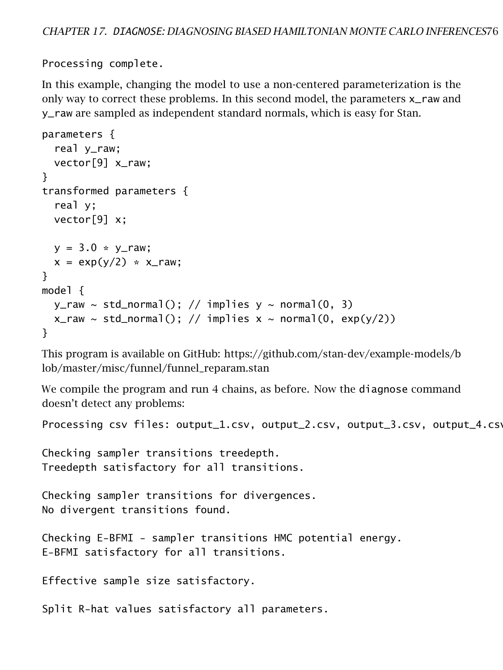Processing complete.

In this example, changing the model to use a non-centered parameterization is the only way to correct these problems. In this second model, the parameters x\_raw and y\_raw are sampled as independent standard normals, which is easy for Stan.

```
parameters {
  real y_raw;
  vector[9] x_raw;
}
transformed parameters {
  real y;
  vector[9] x;
  y = 3.0 * y_{\text{raw}};
  x = \exp(y/2) \cdot x \cdot x}
model {
  y<sup>-raw</sup> ~ std_normal(); // implies y \sim normal(0, 3)
  x<sub>raw</sub> ~ std_normal(); // implies x ~ normal(0, exp(y/2))
}
```
This program is available on GitHub: [https://github.com/stan-dev/example-models/b](https://github.com/stan-dev/example-models/blob/master/misc/funnel/funnel_reparam.stan) [lob/master/misc/funnel/funnel\\_reparam.stan](https://github.com/stan-dev/example-models/blob/master/misc/funnel/funnel_reparam.stan)

We compile the program and run 4 chains, as before. Now the diagnose command doesn't detect any problems:

Processing csv files: output\_1.csv, output\_2.csv, output\_3.csv, output\_4.csv

Checking sampler transitions treedepth. Treedepth satisfactory for all transitions.

Checking sampler transitions for divergences. No divergent transitions found.

Checking E-BFMI - sampler transitions HMC potential energy. E-BFMI satisfactory for all transitions.

Effective sample size satisfactory.

Split R-hat values satisfactory all parameters.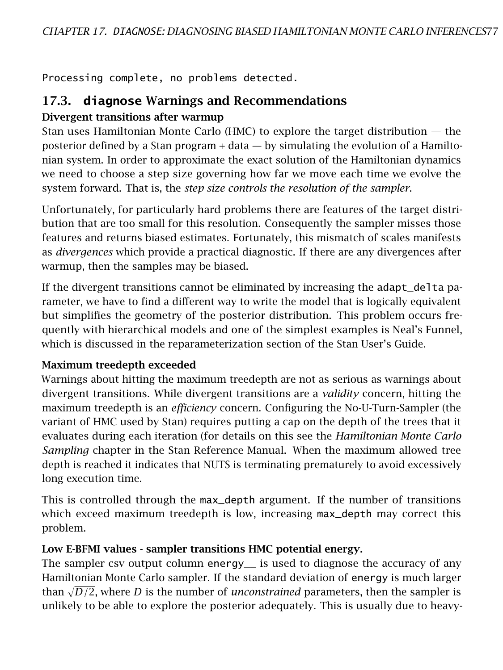Processing complete, no problems detected.

## 17.3. **diagnose** Warnings and Recommendations

#### Divergent transitions after warmup

Stan uses Hamiltonian Monte Carlo (HMC) to explore the target distribution — the posterior defined by a Stan program  $+$  data  $-$  by simulating the evolution of a [Hamilto](https://en.wikipedia.org/wiki/Hamiltonian_system)[nian system.](https://en.wikipedia.org/wiki/Hamiltonian_system) In order to approximate the exact solution of the Hamiltonian dynamics we need to choose a step size governing how far we move each time we evolve the system forward. That is, the *step size controls the resolution of the sampler*.

Unfortunately, for particularly hard problems there are features of the target distribution that are too small for this resolution. Consequently the sampler misses those features and returns biased estimates. Fortunately, this mismatch of scales manifests as *divergences* which provide a practical diagnostic. If there are any divergences after warmup, then the samples may be biased.

If the divergent transitions cannot be eliminated by increasing the adapt\_delta parameter, we have to find a different way to write the model that is logically equivalent but simplifies the geometry of the posterior distribution. This problem occurs frequently with hierarchical models and one of the simplest examples is Neal's Funnel, which is discussed in the [reparameterization section](https://mc-stan.org/docs/stan-users-guide/reparameterization-section.html) of the Stan User's Guide.

#### Maximum treedepth exceeded

Warnings about hitting the maximum treedepth are not as serious as warnings about divergent transitions. While divergent transitions are a *validity* concern, hitting the maximum treedepth is an *efficiency* concern. Configuring the No-U-Turn-Sampler (the variant of HMC used by Stan) requires putting a cap on the depth of the trees that it evaluates during each iteration (for details on this see the *Hamiltonian Monte Carlo Sampling* chapter in the [Stan Reference Manual.](https://mc-stan.org/docs/reference-manual/hmc-chapter.html) When the maximum allowed tree depth is reached it indicates that NUTS is terminating prematurely to avoid excessively long execution time.

This is controlled through the max\_depth argument. If the number of transitions which exceed maximum treedepth is low, increasing max\_depth may correct this problem.

## Low E-BFMI values - sampler transitions HMC potential energy.

The sampler csv output column energy\_\_ is used to diagnose the accuracy of any Hamiltonian Monte Carlo sampler. If the standard deviation of energy is much larger than  $\sqrt{D/2}$ , where *D* is the number of *unconstrained* parameters, then the sampler is unlikely to be able to explore the posterior adequately. This is usually due to heavy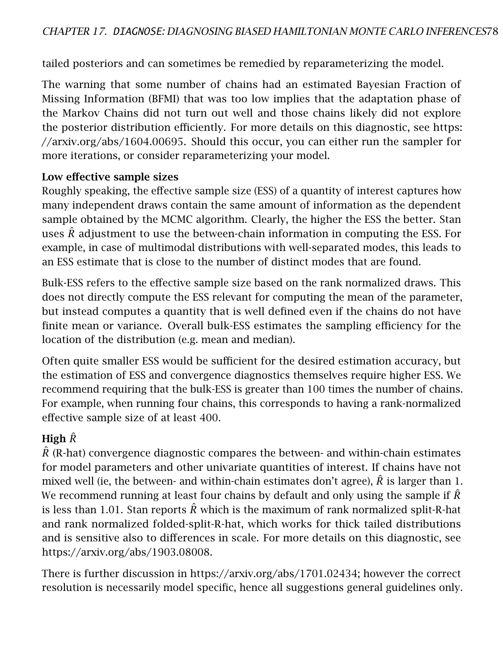tailed posteriors and can sometimes be remedied by reparameterizing the model.

The warning that some number of chains had an estimated Bayesian Fraction of Missing Information (BFMI) that was too low implies that the adaptation phase of the Markov Chains did not turn out well and those chains likely did not explore the posterior distribution efficiently. For more details on this diagnostic, see [https:](https://arxiv.org/abs/1604.00695) [//arxiv.org/abs/1604.00695.](https://arxiv.org/abs/1604.00695) Should this occur, you can either run the sampler for more iterations, or consider reparameterizing your model.

#### Low effective sample sizes

Roughly speaking, the effective sample size (ESS) of a quantity of interest captures how many independent draws contain the same amount of information as the dependent sample obtained by the MCMC algorithm. Clearly, the higher the ESS the better. Stan uses *R*ˆ adjustment to use the between-chain information in computing the ESS. For example, in case of multimodal distributions with well-separated modes, this leads to an ESS estimate that is close to the number of distinct modes that are found.

Bulk-ESS refers to the effective sample size based on the rank normalized draws. This does not directly compute the ESS relevant for computing the mean of the parameter, but instead computes a quantity that is well defined even if the chains do not have finite mean or variance. Overall bulk-ESS estimates the sampling efficiency for the location of the distribution (e.g. mean and median).

Often quite smaller ESS would be sufficient for the desired estimation accuracy, but the estimation of ESS and convergence diagnostics themselves require higher ESS. We recommend requiring that the bulk-ESS is greater than 100 times the number of chains. For example, when running four chains, this corresponds to having a rank-normalized effective sample size of at least 400.

#### High *R*ˆ

 $\ddot{R}$  (R-hat) convergence diagnostic compares the between- and within-chain estimates for model parameters and other univariate quantities of interest. If chains have not mixed well (ie, the between- and within-chain estimates don't agree),  $\hat{R}$  is larger than 1. We recommend running at least four chains by default and only using the sample if *R*ˆ is less than 1.01. Stan reports *R*ˆ which is the maximum of rank normalized split-R-hat and rank normalized folded-split-R-hat, which works for thick tailed distributions and is sensitive also to differences in scale. For more details on this diagnostic, see [https://arxiv.org/abs/1903.08008.](https://arxiv.org/abs/1903.08008)

There is further discussion in [https://arxiv.org/abs/1701.02434;](https://arxiv.org/abs/1701.02434) however the correct resolution is necessarily model specific, hence all suggestions general guidelines only.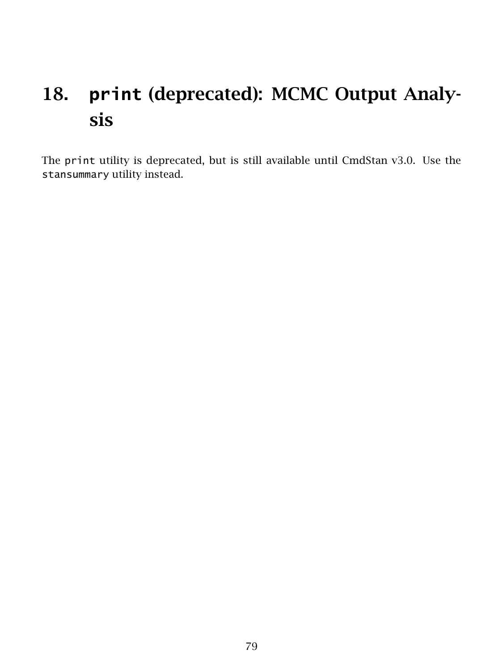# 18. **print** (deprecated): MCMC Output Analysis

The print utility is deprecated, but is still available until CmdStan v3.0. Use the stansummary utility instead.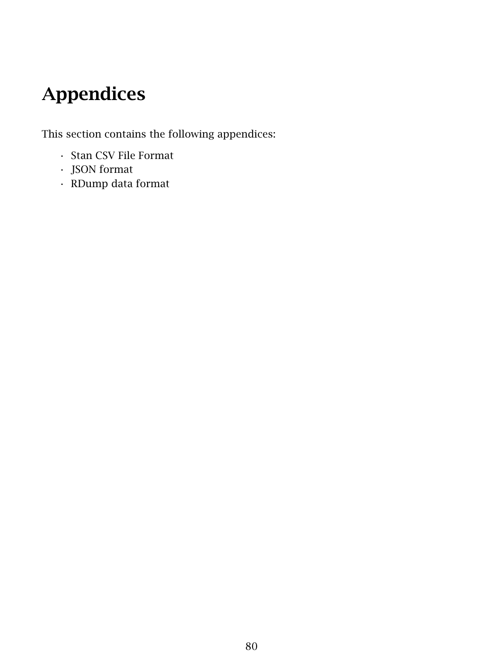# Appendices

This section contains the following appendices:

- Stan CSV File Format
- JSON format
- RDump data format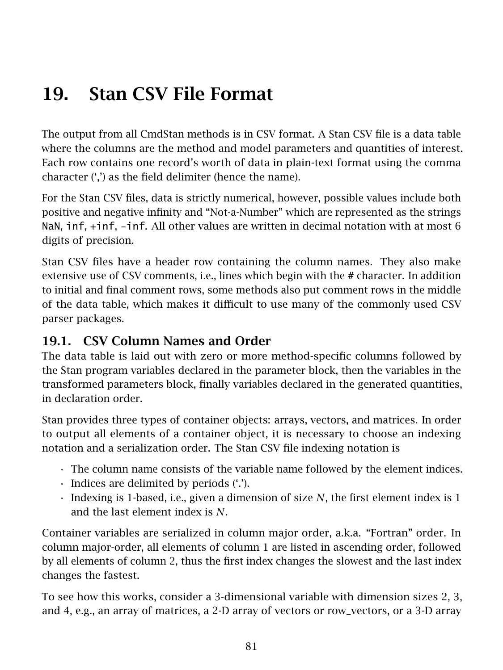# 19. Stan CSV File Format

The output from all CmdStan methods is in [CSV format.](https://en.wikipedia.org/wiki/Comma-separated_values) A Stan CSV file is a data table where the columns are the method and model parameters and quantities of interest. Each row contains one record's worth of data in plain-text format using the comma character (',') as the field delimiter (hence the name).

For the Stan CSV files, data is strictly numerical, however, possible values include both positive and negative infinity and "Not-a-Number" which are represented as the strings NaN, inf, +inf, -inf. All other values are written in decimal notation with at most 6 digits of precision.

Stan CSV files have a header row containing the column names. They also make extensive use of CSV comments, i.e., lines which begin with the # character. In addition to initial and final comment rows, some methods also put comment rows in the middle of the data table, which makes it difficult to use many of the commonly used CSV parser packages.

# 19.1. CSV Column Names and Order

The data table is laid out with zero or more method-specific columns followed by the Stan program variables declared in the parameter block, then the variables in the transformed parameters block, finally variables declared in the generated quantities, in declaration order.

Stan provides three types of container objects: arrays, vectors, and matrices. In order to output all elements of a container object, it is necessary to choose an indexing notation and a serialization order. The Stan CSV file indexing notation is

- The column name consists of the variable name followed by the element indices.
- Indices are delimited by periods ('.').
- Indexing is 1-based, i.e., given a dimension of size *N*, the first element index is 1 and the last element index is *N*.

Container variables are serialized in [column major order,](https://eli.thegreenplace.net/2015/memory-layout-of-multi-dimensional-arrays) a.k.a. "Fortran" order. In column major-order, all elements of column 1 are listed in ascending order, followed by all elements of column 2, thus the first index changes the slowest and the last index changes the fastest.

To see how this works, consider a 3-dimensional variable with dimension sizes 2, 3, and 4, e.g., an array of matrices, a 2-D array of vectors or row\_vectors, or a 3-D array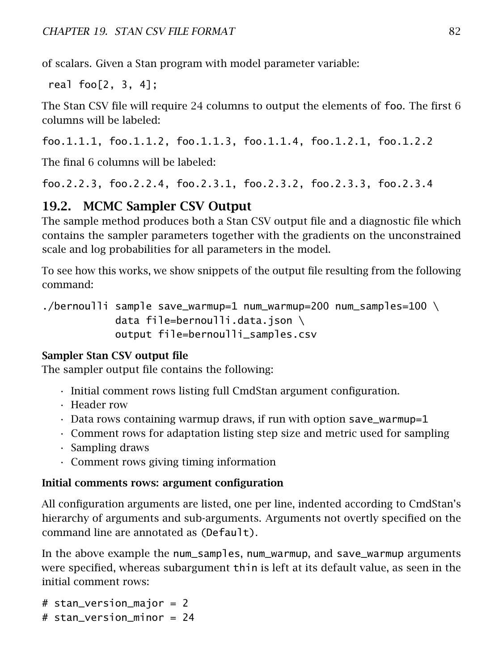of scalars. Given a Stan program with model parameter variable:

real foo[2, 3, 4];

The Stan CSV file will require 24 columns to output the elements of foo. The first 6 columns will be labeled:

foo.1.1.1, foo.1.1.2, foo.1.1.3, foo.1.1.4, foo.1.2.1, foo.1.2.2

The final 6 columns will be labeled:

foo.2.2.3, foo.2.2.4, foo.2.3.1, foo.2.3.2, foo.2.3.3, foo.2.3.4

# 19.2. MCMC Sampler CSV Output

The sample method produces both a Stan CSV output file and a [diagnostic file](#page-46-0) which contains the sampler parameters together with the gradients on the unconstrained scale and log probabilities for all parameters in the model.

To see how this works, we show snippets of the output file resulting from the following command:

./bernoulli sample save\_warmup=1 num\_warmup=200 num\_samples=100 \ data file=bernoulli.data.json \ output file=bernoulli\_samples.csv

## Sampler Stan CSV output file

The sampler output file contains the following:

- Initial comment rows listing full CmdStan argument configuration.
- Header row
- $\cdot$  Data rows containing warmup draws, if run with option save\_warmup=1
- Comment rows for adaptation listing step size and metric used for sampling
- Sampling draws
- Comment rows giving timing information

#### Initial comments rows: argument configuration

All configuration arguments are listed, one per line, indented according to CmdStan's hierarchy of arguments and sub-arguments. Arguments not overtly specified on the command line are annotated as (Default).

In the above example the num\_samples, num\_warmup, and save\_warmup arguments were specified, whereas subargument thin is left at its default value, as seen in the initial comment rows:

# stan\_version\_major = 2

# stan\_version\_minor = 24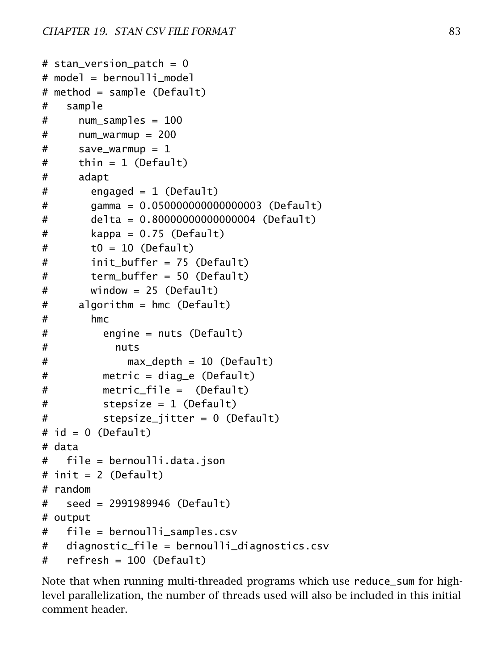```
# stan_version_patch = 0
# model = bernoulli_model
# method = sample (Default)
# sample
# num samples = 100
# num_warmup = 200
# save_warmup = 1
# thin = 1 (Default)
# adapt
# engaged = 1 (Default)
# gamma = 0.050000000000000003 (Default)
# delta = 0.80000000000000004 (Default)
# kappa = 0.75 (Default)
# t0 = 10 (Default)
# init buffer = 75 (Default)
# term_buffer = 50 (Default)
# window = 25 (Default)
# algorithm = hmc (Default)
# hmc
# engine = nuts (Default)
# nuts
# max_depth = 10 (Default)
# metric = diag_e (Default)
# metric_file = (Default)
# stepsize = 1 (Default)
# stepsize_jitter = 0 (Default)
# id = 0 (Default)
# data
# file = bernoulli.data.json
# init = 2 (Default)
# random
# seed = 2991989946 (Default)
# output
# file = bernoulli_samples.csv
# diagnostic_file = bernoulli_diagnostics.csv
# refresh = 100 (Default)
```
Note that when running multi-threaded programs which use reduce\_sum for [high](#page-62-0)[level parallelization,](#page-62-0) the number of threads used will also be included in this initial comment header.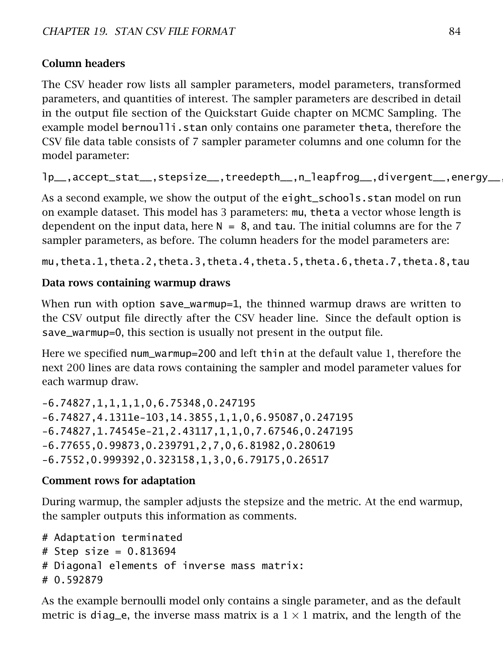### Column headers

The CSV header row lists all sampler parameters, model parameters, transformed parameters, and quantities of interest. The sampler parameters are described in detail in the [output file](#page-21-0) section of the Quickstart Guide chapter on MCMC Sampling. The example model bernoulli.stan only contains one parameter theta, therefore the CSV file data table consists of 7 sampler parameter columns and one column for the model parameter:

```
lp__,accept_stat__,stepsize__,treedepth__,n_leapfrog__,divergent__,energy__,theta
```
As a second example, we show the output of the eight\_schools.stan model on run on example dataset. This model has 3 parameters: mu, theta a vector whose length is dependent on the input data, here  $N = 8$ , and tau. The initial columns are for the 7 sampler parameters, as before. The column headers for the model parameters are:

mu,theta.1,theta.2,theta.3,theta.4,theta.5,theta.6,theta.7,theta.8,tau

### Data rows containing warmup draws

When run with option save\_warmup=1, the thinned warmup draws are written to the CSV output file directly after the CSV header line. Since the default option is save\_warmup=0, this section is usually not present in the output file.

Here we specified num\_warmup=200 and left thin at the default value 1, therefore the next 200 lines are data rows containing the sampler and model parameter values for each warmup draw.

-6.74827,1,1,1,1,0,6.75348,0.247195 -6.74827,4.1311e-103,14.3855,1,1,0,6.95087,0.247195 -6.74827,1.74545e-21,2.43117,1,1,0,7.67546,0.247195 -6.77655,0.99873,0.239791,2,7,0,6.81982,0.280619 -6.7552,0.999392,0.323158,1,3,0,6.79175,0.26517

#### Comment rows for adaptation

During warmup, the sampler adjusts the stepsize and the metric. At the end warmup, the sampler outputs this information as comments.

```
# Adaptation terminated
# Step size = 0.813694# Diagonal elements of inverse mass matrix:
# 0.592879
```
As the example bernoulli model only contains a single parameter, and as the default metric is diag\_e, the inverse mass matrix is a  $1 \times 1$  matrix, and the length of the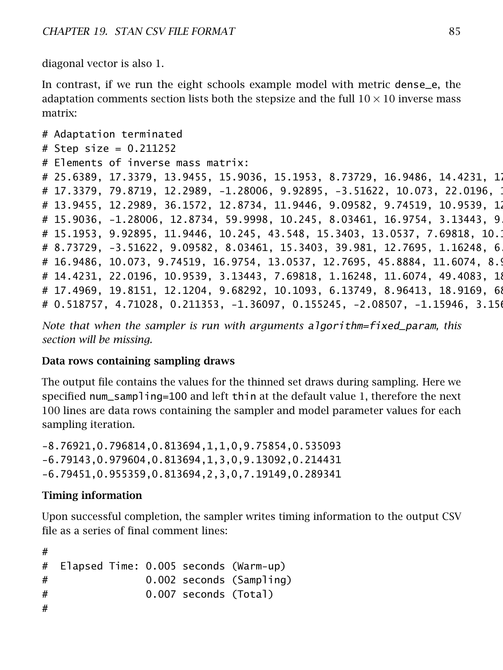diagonal vector is also 1.

In contrast, if we run the eight schools example model with metric dense\_e, the adaptation comments section lists both the stepsize and the full  $10 \times 10$  inverse mass matrix:

```
# Adaptation terminated
# Step size = 0.211252
# Elements of inverse mass matrix:
# 25.6389, 17.3379, 13.9455, 15.9036, 15.1953, 8.73729, 16.9486, 14.4231, 1
# 17.3379, 79.8719, 12.2989, -1.28006, 9.92895, -3.51622, 10.073, 22.0196, 1
# 13.9455, 12.2989, 36.1572, 12.8734, 11.9446, 9.09582, 9.74519, 10.9539, 1
# 15.9036, -1.28006, 12.8734, 59.9998, 10.245, 8.03461, 16.9754, 3.13443, 9
# 15.1953, 9.92895, 11.9446, 10.245, 43.548, 15.3403, 13.0537, 7.69818, 10.1
# 8.73729, -3.51622, 9.09582, 8.03461, 15.3403, 39.981, 12.7695, 1.16248, 6
# 16.9486, 10.073, 9.74519, 16.9754, 13.0537, 12.7695, 45.8884, 11.6074, 8.9
# 14.4231, 22.0196, 10.9539, 3.13443, 7.69818, 1.16248, 11.6074, 49.4083, 18.
# 17.4969, 19.8151, 12.1204, 9.68292, 10.1093, 6.13749, 8.96413, 18.9169, 68.
# 0.518757, 4.71028, 0.211353, -1.36097, 0.155245, -2.08507, -1.15946, 3.156
```
*Note that when the sampler is run with arguments* algorithm=fixed\_param*, this section will be missing.*

#### Data rows containing sampling draws

The output file contains the values for the thinned set draws during sampling. Here we specified num\_sampling=100 and left thin at the default value 1, therefore the next 100 lines are data rows containing the sampler and model parameter values for each sampling iteration.

-8.76921,0.796814,0.813694,1,1,0,9.75854,0.535093 -6.79143,0.979604,0.813694,1,3,0,9.13092,0.214431 -6.79451,0.955359,0.813694,2,3,0,7.19149,0.289341

#### Timing information

Upon successful completion, the sampler writes timing information to the output CSV file as a series of final comment lines:

```
#
# Elapsed Time: 0.005 seconds (Warm-up)
# 0.002 seconds (Sampling)
# 0.007 seconds (Total)
#
```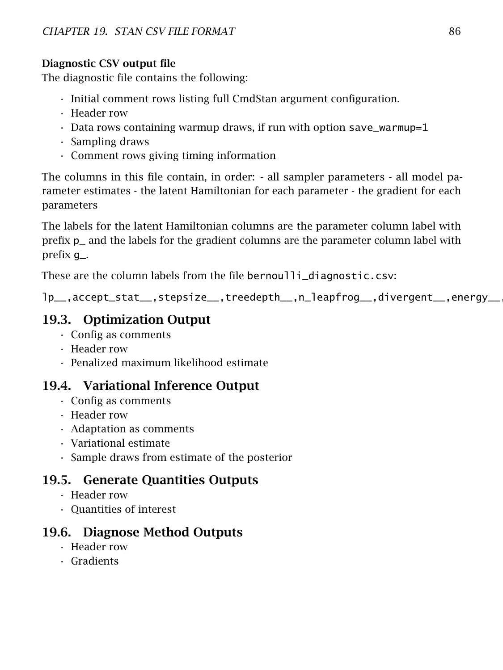## Diagnostic CSV output file

The diagnostic file contains the following:

- Initial comment rows listing full CmdStan argument configuration.
- Header row
- $\cdot$  Data rows containing warmup draws, if run with option save\_warmup=1
- Sampling draws
- Comment rows giving timing information

The columns in this file contain, in order: - all sampler parameters - all model parameter estimates - the latent Hamiltonian for each parameter - the gradient for each parameters

The labels for the latent Hamiltonian columns are the parameter column label with prefix p\_ and the labels for the gradient columns are the parameter column label with prefix g\_.

These are the column labels from the file bernoulli\_diagnostic.csv:

lp\_\_,accept\_stat\_\_,stepsize\_\_,treedepth\_\_,n\_leapfrog\_\_,divergent\_\_,energy\_\_,theta,p\_theta,g\_theta

## 19.3. Optimization Output

- Config as comments
- Header row
- Penalized maximum likelihood estimate

## 19.4. Variational Inference Output

- Config as comments
- Header row
- Adaptation as comments
- Variational estimate
- Sample draws from estimate of the posterior

## 19.5. Generate Quantities Outputs

- Header row
- Quantities of interest

## 19.6. Diagnose Method Outputs

- Header row
- <span id="page-86-0"></span>• Gradients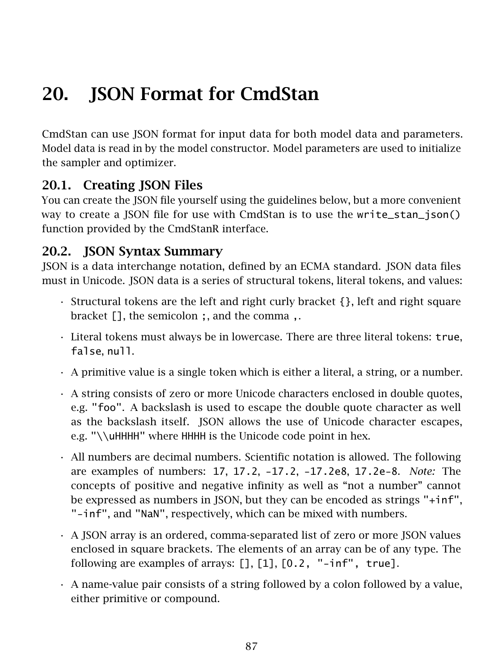# 20. **ISON Format for CmdStan**

CmdStan can use JSON format for input data for both model data and parameters. Model data is read in by the model constructor. Model parameters are used to initialize the sampler and optimizer.

## 20.1. Creating JSON Files

You can create the JSON file yourself using the guidelines below, but a more convenient way to create a JSON file for use with CmdStan is to use the [write\\_stan\\_json\(\)](https://mc-stan.org/cmdstanr/reference/write_stan_json) function provided by the CmdStanR interface.

## 20.2. JSON Syntax Summary

JSON is a data interchange notation, defined by an [ECMA standard.](http://www.ecma-international.org/publications/files/ECMA-ST/ECMA-404.pdf) JSON data files must in Unicode. JSON data is a series of structural tokens, literal tokens, and values:

- Structural tokens are the left and right curly bracket {}, left and right square bracket [], the semicolon ;, and the comma ,.
- Literal tokens must always be in lowercase. There are three literal tokens: true, false, null.
- A primitive value is a single token which is either a literal, a string, or a number.
- A string consists of zero or more Unicode characters enclosed in double quotes, e.g. "foo". A backslash is used to escape the double quote character as well as the backslash itself. ISON allows the use of Unicode character escapes, e.g. "\\uHHHH" where HHHH is the Unicode code point in hex.
- All numbers are decimal numbers. Scientific notation is allowed. The following are examples of numbers: 17, 17.2, -17.2, -17.2e8, 17.2e-8. *Note:* The concepts of positive and negative infinity as well as "not a number" cannot be expressed as numbers in JSON, but they can be encoded as strings "+inf", "-inf", and "NaN", respectively, which can be mixed with numbers.
- A JSON array is an ordered, comma-separated list of zero or more JSON values enclosed in square brackets. The elements of an array can be of any type. The following are examples of arrays: [], [1], [0.2, "-inf", true].
- A name-value pair consists of a string followed by a colon followed by a value, either primitive or compound.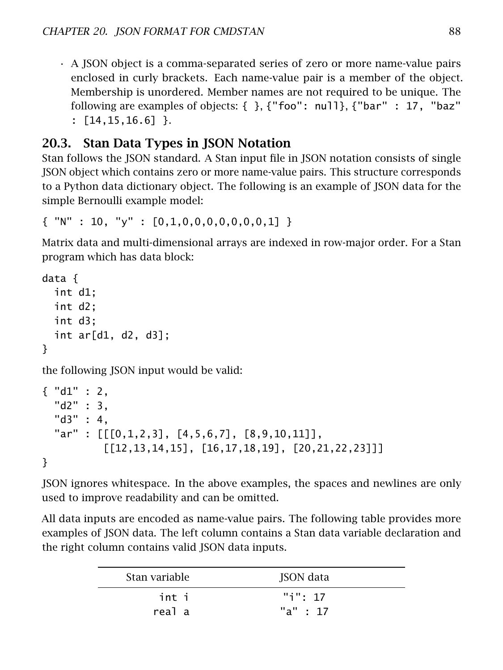• A JSON object is a comma-separated series of zero or more name-value pairs enclosed in curly brackets. Each name-value pair is a member of the object. Membership is unordered. Member names are not required to be unique. The following are examples of objects: { }, {"foo": null}, {"bar" : 17, "baz" : [14,15,16.6] }.

# 20.3. Stan Data Types in JSON Notation

Stan follows the JSON standard. A Stan input file in JSON notation consists of single JSON object which contains zero or more name-value pairs. This structure corresponds to a Python data dictionary object. The following is an example of JSON data for the simple Bernoulli example model:

```
\{ "N" : 10, "y" : [0,1,0,0,0,0,0,0,0,1] }
```
Matrix data and multi-dimensional arrays are indexed in row-major order. For a Stan program which has data block:

```
data {
  int d1;
  int d2;
  int d3;
  int ar[d1, d2, d3];
}
```
the following JSON input would be valid:

```
\{ "d1" : 2.
  "d2" : 3,
  "d3" : 4,
  "ar" : [[[0,1,2,3], [4,5,6,7], [8,9,10,11]],
           [[12, 13, 14, 15], [16, 17, 18, 19], [20, 21, 22, 23]]]}
```
JSON ignores whitespace. In the above examples, the spaces and newlines are only used to improve readability and can be omitted.

All data inputs are encoded as name-value pairs. The following table provides more examples of JSON data. The left column contains a Stan data variable declaration and the right column contains valid JSON data inputs.

| Stan variable | JSON data |
|---------------|-----------|
| int i         | "i": 17   |
| real a        | "a" : 17  |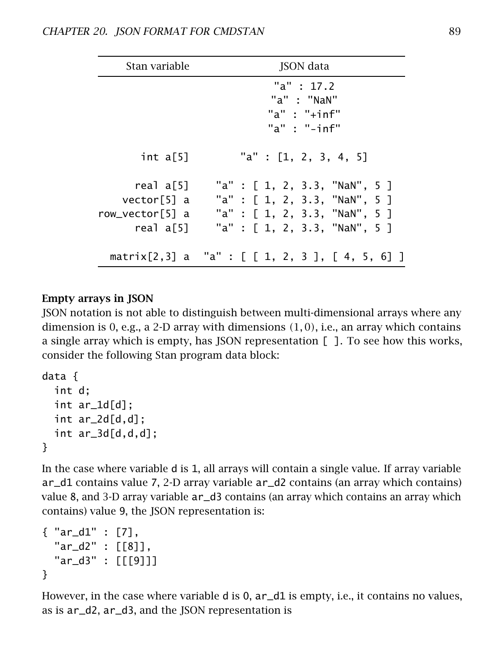| Stan variable                                            | JSON data                                                                                                                        |  |  |  |
|----------------------------------------------------------|----------------------------------------------------------------------------------------------------------------------------------|--|--|--|
|                                                          | "a" : $17.2$<br>"a" : "NaN"<br>"a" : " $+$ inf"<br>" $a$ " : " $-i$ nf"                                                          |  |  |  |
| int a[5]                                                 | "a" : [1, 2, 3, 4, 5]                                                                                                            |  |  |  |
| real a[5]<br>vector[5] a<br>row_vector[5] a<br>real a[5] | "a" : [ 1, 2, 3.3, "NaN", 5 ]<br>"a" : [ 1, 2, 3.3, "NaN", 5 ]<br>"a" : [ 1, 2, 3.3, "NaN", 5 ]<br>"a" : [ 1, 2, 3.3, "NaN", 5 ] |  |  |  |
|                                                          | matrix[2,3] a "a" : [ [ 1, 2, 3 ], [ 4, 5, 6] ]                                                                                  |  |  |  |

#### Empty arrays in JSON

JSON notation is not able to distinguish between multi-dimensional arrays where any dimension is 0, e.g., a 2-D array with dimensions *(*1*,* 0*)*, i.e., an array which contains a single array which is empty, has JSON representation [ ]. To see how this works, consider the following Stan program data block:

```
data {
  int d;
  int ar_1d[d];
  int ar_2d[d,d];
  int ar_3d[d,d,d];
}
```
In the case where variable d is 1, all arrays will contain a single value. If array variable ar\_d1 contains value 7, 2-D array variable ar\_d2 contains (an array which contains) value 8, and 3-D array variable ar\_d3 contains (an array which contains an array which contains) value 9, the JSON representation is:

```
{ "ar_d1" : [7],
  "ar_d2" : [[8]],
  "ar_d3" : [[[9]]]
}
```
However, in the case where variable d is 0,  $ar_d$ d is empty, i.e., it contains no values, as is ar\_d2, ar\_d3, and the JSON representation is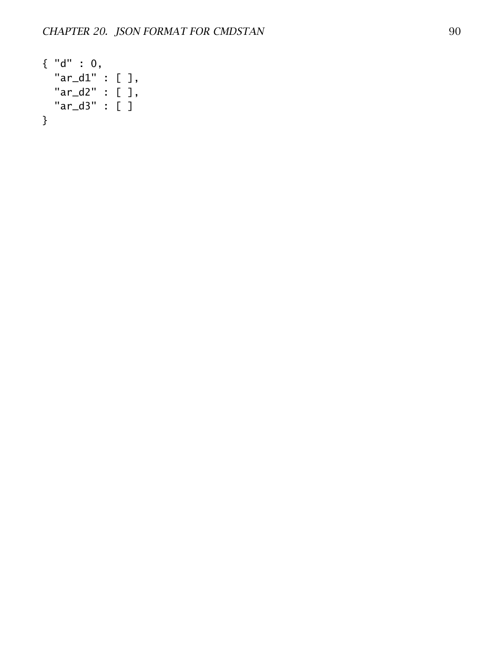```
{ "d" : 0,
 "ar_d1" : [ ],
 "ar_d2" : [ ],
 "ar_d3" : [ ]
}
```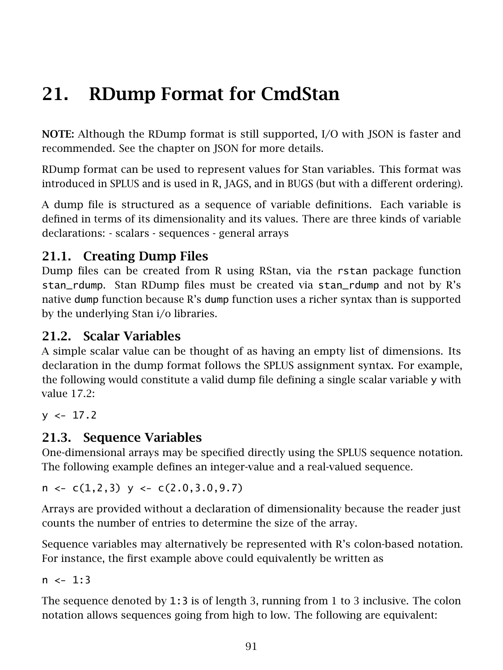# 21. RDump Format for CmdStan

NOTE: Although the RDump format is still supported, I/O with JSON is faster and recommended. See the [chapter on JSON](#page-86-0) for more details.

RDump format can be used to represent values for Stan variables. This format was introduced in SPLUS and is used in R, JAGS, and in BUGS (but with a different ordering).

A dump file is structured as a sequence of variable definitions. Each variable is defined in terms of its dimensionality and its values. There are three kinds of variable declarations: - scalars - sequences - general arrays

# 21.1. Creating Dump Files

Dump files can be created from R using RStan, via the rstan package function stan\_rdump. Stan RDump files must be created via stan\_rdump and not by R's native dump function because R's dump function uses a richer syntax than is supported by the underlying Stan i/o libraries.

## 21.2. Scalar Variables

A simple scalar value can be thought of as having an empty list of dimensions. Its declaration in the dump format follows the SPLUS assignment syntax. For example, the following would constitute a valid dump file defining a single scalar variable y with value 17*.*2:

 $v \le -17.2$ 

## 21.3. Sequence Variables

One-dimensional arrays may be specified directly using the SPLUS sequence notation. The following example defines an integer-value and a real-valued sequence.

 $n \leftarrow c(1,2,3)$  y  $\leftarrow c(2.0,3.0,9.7)$ 

Arrays are provided without a declaration of dimensionality because the reader just counts the number of entries to determine the size of the array.

Sequence variables may alternatively be represented with R's colon-based notation. For instance, the first example above could equivalently be written as

 $n \le -1:3$ 

The sequence denoted by 1:3 is of length 3, running from 1 to 3 inclusive. The colon notation allows sequences going from high to low. The following are equivalent: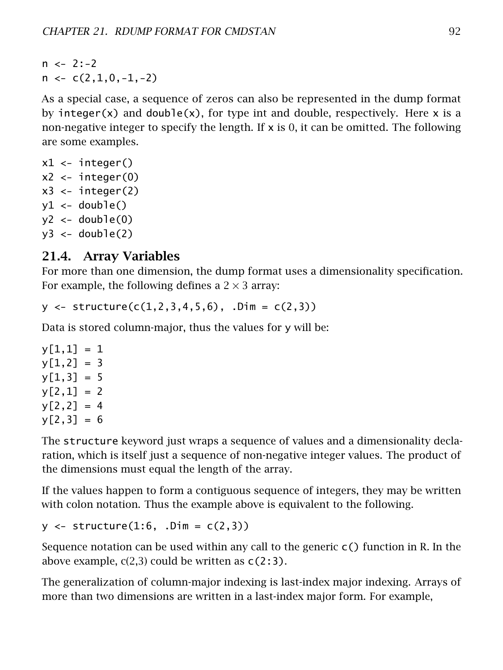$n \le -2:-2$  $n \leftarrow c(2,1,0,-1,-2)$ 

As a special case, a sequence of zeros can also be represented in the dump format by integer(x) and double(x), for type int and double, respectively. Here x is a non-negative integer to specify the length. If  $x$  is 0, it can be omitted. The following are some examples.

```
x1 \leftarrow \text{integer()}x^2 <- integer(0)
x3 \leftarrow \text{integer(2)}y1 \leftarrow double()y2 \le - double(0)
y3 \le - double(2)
```
## 21.4. Array Variables

For more than one dimension, the dump format uses a dimensionality specification. For example, the following defines a  $2 \times 3$  array:

 $y \leftarrow$  structure( $c(1, 2, 3, 4, 5, 6)$ , .Dim =  $c(2, 3)$ )

Data is stored column-major, thus the values for y will be:

 $y[1,1] = 1$  $v[1,2] = 3$  $y[1,3] = 5$  $y[2,1] = 2$  $y[2,2] = 4$  $y[2,3] = 6$ 

The structure keyword just wraps a sequence of values and a dimensionality declaration, which is itself just a sequence of non-negative integer values. The product of the dimensions must equal the length of the array.

If the values happen to form a contiguous sequence of integers, they may be written with colon notation. Thus the example above is equivalent to the following.

 $y \le -5$  structure(1:6, .Dim =  $c(2,3)$ )

Sequence notation can be used within any call to the generic  $c()$  function in R. In the above example,  $c(2,3)$  could be written as  $c(2:3)$ .

The generalization of column-major indexing is last-index major indexing. Arrays of more than two dimensions are written in a last-index major form. For example,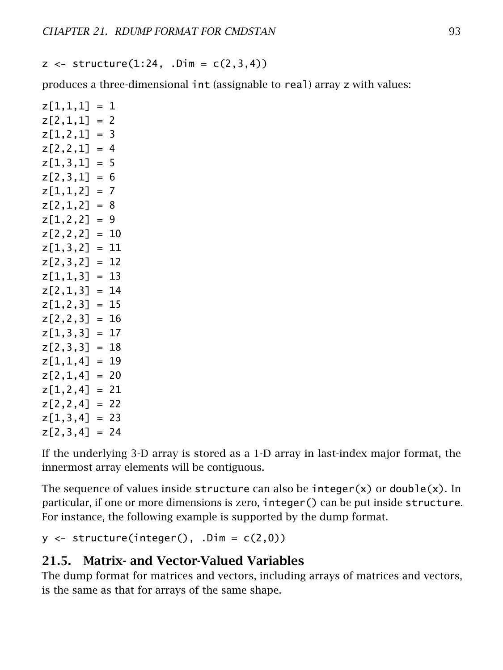$z \leq -5$ tructure $(1:24, 0 \text{ m} = c(2,3,4))$ 

produces a three-dimensional int (assignable to real) array z with values:

 $z[1,1,1] = 1$  $z[2,1,1] = 2$  $z[1,2,1] = 3$  $z[2,2,1] = 4$  $z[1,3,1] = 5$  $z[2,3,1] = 6$  $z[1,1,2] = 7$  $z[2,1,2] = 8$  $z[1,2,2] = 9$  $z[2,2,2] = 10$  $z[1,3,2] = 11$  $z[2,3,2] = 12$  $z[1,1,3] = 13$  $z[2,1,3] = 14$  $z[1,2,3] = 15$  $z[2,2,3] = 16$  $z[1,3,3] = 17$  $z[2,3,3] = 18$  $z[1,1,4] = 19$  $z[2,1,4] = 20$  $z[1,2,4] = 21$  $z[2,2,4] = 22$  $z[1,3,4] = 23$  $z[2,3,4] = 24$ 

If the underlying 3-D array is stored as a 1-D array in last-index major format, the innermost array elements will be contiguous.

The sequence of values inside structure can also be integer(x) or double(x). In particular, if one or more dimensions is zero, integer() can be put inside structure. For instance, the following example is supported by the dump format.

 $y \leftarrow$  structure(integer(), .Dim =  $c(2,0)$ )

## 21.5. Matrix- and Vector-Valued Variables

The dump format for matrices and vectors, including arrays of matrices and vectors, is the same as that for arrays of the same shape.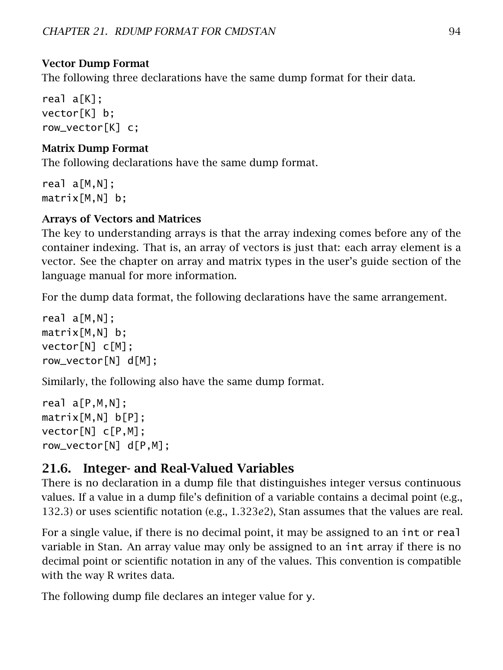### Vector Dump Format

The following three declarations have the same dump format for their data.

real a[K]; vector[K] b; row\_vector[K] c;

### Matrix Dump Format

The following declarations have the same dump format.

real a[M,N]; matrix[M,N] b;

## Arrays of Vectors and Matrices

The key to understanding arrays is that the array indexing comes before any of the container indexing. That is, an array of vectors is just that: each array element is a vector. See the chapter on array and matrix types in the user's guide section of the language manual for more information.

For the dump data format, the following declarations have the same arrangement.

real a[M.N]: matrix[M,N] b; vector[N] c[M]; row\_vector[N] d[M];

Similarly, the following also have the same dump format.

real a[P,M,N]; matrix[M,N] b[P]; vector[N] c[P,M]; row\_vector[N] d[P,M];

## 21.6. Integer- and Real-Valued Variables

There is no declaration in a dump file that distinguishes integer versus continuous values. If a value in a dump file's definition of a variable contains a decimal point (e.g., 132*.*3) or uses scientific notation (e.g., 1*.*323*e*2), Stan assumes that the values are real.

For a single value, if there is no decimal point, it may be assigned to an int or real variable in Stan. An array value may only be assigned to an int array if there is no decimal point or scientific notation in any of the values. This convention is compatible with the way R writes data.

The following dump file declares an integer value for y.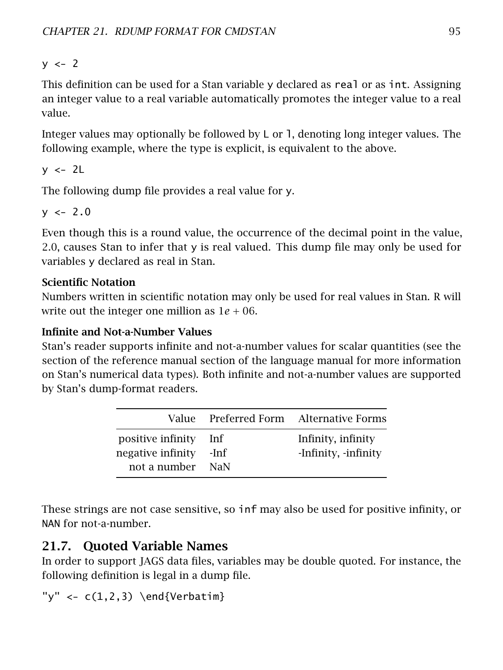$y \le -2$ 

This definition can be used for a Stan variable y declared as real or as int. Assigning an integer value to a real variable automatically promotes the integer value to a real value.

Integer values may optionally be followed by  $L$  or 1, denoting long integer values. The following example, where the type is explicit, is equivalent to the above.

 $y \le -2L$ 

The following dump file provides a real value for y.

 $y \le -2.0$ 

Even though this is a round value, the occurrence of the decimal point in the value, 2*.*0, causes Stan to infer that y is real valued. This dump file may only be used for variables y declared as real in Stan.

## Scientific Notation

Numbers written in scientific notation may only be used for real values in Stan. R will write out the integer one million as  $1e + 06$ .

## Infinite and Not-a-Number Values

Stan's reader supports infinite and not-a-number values for scalar quantities (see the section of the reference manual section of the language manual for more information on Stan's numerical data types). Both infinite and not-a-number values are supported by Stan's dump-format readers.

|                                                        |                      | Value Preferred Form Alternative Forms     |
|--------------------------------------------------------|----------------------|--------------------------------------------|
| positive infinity<br>negative infinity<br>not a number | Inf<br>-Inf<br>– NaN | Infinity, infinity<br>-Infinity, -infinity |

These strings are not case sensitive, so inf may also be used for positive infinity, or NAN for not-a-number.

# 21.7. Quoted Variable Names

In order to support JAGS data files, variables may be double quoted. For instance, the following definition is legal in a dump file.

"y" <-  $c(1,2,3)$  \end{Verbatim}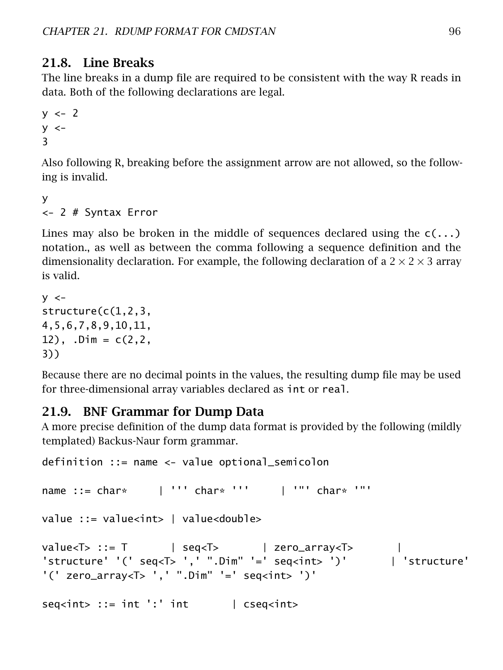### 21.8. Line Breaks

The line breaks in a dump file are required to be consistent with the way R reads in data. Both of the following declarations are legal.

```
y \le -2y < -3
```
Also following R, breaking before the assignment arrow are not allowed, so the following is invalid.

```
y
<- 2 # Syntax Error
```
Lines may also be broken in the middle of sequences declared using the  $c(\ldots)$ notation., as well as between the comma following a sequence definition and the dimensionality declaration. For example, the following declaration of a  $2 \times 2 \times 3$  array is valid.

```
y < -structure(c(1,2,3,
4,5,6,7,8,9,10,11,
12), \DeltaDim = C(2, 2, 1)3))
```
Because there are no decimal points in the values, the resulting dump file may be used for three-dimensional array variables declared as int or real.

#### 21.9. BNF Grammar for Dump Data

A more precise definition of the dump data format is provided by the following (mildly templated) Backus-Naur form grammar.

```
definition ::= name <- value optional_semicolon
name ::= char* \blacksquare | ''' char* ''' \blacksquare | '"' char* '"'
value ::= value<int> | value<double>
value<T> ::= T | seq<T> | zero_array<T> |
'structure' '(' seq<T> ',' ".Dim" '=' seq<int> ')' | 'structure'
'(' zero_array<T> ',' ".Dim" '=' seq<int> ')'
seq < \frac{1}{10}::= int ':' int | cseq< \frac{1}{10}
```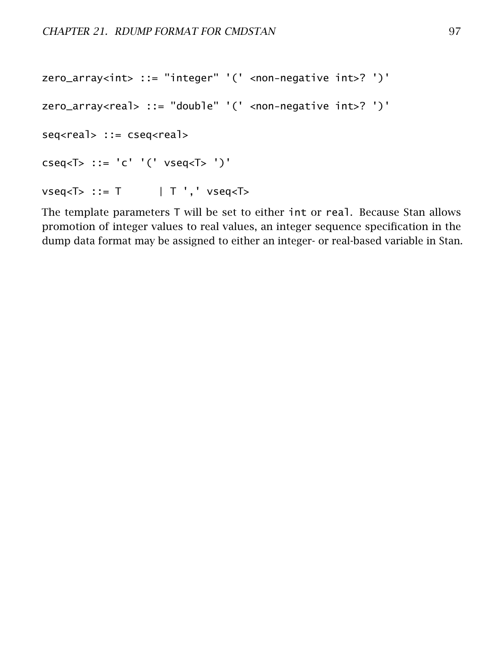```
zero_array<int> ::= "integer" '(' <non-negative int>? ')'
zero_array<real> ::= "double" '(' <non-negative int>? ')'
seq<real> ::= cseq<real>
cseq<T> ::= 'c' '(' vseq<T> ')'
vseq <sub>1</sub> : := T \t\t | T', vseq <sub>1</sub>
```
The template parameters T will be set to either int or real. Because Stan allows promotion of integer values to real values, an integer sequence specification in the dump data format may be assigned to either an integer- or real-based variable in Stan.